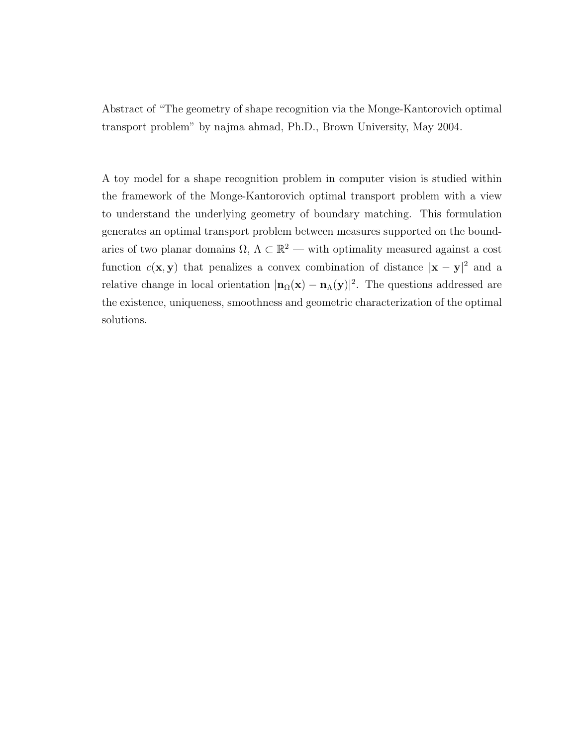Abstract of "The geometry of shape recognition via the Monge-Kantorovich optimal transport problem" by najma ahmad, Ph.D., Brown University, May 2004.

A toy model for a shape recognition problem in computer vision is studied within the framework of the Monge-Kantorovich optimal transport problem with a view to understand the underlying geometry of boundary matching. This formulation generates an optimal transport problem between measures supported on the boundaries of two planar domains  $\Omega, \Lambda \subset \mathbb{R}^2$  — with optimality measured against a cost function  $c(\mathbf{x}, \mathbf{y})$  that penalizes a convex combination of distance  $|\mathbf{x} - \mathbf{y}|^2$  and a relative change in local orientation  $|\mathbf{n}_{\Omega}(\mathbf{x}) - \mathbf{n}_{\Lambda}(\mathbf{y})|^2$ . The questions addressed are the existence, uniqueness, smoothness and geometric characterization of the optimal solutions.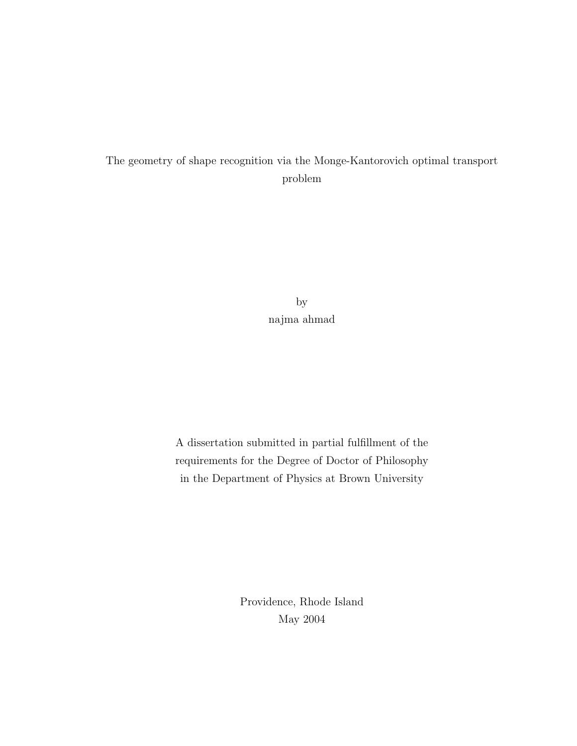#### The geometry of shape recognition via the Monge-Kantorovich optimal transport problem

by najma ahmad

A dissertation submitted in partial fulfillment of the requirements for the Degree of Doctor of Philosophy in the Department of Physics at Brown University

> Providence, Rhode Island May 2004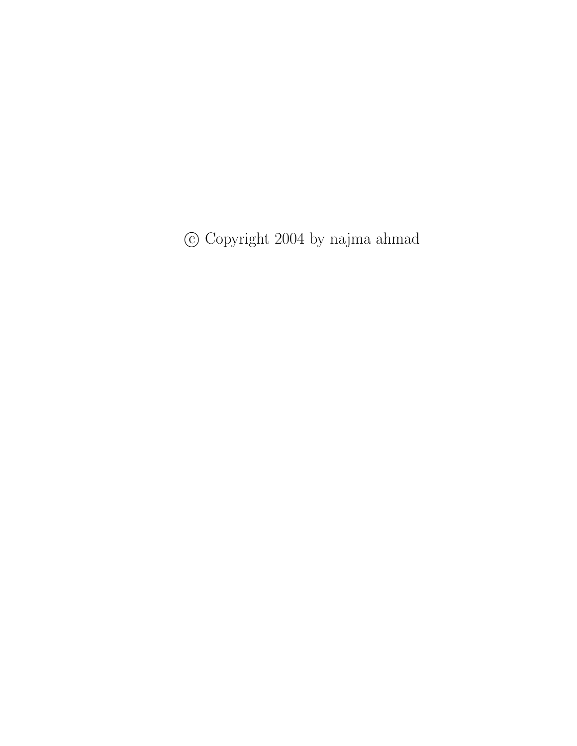$\odot$  Copyright 2004 by najma ahmad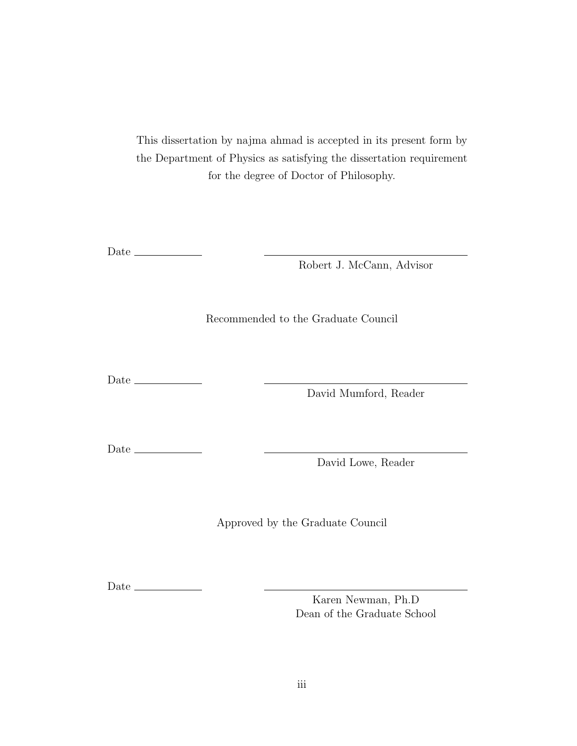This dissertation by najma ahmad is accepted in its present form by the Department of Physics as satisfying the dissertation requirement for the degree of Doctor of Philosophy.

Date

Robert J. McCann, Advisor

Recommended to the Graduate Council

Date

David Mumford, Reader

Date

David Lowe, Reader

Approved by the Graduate Council

Date

Karen Newman, Ph.D Dean of the Graduate School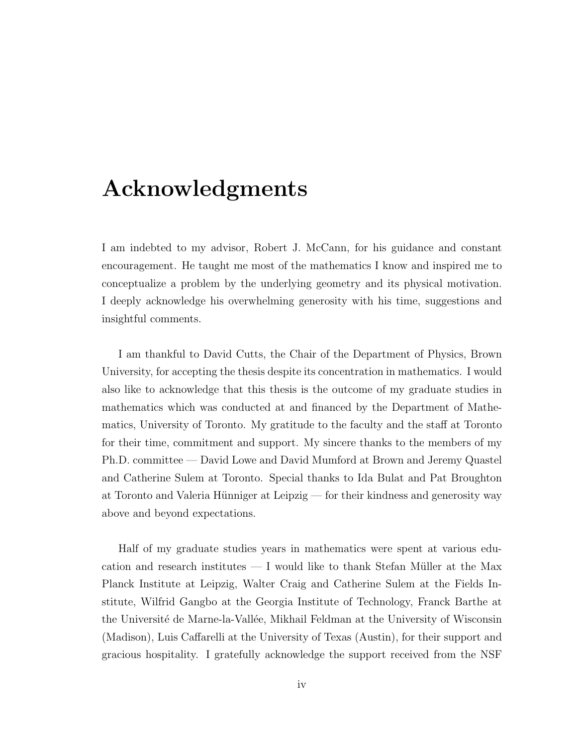### Acknowledgments

I am indebted to my advisor, Robert J. McCann, for his guidance and constant encouragement. He taught me most of the mathematics I know and inspired me to conceptualize a problem by the underlying geometry and its physical motivation. I deeply acknowledge his overwhelming generosity with his time, suggestions and insightful comments.

I am thankful to David Cutts, the Chair of the Department of Physics, Brown University, for accepting the thesis despite its concentration in mathematics. I would also like to acknowledge that this thesis is the outcome of my graduate studies in mathematics which was conducted at and financed by the Department of Mathematics, University of Toronto. My gratitude to the faculty and the staff at Toronto for their time, commitment and support. My sincere thanks to the members of my Ph.D. committee — David Lowe and David Mumford at Brown and Jeremy Quastel and Catherine Sulem at Toronto. Special thanks to Ida Bulat and Pat Broughton at Toronto and Valeria Hünniger at Leipzig — for their kindness and generosity way above and beyond expectations.

Half of my graduate studies years in mathematics were spent at various education and research institutes — I would like to thank Stefan Müller at the Max Planck Institute at Leipzig, Walter Craig and Catherine Sulem at the Fields Institute, Wilfrid Gangbo at the Georgia Institute of Technology, Franck Barthe at the Université de Marne-la-Vallée, Mikhail Feldman at the University of Wisconsin (Madison), Luis Caffarelli at the University of Texas (Austin), for their support and gracious hospitality. I gratefully acknowledge the support received from the NSF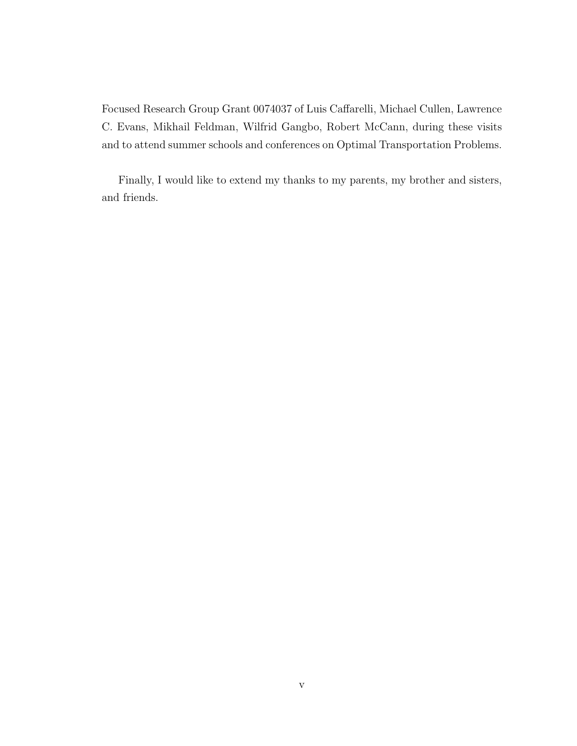Focused Research Group Grant 0074037 of Luis Caffarelli, Michael Cullen, Lawrence C. Evans, Mikhail Feldman, Wilfrid Gangbo, Robert McCann, during these visits and to attend summer schools and conferences on Optimal Transportation Problems.

Finally, I would like to extend my thanks to my parents, my brother and sisters, and friends.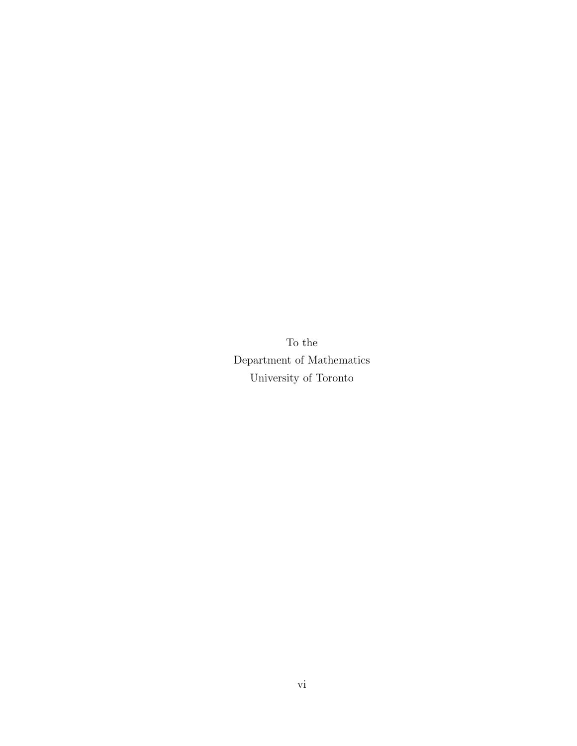To the Department of Mathematics University of Toronto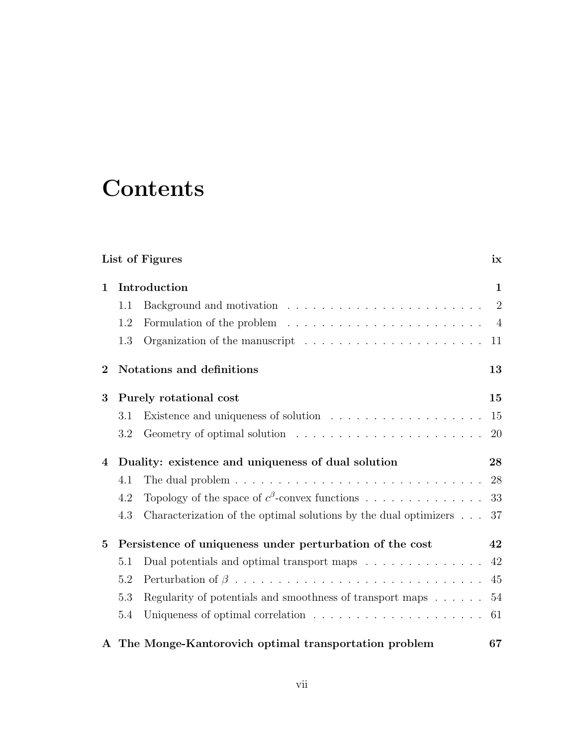### **Contents**

<span id="page-7-0"></span>

|                | List of Figures<br>ix |                                                                                      |                |
|----------------|-----------------------|--------------------------------------------------------------------------------------|----------------|
| $\mathbf{1}$   |                       | Introduction                                                                         | $\mathbf 1$    |
|                | 1.1                   |                                                                                      | $\overline{2}$ |
|                | 1.2                   | Formulation of the problem $\ldots \ldots \ldots \ldots \ldots \ldots \ldots \ldots$ | $\overline{4}$ |
|                | 1.3                   |                                                                                      | 11             |
| $\overline{2}$ |                       | Notations and definitions                                                            | 13             |
| 3              |                       | Purely rotational cost                                                               | 15             |
|                | 3.1                   | Existence and uniqueness of solution $\ldots \ldots \ldots \ldots \ldots \ldots$     | 15             |
|                | 3.2                   |                                                                                      | 20             |
| $\overline{4}$ |                       | Duality: existence and uniqueness of dual solution                                   | 28             |
|                | 4.1                   |                                                                                      | 28             |
|                | 4.2                   | Topology of the space of $c^{\beta}$ -convex functions                               | 33             |
|                | 4.3                   | Characterization of the optimal solutions by the dual optimizers                     | 37             |
| $\bf{5}$       |                       | Persistence of uniqueness under perturbation of the cost                             | 42             |
|                | 5.1                   | Dual potentials and optimal transport maps $\ldots \ldots \ldots \ldots \ldots$      | 42             |
|                | 5.2                   |                                                                                      | 45             |
|                | 5.3                   | Regularity of potentials and smoothness of transport maps $\ldots \ldots$            | 54             |
|                | 5.4                   |                                                                                      | 61             |
|                |                       | A The Monge-Kantorovich optimal transportation problem                               | 67             |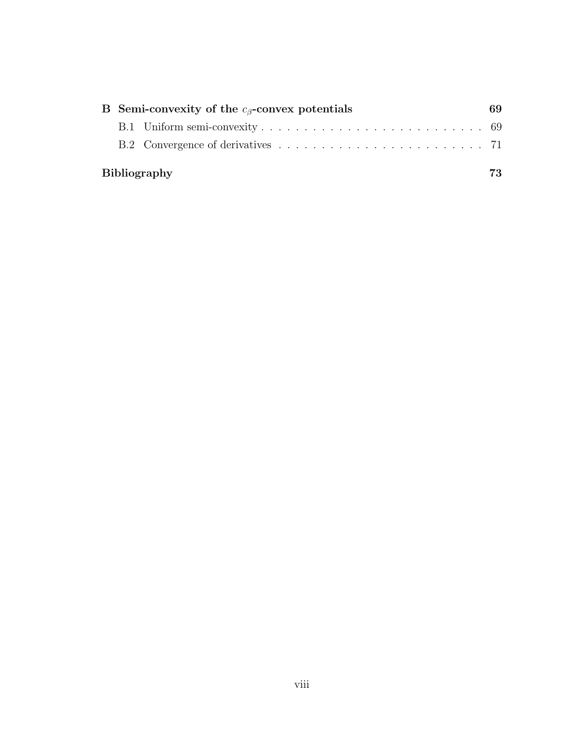| B Semi-convexity of the $c_{\beta}$ -convex potentials |                     |     |  |
|--------------------------------------------------------|---------------------|-----|--|
|                                                        |                     |     |  |
|                                                        |                     |     |  |
|                                                        | <b>Bibliography</b> | 73. |  |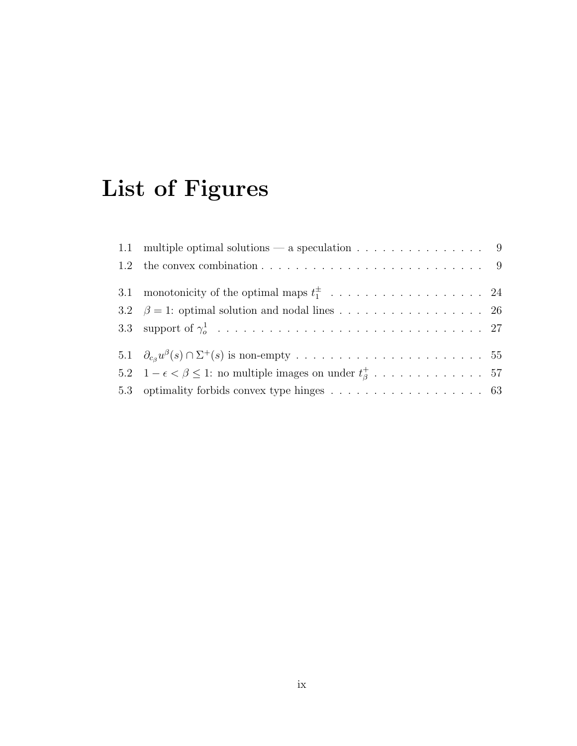# List of Figures

| 1.1 multiple optimal solutions — a speculation $\ldots \ldots \ldots \ldots$ 9              |
|---------------------------------------------------------------------------------------------|
| 1.2 the convex combination $\ldots \ldots \ldots \ldots \ldots \ldots \ldots \ldots \ldots$ |
|                                                                                             |
| 3.2 $\beta = 1$ : optimal solution and nodal lines 26                                       |
|                                                                                             |
|                                                                                             |
| 5.2 $1 - \epsilon < \beta \leq 1$ : no multiple images on under $t^+_{\beta}$ 57            |
|                                                                                             |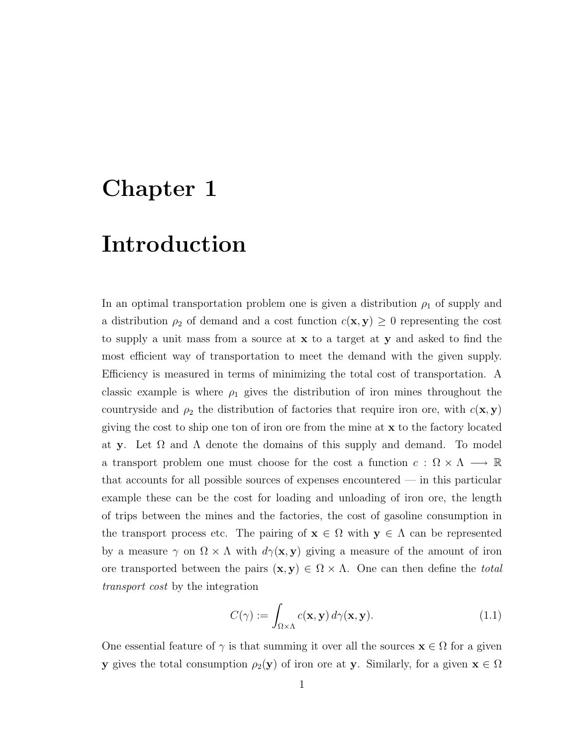# <span id="page-10-0"></span>Chapter 1

### Introduction

In an optimal transportation problem one is given a distribution  $\rho_1$  of supply and a distribution  $\rho_2$  of demand and a cost function  $c(\mathbf{x}, \mathbf{y}) \geq 0$  representing the cost to supply a unit mass from a source at x to a target at y and asked to find the most efficient way of transportation to meet the demand with the given supply. Efficiency is measured in terms of minimizing the total cost of transportation. A classic example is where  $\rho_1$  gives the distribution of iron mines throughout the countryside and  $\rho_2$  the distribution of factories that require iron ore, with  $c(\mathbf{x}, \mathbf{y})$ giving the cost to ship one ton of iron ore from the mine at  $x$  to the factory located at y. Let  $\Omega$  and  $\Lambda$  denote the domains of this supply and demand. To model a transport problem one must choose for the cost a function  $c : \Omega \times \Lambda \longrightarrow \mathbb{R}$ that accounts for all possible sources of expenses encountered — in this particular example these can be the cost for loading and unloading of iron ore, the length of trips between the mines and the factories, the cost of gasoline consumption in the transport process etc. The pairing of  $\mathbf{x} \in \Omega$  with  $\mathbf{y} \in \Lambda$  can be represented by a measure  $\gamma$  on  $\Omega \times \Lambda$  with  $d\gamma(\mathbf{x}, \mathbf{y})$  giving a measure of the amount of iron ore transported between the pairs  $(x, y) \in \Omega \times \Lambda$ . One can then define the *total* transport cost by the integration

<span id="page-10-1"></span>
$$
C(\gamma) := \int_{\Omega \times \Lambda} c(\mathbf{x}, \mathbf{y}) \, d\gamma(\mathbf{x}, \mathbf{y}). \tag{1.1}
$$

One essential feature of  $\gamma$  is that summing it over all the sources  $\mathbf{x} \in \Omega$  for a given y gives the total consumption  $\rho_2(y)$  of iron ore at y. Similarly, for a given  $x \in \Omega$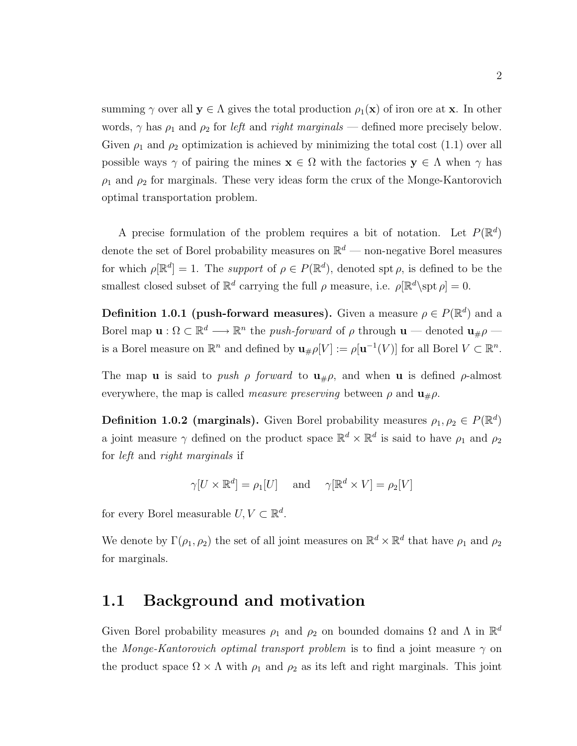summing  $\gamma$  over all  $y \in \Lambda$  gives the total production  $\rho_1(x)$  of iron ore at x. In other words,  $\gamma$  has  $\rho_1$  and  $\rho_2$  for *left* and *right marginals* — defined more precisely below. Given  $\rho_1$  and  $\rho_2$  optimization is achieved by minimizing the total cost [\(1.1\)](#page-10-1) over all possible ways  $\gamma$  of pairing the mines  $\mathbf{x} \in \Omega$  with the factories  $\mathbf{y} \in \Lambda$  when  $\gamma$  has  $\rho_1$  and  $\rho_2$  for marginals. These very ideas form the crux of the Monge-Kantorovich optimal transportation problem.

A precise formulation of the problem requires a bit of notation. Let  $P(\mathbb{R}^d)$ denote the set of Borel probability measures on  $\mathbb{R}^d$  — non-negative Borel measures for which  $\rho[\mathbb{R}^d] = 1$ . The support of  $\rho \in P(\mathbb{R}^d)$ , denoted spt  $\rho$ , is defined to be the smallest closed subset of  $\mathbb{R}^d$  carrying the full  $\rho$  measure, i.e.  $\rho[\mathbb{R}^d\setminus \operatorname{spt} \rho] = 0$ .

**Definition 1.0.1 (push-forward measures).** Given a measure  $\rho \in P(\mathbb{R}^d)$  and a Borel map  $\mathbf{u}: \Omega \subset \mathbb{R}^d \longrightarrow \mathbb{R}^n$  the *push-forward* of  $\rho$  through  $\mathbf{u}$  — denoted  $\mathbf{u}_{\#}\rho$  is a Borel measure on  $\mathbb{R}^n$  and defined by  $\mathbf{u}_{\#}\rho[V] := \rho[\mathbf{u}^{-1}(V)]$  for all Borel  $V \subset \mathbb{R}^n$ .

The map **u** is said to *push*  $\rho$  *forward* to  $\mathbf{u}_{\#}\rho$ , and when **u** is defined  $\rho$ -almost everywhere, the map is called *measure preserving* between  $\rho$  and  $\mathbf{u}_{\#}\rho$ .

**Definition 1.0.2 (marginals).** Given Borel probability measures  $\rho_1, \rho_2 \in P(\mathbb{R}^d)$ a joint measure  $\gamma$  defined on the product space  $\mathbb{R}^d \times \mathbb{R}^d$  is said to have  $\rho_1$  and  $\rho_2$ for left and right marginals if

$$
\gamma[U \times \mathbb{R}^d] = \rho_1[U]
$$
 and  $\gamma[\mathbb{R}^d \times V] = \rho_2[V]$ 

for every Borel measurable  $U, V \subset \mathbb{R}^d$ .

We denote by  $\Gamma(\rho_1, \rho_2)$  the set of all joint measures on  $\mathbb{R}^d \times \mathbb{R}^d$  that have  $\rho_1$  and  $\rho_2$ for marginals.

#### <span id="page-11-0"></span>1.1 Background and motivation

Given Borel probability measures  $\rho_1$  and  $\rho_2$  on bounded domains  $\Omega$  and  $\Lambda$  in  $\mathbb{R}^d$ the Monge-Kantorovich optimal transport problem is to find a joint measure  $\gamma$  on the product space  $\Omega \times \Lambda$  with  $\rho_1$  and  $\rho_2$  as its left and right marginals. This joint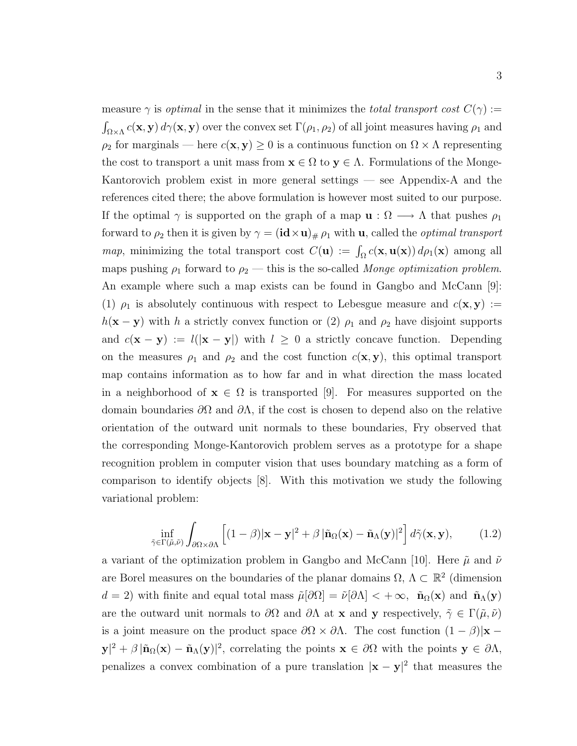measure  $\gamma$  is *optimal* in the sense that it minimizes the *total transport cost*  $C(\gamma) :=$  $\int_{\Omega\times\Lambda} c(\mathbf{x}, \mathbf{y}) d\gamma(\mathbf{x}, \mathbf{y})$  over the convex set  $\Gamma(\rho_1, \rho_2)$  of all joint measures having  $\rho_1$  and  $\rho_2$  for marginals — here  $c(\mathbf{x}, \mathbf{y}) \geq 0$  is a continuous function on  $\Omega \times \Lambda$  representing the cost to transport a unit mass from  $\mathbf{x} \in \Omega$  to  $\mathbf{y} \in \Lambda$ . Formulations of the Monge-Kantorovich problem exist in more general settings — see Appendix[-A](#page-76-0) and the references cited there; the above formulation is however most suited to our purpose. If the optimal  $\gamma$  is supported on the graph of a map  $\mathbf{u} : \Omega \longrightarrow \Lambda$  that pushes  $\rho_1$ forward to  $\rho_2$  then it is given by  $\gamma = (\mathbf{id} \times \mathbf{u})_{\#} \rho_1$  with **u**, called the *optimal transport* map, minimizing the total transport cost  $C(\mathbf{u}) := \int_{\Omega} c(\mathbf{x}, \mathbf{u}(\mathbf{x})) d\rho_1(\mathbf{x})$  among all maps pushing  $\rho_1$  forward to  $\rho_2$  — this is the so-called *Monge optimization problem*. An example where such a map exists can be found in Gangbo and McCann [\[9\]](#page-82-1): (1)  $\rho_1$  is absolutely continuous with respect to Lebesgue measure and  $c(\mathbf{x}, \mathbf{y}) :=$  $h(\mathbf{x} - \mathbf{y})$  with h a strictly convex function or (2)  $\rho_1$  and  $\rho_2$  have disjoint supports and  $c(\mathbf{x} - \mathbf{y}) := l(|\mathbf{x} - \mathbf{y}|)$  with  $l \geq 0$  a strictly concave function. Depending on the measures  $\rho_1$  and  $\rho_2$  and the cost function  $c(\mathbf{x}, \mathbf{y})$ , this optimal transport map contains information as to how far and in what direction the mass located in a neighborhood of  $\mathbf{x} \in \Omega$  is transported [\[9\]](#page-82-1). For measures supported on the domain boundaries  $\partial\Omega$  and  $\partial\Lambda$ , if the cost is chosen to depend also on the relative orientation of the outward unit normals to these boundaries, Fry observed that the corresponding Monge-Kantorovich problem serves as a prototype for a shape recognition problem in computer vision that uses boundary matching as a form of comparison to identify objects [\[8\]](#page-82-2). With this motivation we study the following variational problem:

$$
\inf_{\tilde{\gamma}\in\Gamma(\tilde{\mu},\tilde{\nu})}\int_{\partial\Omega\times\partial\Lambda}\left[(1-\beta)|\mathbf{x}-\mathbf{y}|^2+\beta|\tilde{\mathbf{n}}_{\Omega}(\mathbf{x})-\tilde{\mathbf{n}}_{\Lambda}(\mathbf{y})|^2\right]d\tilde{\gamma}(\mathbf{x},\mathbf{y}),\qquad(1.2)
$$

<span id="page-12-0"></span>a variant of the optimization problem in Gangbo and McCann [\[10\]](#page-83-0). Here  $\tilde{\mu}$  and  $\tilde{\nu}$ are Borel measures on the boundaries of the planar domains  $\Omega, \Lambda \subset \mathbb{R}^2$  (dimension d = 2) with finite and equal total mass  $\tilde{\mu}[\partial\Omega] = \tilde{\nu}[\partial\Lambda] < +\infty$ ,  $\tilde{\mathbf{n}}_{\Omega}(\mathbf{x})$  and  $\tilde{\mathbf{n}}_{\Lambda}(\mathbf{y})$ are the outward unit normals to  $\partial\Omega$  and  $\partial\Lambda$  at x and y respectively,  $\tilde{\gamma} \in \Gamma(\tilde{\mu}, \tilde{\nu})$ is a joint measure on the product space  $\partial\Omega \times \partial\Lambda$ . The cost function  $(1 - \beta)|\mathbf{x} - \mathbf{z}|$  $|\mathbf{y}|^2 + \beta |\tilde{\mathbf{n}}_{\Omega}(\mathbf{x}) - \tilde{\mathbf{n}}_{\Lambda}(\mathbf{y})|^2$ , correlating the points  $\mathbf{x} \in \partial\Omega$  with the points  $\mathbf{y} \in \partial\Lambda$ , penalizes a convex combination of a pure translation  $|\mathbf{x} - \mathbf{y}|^2$  that measures the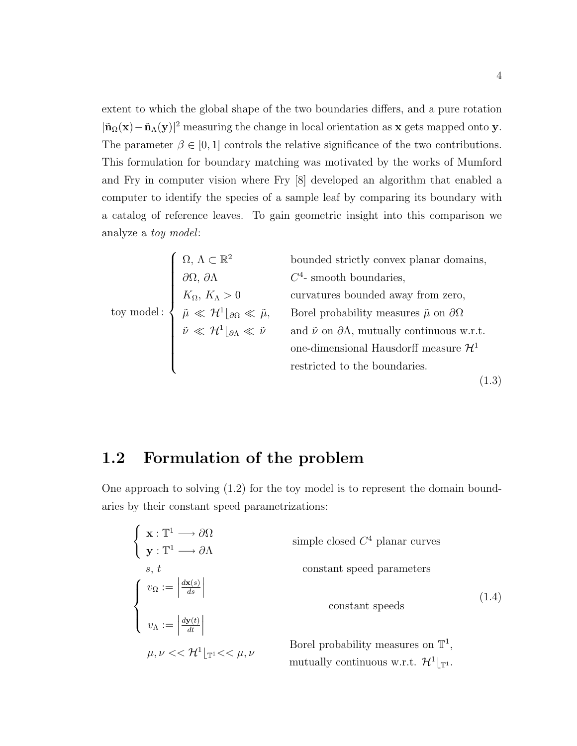extent to which the global shape of the two boundaries differs, and a pure rotation  $|\tilde{n}_{\Omega}(\mathbf{x}) - \tilde{n}_{\Lambda}(\mathbf{y})|^2$  measuring the change in local orientation as x gets mapped onto y. The parameter  $\beta \in [0, 1]$  controls the relative significance of the two contributions. This formulation for boundary matching was motivated by the works of Mumford and Fry in computer vision where Fry [\[8\]](#page-82-2) developed an algorithm that enabled a computer to identify the species of a sample leaf by comparing its boundary with a catalog of reference leaves. To gain geometric insight into this comparison we analyze a toy model:

<span id="page-13-1"></span>

|                                                                                                                                                                                                                                                                                                                                                                           | bounded strictly convex planar domains,                             |
|---------------------------------------------------------------------------------------------------------------------------------------------------------------------------------------------------------------------------------------------------------------------------------------------------------------------------------------------------------------------------|---------------------------------------------------------------------|
|                                                                                                                                                                                                                                                                                                                                                                           | $C4$ - smooth boundaries,                                           |
| $\label{eq:3.1} \text{v model: } \left\{ \begin{array}{l} \Omega, \, \Lambda \subset \mathbb{R}^2 \\ \partial \Omega, \, \partial \Lambda \\ K_\Omega, \, K_\Lambda > 0 \\ \tilde{\mu} \, \ll \, \mathcal{H}^1\lfloor_{\partial \Omega} \ll \, \tilde{\mu}, \\ \tilde{\nu} \, \ll \, \mathcal{H}^1\lfloor_{\partial \Lambda} \ll \, \tilde{\nu} \end{array} \right. \, .$ | curvatures bounded away from zero,                                  |
|                                                                                                                                                                                                                                                                                                                                                                           | Borel probability measures $\tilde{\mu}$ on $\partial\Omega$        |
|                                                                                                                                                                                                                                                                                                                                                                           | and $\tilde{\nu}$ on $\partial \Lambda,$ mutually continuous w.r.t. |
|                                                                                                                                                                                                                                                                                                                                                                           | one-dimensional Hausdorff measure $\mathcal{H}^1$                   |
|                                                                                                                                                                                                                                                                                                                                                                           | restricted to the boundaries.                                       |
|                                                                                                                                                                                                                                                                                                                                                                           | (1.3)                                                               |

#### <span id="page-13-0"></span>1.2 Formulation of the problem

One approach to solving [\(1.2\)](#page-12-0) for the toy model is to represent the domain boundaries by their constant speed parametrizations:

<span id="page-13-2"></span> $\int \mathbf{x} : \mathbb{T}^1 \longrightarrow \partial \Omega$  $y: \mathbb{T}^1 \longrightarrow \partial \Lambda$ simple closed  $C<sup>4</sup>$  planar curves constant speed parameters  $\sqrt{ }$  $\int$  $\overline{\mathcal{L}}$  $v_{\Omega} :=$  $d\mathbf{x}(s)$ ds  $v_\Lambda :=$  $d\mathbf{y}(t)$ dt  $\begin{array}{c} \hline \end{array}$ constant speeds  $\mu,\nu << \mathcal{H}^1\vert_{\mathbb{T}^1} << \mu,\nu$ Borel probability measures on  $\mathbb{T}^1$ , mutually continuous w.r.t.  $\mathcal{H}^1|_{\mathbb{T}^1}$ . (1.4)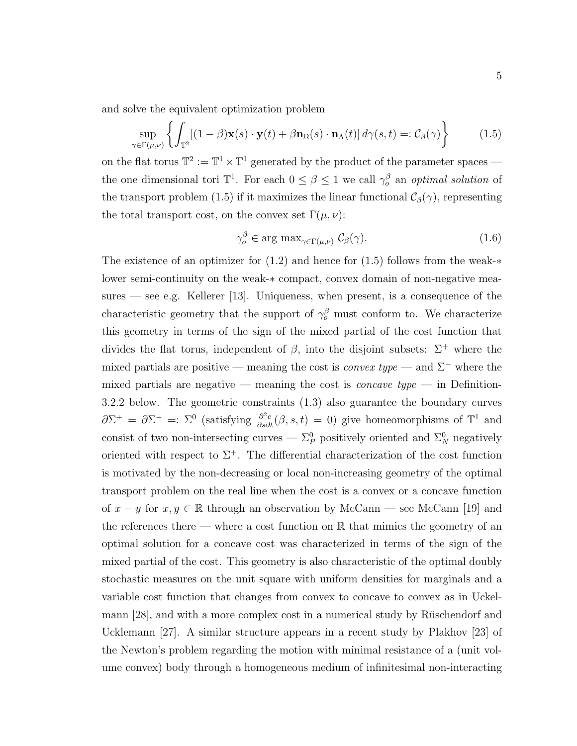and solve the equivalent optimization problem

$$
\sup_{\gamma \in \Gamma(\mu,\nu)} \left\{ \int_{\mathbb{T}^2} [(1-\beta)\mathbf{x}(s) \cdot \mathbf{y}(t) + \beta \mathbf{n}_{\Omega}(s) \cdot \mathbf{n}_{\Lambda}(t)] d\gamma(s,t) =: \mathcal{C}_{\beta}(\gamma) \right\} \tag{1.5}
$$

on the flat torus  $\mathbb{T}^2 := \mathbb{T}^1 \times \mathbb{T}^1$  generated by the product of the parameter spaces the one dimensional tori  $\mathbb{T}^1$ . For each  $0 \leq \beta \leq 1$  we call  $\gamma_o^{\beta}$  an *optimal solution* of the transport problem [\(1.5\)](#page-14-0) if it maximizes the linear functional  $\mathcal{C}_{\beta}(\gamma)$ , representing the total transport cost, on the convex set  $\Gamma(\mu, \nu)$ :

<span id="page-14-1"></span><span id="page-14-0"></span>
$$
\gamma_o^{\beta} \in \arg \max_{\gamma \in \Gamma(\mu, \nu)} \mathcal{C}_{\beta}(\gamma). \tag{1.6}
$$

The existence of an optimizer for  $(1.2)$  and hence for  $(1.5)$  follows from the weak- $*$ lower semi-continuity on the weak-∗ compact, convex domain of non-negative measures — see e.g. Kellerer [\[13\]](#page-83-1). Uniqueness, when present, is a consequence of the characteristic geometry that the support of  $\gamma_o^{\beta}$  must conform to. We characterize this geometry in terms of the sign of the mixed partial of the cost function that divides the flat torus, independent of  $\beta$ , into the disjoint subsets:  $\Sigma^+$  where the mixed partials are positive — meaning the cost is *convex type* — and  $\Sigma^-$  where the mixed partials are negative — meaning the cost is *concave type* — in Definition-[3.2.2](#page-30-0) below. The geometric constraints [\(1.3\)](#page-13-1) also guarantee the boundary curves  $\partial\Sigma^+ = \partial\Sigma^- =: \Sigma^0$  (satisfying  $\frac{\partial^2 c}{\partial s \partial t}(\beta, s, t) = 0$ ) give homeomorphisms of  $\mathbb{T}^1$  and consist of two non-intersecting curves —  $\Sigma_P^0$  positively oriented and  $\Sigma_N^0$  negatively oriented with respect to  $\Sigma^+$ . The differential characterization of the cost function is motivated by the non-decreasing or local non-increasing geometry of the optimal transport problem on the real line when the cost is a convex or a concave function of  $x - y$  for  $x, y \in \mathbb{R}$  through an observation by McCann — see McCann [\[19\]](#page-83-2) and the references there — where a cost function on  $\mathbb R$  that mimics the geometry of an optimal solution for a concave cost was characterized in terms of the sign of the mixed partial of the cost. This geometry is also characteristic of the optimal doubly stochastic measures on the unit square with uniform densities for marginals and a variable cost function that changes from convex to concave to convex as in Uckelmann  $[28]$ , and with a more complex cost in a numerical study by Rüschendorf and Ucklemann [\[27\]](#page-84-1). A similar structure appears in a recent study by Plakhov [\[23\]](#page-84-2) of the Newton's problem regarding the motion with minimal resistance of a (unit volume convex) body through a homogeneous medium of infinitesimal non-interacting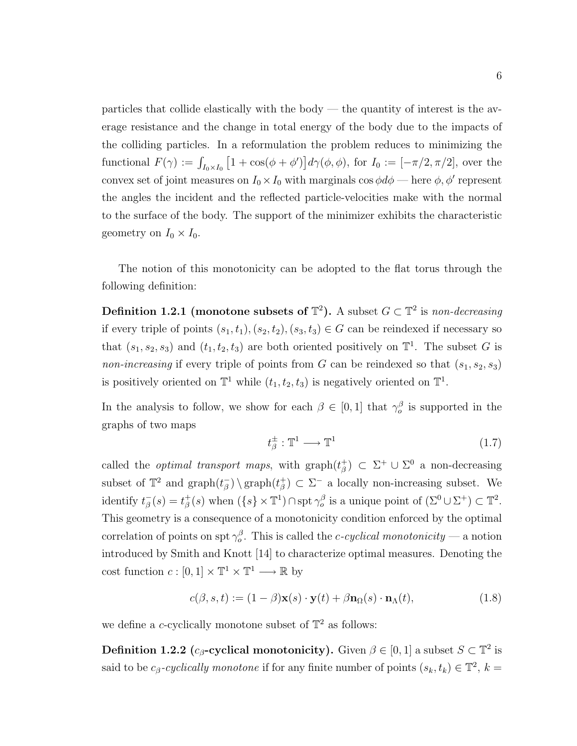particles that collide elastically with the body — the quantity of interest is the average resistance and the change in total energy of the body due to the impacts of the colliding particles. In a reformulation the problem reduces to minimizing the functional  $F(\gamma) := \int_{I_0 \times I_0} \left[1 + \cos(\phi + \phi')\right] d\gamma(\phi, \phi)$ , for  $I_0 := \left[-\frac{\pi}{2}, \frac{\pi}{2}\right]$ , over the convex set of joint measures on  $I_0 \times I_0$  with marginals cos  $\phi d\phi$  — here  $\phi$ ,  $\phi'$  represent the angles the incident and the reflected particle-velocities make with the normal to the surface of the body. The support of the minimizer exhibits the characteristic geometry on  $I_0 \times I_0$ .

The notion of this monotonicity can be adopted to the flat torus through the following definition:

Definition 1.2.1 (monotone subsets of  $\mathbb{T}^2$ ). A subset  $G \subset \mathbb{T}^2$  is non-decreasing if every triple of points  $(s_1, t_1), (s_2, t_2), (s_3, t_3) \in G$  can be reindexed if necessary so that  $(s_1, s_2, s_3)$  and  $(t_1, t_2, t_3)$  are both oriented positively on  $\mathbb{T}^1$ . The subset G is non-increasing if every triple of points from  $G$  can be reindexed so that  $(s_1, s_2, s_3)$ is positively oriented on  $\mathbb{T}^1$  while  $(t_1, t_2, t_3)$  is negatively oriented on  $\mathbb{T}^1$ .

In the analysis to follow, we show for each  $\beta \in [0,1]$  that  $\gamma_o^{\beta}$  is supported in the graphs of two maps

<span id="page-15-0"></span>
$$
t_{\beta}^{\pm} : \mathbb{T}^1 \longrightarrow \mathbb{T}^1 \tag{1.7}
$$

called the *optimal transport maps*, with graph $(t^*_{\beta})$ <sup>+</sup><sub>β</sub>)  $\subset \Sigma^+ \cup \Sigma^0$  a non-decreasing subset of  $\mathbb{T}^2$  and graph $(t_\beta^-)$  $\frac{1}{\beta}$ ) \ graph $(t^+_{\beta})$  $\frac{1}{\beta}$   $\subset \Sigma^-$  a locally non-increasing subset. We identify  $t_{\beta}^ \frac{1}{\beta}(s) = t_{\beta}^+$  $\phi_{\beta}^{+}(s)$  when  $(\{s\}\times\mathbb{T}^1)\cap \operatorname{spt} \gamma_{o}^{\beta}$  is a unique point of  $(\Sigma^0\cup\Sigma^+) \subset \mathbb{T}^2$ . This geometry is a consequence of a monotonicity condition enforced by the optimal correlation of points on spt  $\gamma_o^{\beta}$ . This is called the *c*-cyclical monotonicity — a notion introduced by Smith and Knott [\[14\]](#page-83-3) to characterize optimal measures. Denoting the cost function  $c: [0,1] \times \mathbb{T}^1 \times \mathbb{T}^1 \longrightarrow \mathbb{R}$  by

<span id="page-15-1"></span>
$$
c(\beta, s, t) := (1 - \beta)\mathbf{x}(s) \cdot \mathbf{y}(t) + \beta \mathbf{n}_{\Omega}(s) \cdot \mathbf{n}_{\Lambda}(t), \qquad (1.8)
$$

we define a *c*-cyclically monotone subset of  $\mathbb{T}^2$  as follows:

Definition 1.2.2 ( $c_{\beta}$ -cyclical monotonicity). Given  $\beta \in [0,1]$  a subset  $S \subset \mathbb{T}^2$  is said to be  $c_{\beta}$ -cyclically monotone if for any finite number of points  $(s_k, t_k) \in \mathbb{T}^2$ ,  $k =$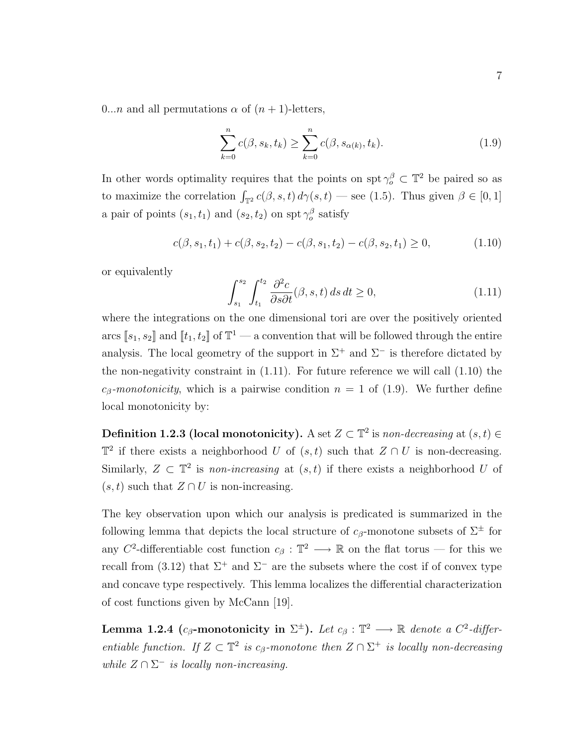0...*n* and all permutations  $\alpha$  of  $(n + 1)$ -letters,

<span id="page-16-2"></span>
$$
\sum_{k=0}^{n} c(\beta, s_k, t_k) \ge \sum_{k=0}^{n} c(\beta, s_{\alpha(k)}, t_k).
$$
 (1.9)

In other words optimality requires that the points on spt  $\gamma_o^{\beta} \subset \mathbb{T}^2$  be paired so as to maximize the correlation  $\int_{\mathbb{T}^2} c(\beta, s, t) d\gamma(s, t)$  — see [\(1.5\)](#page-14-0). Thus given  $\beta \in [0, 1]$ a pair of points  $(s_1, t_1)$  and  $(s_2, t_2)$  on spt  $\gamma_o^{\beta}$  satisfy

<span id="page-16-0"></span>
$$
c(\beta, s_1, t_1) + c(\beta, s_2, t_2) - c(\beta, s_1, t_2) - c(\beta, s_2, t_1) \ge 0,
$$
\n(1.10)

or equivalently

<span id="page-16-1"></span>
$$
\int_{s_1}^{s_2} \int_{t_1}^{t_2} \frac{\partial^2 c}{\partial s \partial t}(\beta, s, t) ds dt \ge 0,
$$
\n(1.11)

where the integrations on the one dimensional tori are over the positively oriented arcs  $[s_1, s_2]$  and  $[t_1, t_2]$  of  $\mathbb{T}^1$  — a convention that will be followed through the entire analysis. The local geometry of the support in  $\Sigma^+$  and  $\Sigma^-$  is therefore dictated by the non-negativity constraint in  $(1.11)$ . For future reference we will call  $(1.10)$  the  $c_{\beta}$ -monotonicity, which is a pairwise condition  $n = 1$  of [\(1.9\)](#page-16-2). We further define local monotonicity by:

Definition 1.2.3 (local monotonicity). A set  $Z \subset \mathbb{T}^2$  is non-decreasing at  $(s, t) \in$  $\mathbb{T}^2$  if there exists a neighborhood U of  $(s, t)$  such that  $Z \cap U$  is non-decreasing. Similarly,  $Z \subset \mathbb{T}^2$  is *non-increasing* at  $(s, t)$  if there exists a neighborhood U of  $(s, t)$  such that  $Z \cap U$  is non-increasing.

The key observation upon which our analysis is predicated is summarized in the following lemma that depicts the local structure of  $c_{\beta}$ -monotone subsets of  $\Sigma^{\pm}$  for any C<sup>2</sup>-differentiable cost function  $c_{\beta}: \mathbb{T}^2 \longrightarrow \mathbb{R}$  on the flat torus — for this we recall from [\(3.12\)](#page-30-1) that  $\Sigma^+$  and  $\Sigma^-$  are the subsets where the cost if of convex type and concave type respectively. This lemma localizes the differential characterization of cost functions given by McCann [\[19\]](#page-83-2).

<span id="page-16-3"></span>Lemma 1.2.4 (c<sub>β</sub>-monotonicity in  $\Sigma^{\pm}$ ). Let  $c_{\beta}$  :  $\mathbb{T}^2 \longrightarrow \mathbb{R}$  denote a  $C^2$ -differentiable function. If  $Z \subset \mathbb{T}^2$  is  $c_\beta$ -monotone then  $Z \cap \Sigma^+$  is locally non-decreasing while  $Z \cap \Sigma^-$  is locally non-increasing.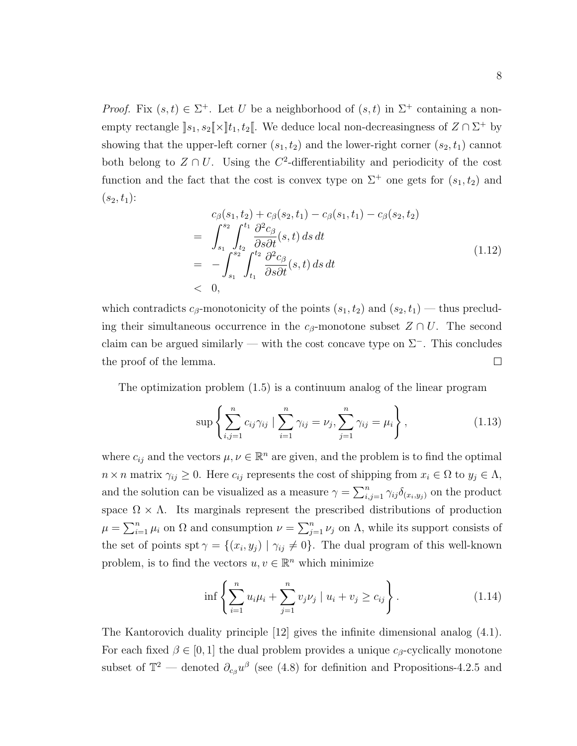*Proof.* Fix  $(s, t) \in \Sigma^+$ . Let U be a neighborhood of  $(s, t)$  in  $\Sigma^+$  containing a nonempty rectangle  $\llbracket s_1, s_2 \llbracket \times \rrbracket t_1, t_2 \llbracket$ . We deduce local non-decreasingness of  $Z \cap \Sigma^+$  by showing that the upper-left corner  $(s_1, t_2)$  and the lower-right corner  $(s_2, t_1)$  cannot both belong to  $Z \cap U$ . Using the  $C^2$ -differentiability and periodicity of the cost function and the fact that the cost is convex type on  $\Sigma^+$  one gets for  $(s_1, t_2)$  and  $(s_2, t_1)$ :

$$
c_{\beta}(s_1, t_2) + c_{\beta}(s_2, t_1) - c_{\beta}(s_1, t_1) - c_{\beta}(s_2, t_2)
$$
  
= 
$$
\int_{s_1}^{s_2} \int_{t_2}^{t_1} \frac{\partial^2 c_{\beta}}{\partial s \partial t} (s, t) ds dt
$$
  
= 
$$
-\int_{s_1}^{s_2} \int_{t_1}^{t_2} \frac{\partial^2 c_{\beta}}{\partial s \partial t} (s, t) ds dt
$$
  
< 0, (1.12)

which contradicts  $c_{\beta}$ -monotonicity of the points  $(s_1, t_2)$  and  $(s_2, t_1)$  — thus precluding their simultaneous occurrence in the  $c<sub>β</sub>$ -monotone subset  $Z \cap U$ . The second claim can be argued similarly — with the cost concave type on  $\Sigma^-$ . This concludes the proof of the lemma.  $\Box$ 

The optimization problem [\(1.5\)](#page-14-0) is a continuum analog of the linear program

$$
\sup \left\{ \sum_{i,j=1}^{n} c_{ij} \gamma_{ij} \mid \sum_{i=1}^{n} \gamma_{ij} = \nu_j, \sum_{j=1}^{n} \gamma_{ij} = \mu_i \right\},
$$
\n(1.13)

where  $c_{ij}$  and the vectors  $\mu, \nu \in \mathbb{R}^n$  are given, and the problem is to find the optimal  $n \times n$  matrix  $\gamma_{ij} \geq 0$ . Here  $c_{ij}$  represents the cost of shipping from  $x_i \in \Omega$  to  $y_j \in \Lambda$ , and the solution can be visualized as a measure  $\gamma = \sum_{i,j=1}^n \gamma_{ij} \delta_{(x_i,y_j)}$  on the product space  $\Omega \times \Lambda$ . Its marginals represent the prescribed distributions of production  $\mu = \sum_{i=1}^n \mu_i$  on  $\Omega$  and consumption  $\nu = \sum_{j=1}^n \nu_j$  on  $\Lambda$ , while its support consists of the set of points spt  $\gamma = \{(x_i, y_j) | \gamma_{ij} \neq 0\}$ . The dual program of this well-known problem, is to find the vectors  $u, v \in \mathbb{R}^n$  which minimize

$$
\inf \left\{ \sum_{i=1}^{n} u_i \mu_i + \sum_{j=1}^{n} v_j \nu_j \mid u_i + v_j \ge c_{ij} \right\}.
$$
 (1.14)

The Kantorovich duality principle [\[12\]](#page-83-4) gives the infinite dimensional analog [\(4.1\)](#page-37-2). For each fixed  $\beta \in [0, 1]$  the dual problem provides a unique  $c_{\beta}$ -cyclically monotone subset of  $\mathbb{T}^2$  — denoted  $\partial_{c_\beta}u^\beta$  (see [\(4.8\)](#page-39-0) for definition and Propositions[-4.2.5](#page-46-1) and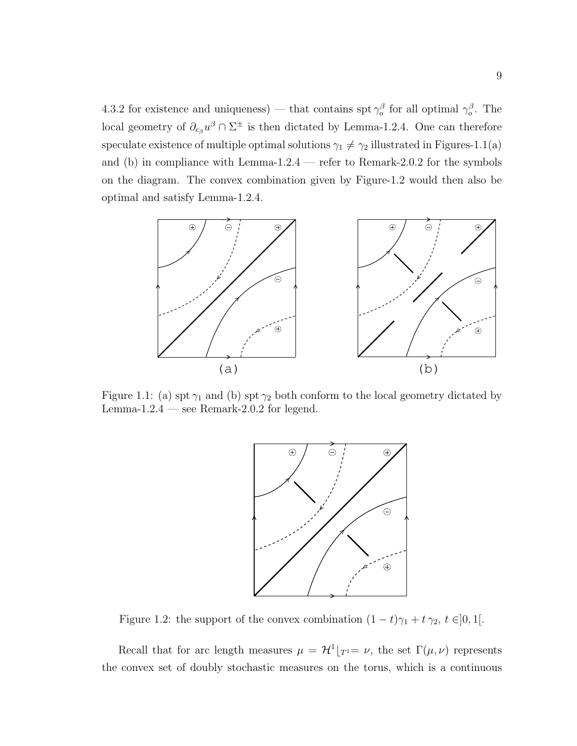[4.3.2](#page-48-0) for existence and uniqueness) — that contains spt  $\gamma_o^{\beta}$  for all optimal  $\gamma_o^{\beta}$ . The local geometry of  $\partial_{c_{\beta}}u^{\beta}\cap\Sigma^{\pm}$  is then dictated by Lemma[-1.2.4.](#page-16-3) One can therefore speculate existence of multiple optimal solutions  $\gamma_1 \neq \gamma_2$  illustrated in Figures[-1.1\(](#page-18-0)a) and (b) in compliance with Lemma[-1.2.4](#page-16-3) — refer to Remark[-2.0.2](#page-23-0) for the symbols on the diagram. The convex combination given by Figure[-1.2](#page-18-1) would then also be optimal and satisfy Lemma[-1.2.4.](#page-16-3)



<span id="page-18-0"></span>Figure 1.1: (a) spt  $\gamma_1$  and (b) spt  $\gamma_2$  both conform to the local geometry dictated by Lemma[-1.2.4](#page-16-3) — see Remark[-2.0.2](#page-23-0) for legend.



<span id="page-18-1"></span>Figure 1.2: the support of the convex combination  $(1-t)\gamma_1 + t \gamma_2$ ,  $t \in ]0,1[$ .

Recall that for arc length measures  $\mu = \mathcal{H}^1|_{T} = \nu$ , the set  $\Gamma(\mu, \nu)$  represents the convex set of doubly stochastic measures on the torus, which is a continuous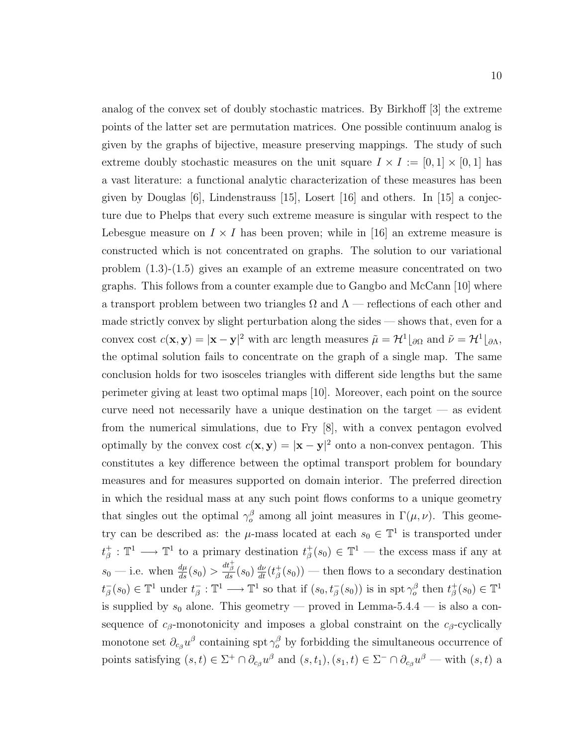analog of the convex set of doubly stochastic matrices. By Birkhoff [\[3\]](#page-82-3) the extreme points of the latter set are permutation matrices. One possible continuum analog is given by the graphs of bijective, measure preserving mappings. The study of such extreme doubly stochastic measures on the unit square  $I \times I := [0, 1] \times [0, 1]$  has a vast literature: a functional analytic characterization of these measures has been given by Douglas  $[6]$ , Lindenstrauss  $[15]$ , Losert  $[16]$  and others. In  $[15]$  a conjecture due to Phelps that every such extreme measure is singular with respect to the Lebesgue measure on  $I \times I$  has been proven; while in [\[16\]](#page-83-6) an extreme measure is constructed which is not concentrated on graphs. The solution to our variational problem  $(1.3)-(1.5)$  $(1.3)-(1.5)$  gives an example of an extreme measure concentrated on two graphs. This follows from a counter example due to Gangbo and McCann [\[10\]](#page-83-0) where a transport problem between two triangles  $\Omega$  and  $\Lambda$  — reflections of each other and made strictly convex by slight perturbation along the sides — shows that, even for a convex cost  $c(\mathbf{x}, \mathbf{y}) = |\mathbf{x} - \mathbf{y}|^2$  with arc length measures  $\tilde{\mu} = \mathcal{H}^1|_{\partial \Omega}$  and  $\tilde{\nu} = \mathcal{H}^1|_{\partial \Lambda}$ , the optimal solution fails to concentrate on the graph of a single map. The same conclusion holds for two isosceles triangles with different side lengths but the same perimeter giving at least two optimal maps [\[10\]](#page-83-0). Moreover, each point on the source curve need not necessarily have a unique destination on the target — as evident from the numerical simulations, due to Fry [\[8\]](#page-82-2), with a convex pentagon evolved optimally by the convex cost  $c(\mathbf{x}, \mathbf{y}) = |\mathbf{x} - \mathbf{y}|^2$  onto a non-convex pentagon. This constitutes a key difference between the optimal transport problem for boundary measures and for measures supported on domain interior. The preferred direction in which the residual mass at any such point flows conforms to a unique geometry that singles out the optimal  $\gamma_o^{\beta}$  among all joint measures in  $\Gamma(\mu, \nu)$ . This geometry can be described as: the  $\mu$ -mass located at each  $s_0 \in \mathbb{T}^1$  is transported under  $t_{\beta}^+$  $\phi^+_{\beta}$ :  $\mathbb{T}^1 \longrightarrow \mathbb{T}^1$  to a primary destination  $t^+_{\beta}$  $\phi_{\beta}^{+}(s_0) \in \mathbb{T}^1$  — the excess mass if any at  $s_0$  — i.e. when  $\frac{d\mu}{ds}(s_0) > \frac{dt^{\dagger}_{\beta}}{ds}(s_0) \frac{d\nu}{dt}(t^{\dagger}_{\beta})$  $\phi_{\beta}^{+}(s_0)$  — then flows to a secondary destination  $t_{\beta}^ \bar{\beta}(s_0) \in \mathbb{T}^1$  under  $t_{\beta}^ \overline{\beta} : \mathbb{T}^1 \longrightarrow \mathbb{T}^1$  so that if  $(s_0, t_\beta^-(s_0))$  is in spt  $\gamma_o^{\beta}$  then  $t_\beta^+$  $_{\beta}^{+}(s_0) \in \mathbb{T}^1$ is supplied by  $s_0$  alone. This geometry — proved in Lemma[-5.4.4](#page-70-1) — is also a consequence of  $c_{\beta}$ -monotonicity and imposes a global constraint on the  $c_{\beta}$ -cyclically monotone set  $\partial_{c_\beta}u^\beta$  containing spt  $\gamma_o^\beta$  by forbidding the simultaneous occurrence of points satisfying  $(s, t) \in \Sigma^+ \cap \partial_{c_\beta} u^\beta$  and  $(s, t_1), (s_1, t) \in \Sigma^- \cap \partial_{c_\beta} u^\beta$  — with  $(s, t)$  a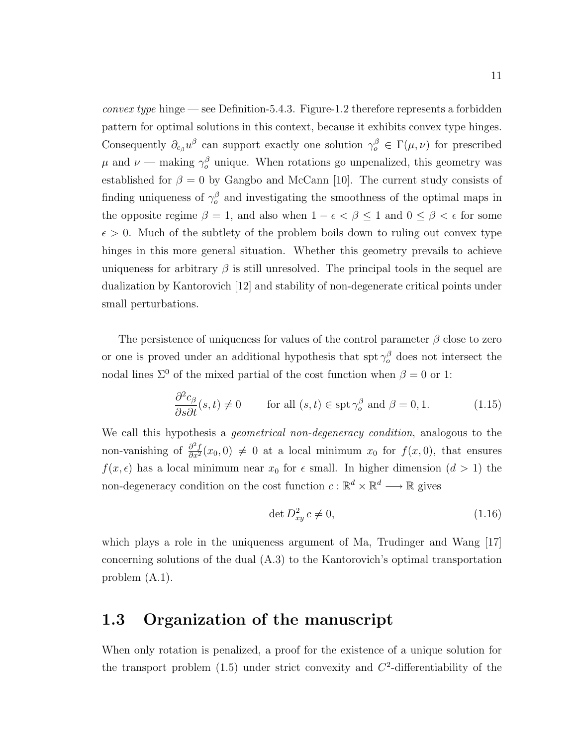*convex type* hinge — see Definition[-5.4.3.](#page-70-2) Figure[-1.2](#page-18-1) therefore represents a forbidden pattern for optimal solutions in this context, because it exhibits convex type hinges. Consequently  $\partial_{c_\beta}u^\beta$  can support exactly one solution  $\gamma_o^\beta \in \Gamma(\mu,\nu)$  for prescribed  $\mu$  and  $\nu$  — making  $\gamma_o^{\beta}$  unique. When rotations go unpenalized, this geometry was established for  $\beta = 0$  by Gangbo and McCann [\[10\]](#page-83-0). The current study consists of finding uniqueness of  $\gamma_o^{\beta}$  and investigating the smoothness of the optimal maps in the opposite regime  $\beta = 1$ , and also when  $1 - \epsilon < \beta \leq 1$  and  $0 \leq \beta < \epsilon$  for some  $\epsilon > 0$ . Much of the subtlety of the problem boils down to ruling out convex type hinges in this more general situation. Whether this geometry prevails to achieve uniqueness for arbitrary  $\beta$  is still unresolved. The principal tools in the sequel are dualization by Kantorovich [\[12\]](#page-83-4) and stability of non-degenerate critical points under small perturbations.

The persistence of uniqueness for values of the control parameter  $\beta$  close to zero or one is proved under an additional hypothesis that spt  $\gamma_o^{\beta}$  does not intersect the nodal lines  $\Sigma^0$  of the mixed partial of the cost function when  $\beta = 0$  or 1:

$$
\frac{\partial^2 c_{\beta}}{\partial s \partial t}(s, t) \neq 0 \qquad \text{for all } (s, t) \in \text{spt } \gamma_o^{\beta} \text{ and } \beta = 0, 1. \tag{1.15}
$$

We call this hypothesis a *geometrical non-degeneracy condition*, analogous to the non-vanishing of  $\frac{\partial^2 f}{\partial x^2}(x_0,0) \neq 0$  at a local minimum  $x_0$  for  $f(x,0)$ , that ensures  $f(x, \epsilon)$  has a local minimum near  $x_0$  for  $\epsilon$  small. In higher dimension  $(d > 1)$  the non-degeneracy condition on the cost function  $c : \mathbb{R}^d \times \mathbb{R}^d \longrightarrow \mathbb{R}$  gives

$$
\det D_{xy}^2 c \neq 0,\tag{1.16}
$$

which plays a role in the uniqueness argument of Ma, Trudinger and Wang [\[17\]](#page-83-7) concerning solutions of the dual [\(A.3\)](#page-77-0) to the Kantorovich's optimal transportation problem [\(A.1\)](#page-76-1).

#### <span id="page-20-0"></span>1.3 Organization of the manuscript

When only rotation is penalized, a proof for the existence of a unique solution for the transport problem  $(1.5)$  under strict convexity and  $C<sup>2</sup>$ -differentiability of the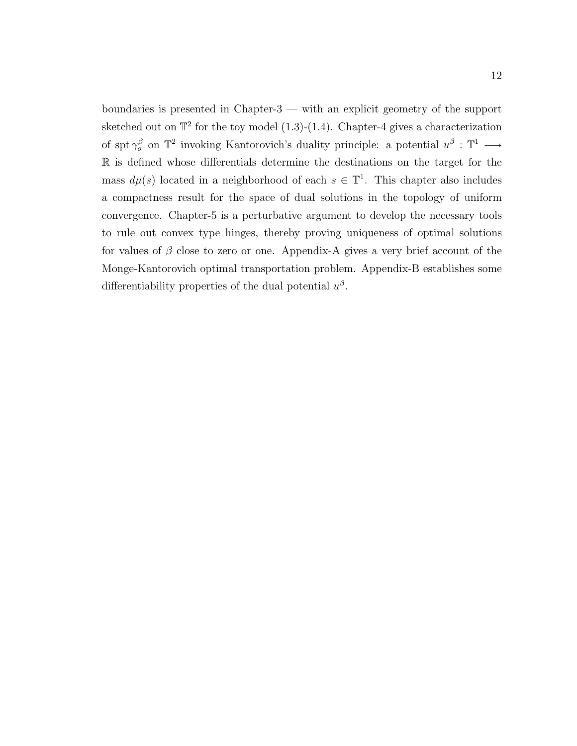boundaries is presented in Chapter-3 — with an explicit geometry of the support sketched out on  $\mathbb{T}^2$  for the toy model [\(1.3\)](#page-13-1)-[\(1.4\)](#page-13-2). Chapter-4 gives a characterization of spt  $\gamma_o^{\beta}$  on  $\mathbb{T}^2$  invoking Kantorovich's duality principle: a potential  $u^{\beta}$ :  $\mathbb{T}^1$   $\longrightarrow$ R is defined whose differentials determine the destinations on the target for the mass  $d\mu(s)$  located in a neighborhood of each  $s \in \mathbb{T}^1$ . This chapter also includes a compactness result for the space of dual solutions in the topology of uniform convergence. Chapter-5 is a perturbative argument to develop the necessary tools to rule out convex type hinges, thereby proving uniqueness of optimal solutions for values of  $\beta$  close to zero or one. Appendix[-A](#page-76-0) gives a very brief account of the Monge-Kantorovich optimal transportation problem. Appendix[-B](#page-78-0) establishes some differentiability properties of the dual potential  $u^{\beta}$ .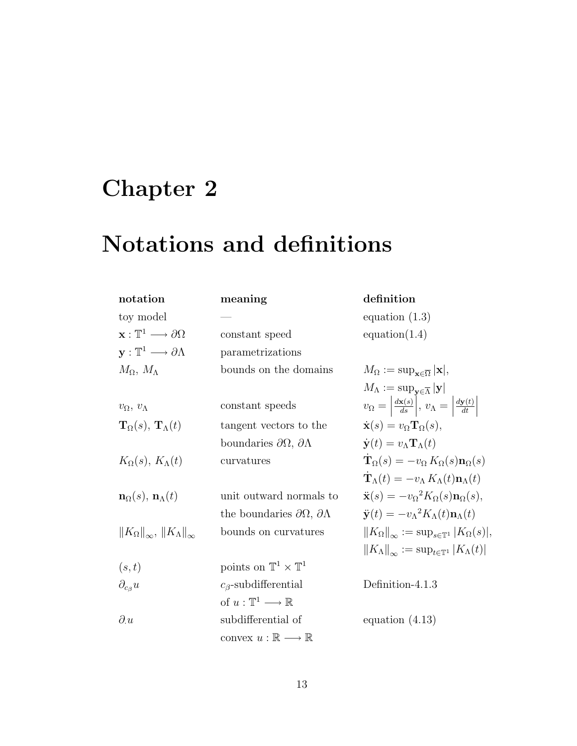# <span id="page-22-0"></span>Chapter 2

### Notations and definitions

| notation                                                    | meaning                                             | definition                                                                                                      |
|-------------------------------------------------------------|-----------------------------------------------------|-----------------------------------------------------------------------------------------------------------------|
| toy model                                                   |                                                     | equation $(1.3)$                                                                                                |
| $\mathbf{x}: \mathbb{T}^1 \longrightarrow \partial \Omega$  | constant speed                                      | equation(1.4)                                                                                                   |
| $\mathbf{y}: \mathbb{T}^1 \longrightarrow \partial \Lambda$ | parametrizations                                    |                                                                                                                 |
| $M_{\Omega}$ , $M_{\Lambda}$                                | bounds on the domains                               | $M_{\Omega} := \sup_{\mathbf{x} \in \overline{\Omega}}  \mathbf{x} ,$                                           |
|                                                             |                                                     | $M_{\Lambda} := \sup_{\mathbf{v} \in \overline{\Lambda}}  \mathbf{y} $                                          |
| $v_{\Omega}, v_{\Lambda}$                                   | constant speeds                                     | $v_{\Omega} = \left  \frac{d\mathbf{x}(s)}{ds} \right , v_{\Lambda} = \left  \frac{d\mathbf{y}(t)}{dt} \right $ |
| $\mathbf{T}_{\Omega}(s)$ , $\mathbf{T}_{\Lambda}(t)$        | tangent vectors to the                              | $\dot{\mathbf{x}}(s) = v_{\Omega} \mathbf{T}_{\Omega}(s),$                                                      |
|                                                             | boundaries $\partial\Omega$ , $\partial\Lambda$     | $\dot{\mathbf{y}}(t) = v_{\Lambda} \mathbf{T}_{\Lambda}(t)$                                                     |
| $K_{\Omega}(s)$ , $K_{\Lambda}(t)$                          | curvatures                                          | $\mathbf{T}_{\Omega}(s) = -v_{\Omega} K_{\Omega}(s) \mathbf{n}_{\Omega}(s)$                                     |
|                                                             |                                                     | $\dot{\mathbf{T}}_{\Lambda}(t) = -v_{\Lambda} K_{\Lambda}(t) \mathbf{n}_{\Lambda}(t)$                           |
| $\mathbf{n}_{\Omega}(s)$ , $\mathbf{n}_{\Lambda}(t)$        | unit outward normals to                             | $\ddot{\mathbf{x}}(s) = -v_0^2 K_{\Omega}(s) \mathbf{n}_{\Omega}(s),$                                           |
|                                                             | the boundaries $\partial\Omega$ , $\partial\Lambda$ | $\ddot{\mathbf{y}}(t) = -v_{\Lambda}{}^{2}K_{\Lambda}(t)\mathbf{n}_{\Lambda}(t)$                                |
| $\ K_{\Omega}\ _{\infty},\ K_{\Lambda}\ _{\infty}$          | bounds on curvatures                                | $  K_{\Omega}  _{\infty} := \sup_{s \in \mathbb{T}^1}  K_{\Omega}(s) $                                          |
|                                                             |                                                     | $  K_{\Lambda}  _{\infty} := \sup_{t \in \mathbb{T}^1}  K_{\Lambda}(t) $                                        |
| (s,t)                                                       | points on $\mathbb{T}^1 \times \mathbb{T}^1$        |                                                                                                                 |
| $\partial_{c_{\beta}}u$                                     | $c_{\beta}$ -subdifferential                        | Definition-4.1.3                                                                                                |
|                                                             | of $u:\mathbb{T}^1\longrightarrow\mathbb{R}$        |                                                                                                                 |
| $\partial_{\cdot}u$                                         | subdifferential of                                  | equation $(4.13)$                                                                                               |
|                                                             | convex $u:\mathbb{R}\longrightarrow\mathbb{R}$      |                                                                                                                 |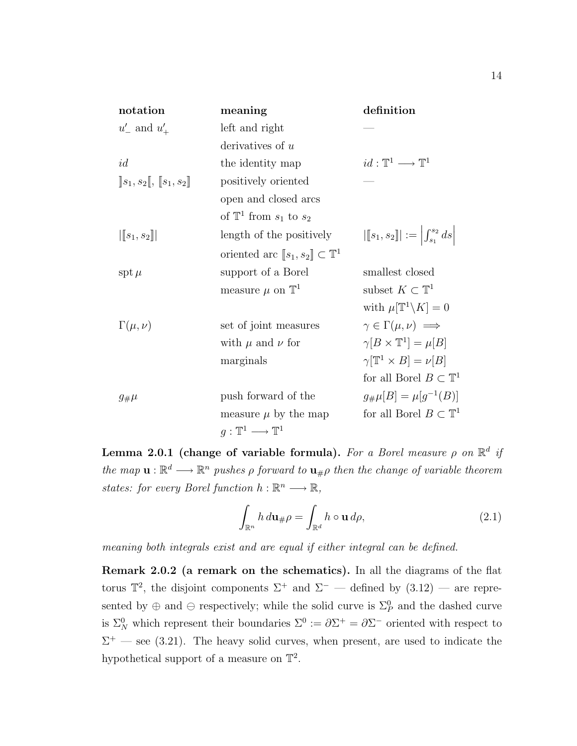| notation                      | meaning                                        | definition                                                          |
|-------------------------------|------------------------------------------------|---------------------------------------------------------------------|
| $u'_{-}$ and $u'_{+}$         | left and right                                 |                                                                     |
|                               | derivatives of $u$                             |                                                                     |
| id                            | the identity map                               | $id: \mathbb{T}^1 \longrightarrow \mathbb{T}^1$                     |
| $[s_1, s_2[, [s_1, s_2]$      | positively oriented                            |                                                                     |
|                               | open and closed arcs                           |                                                                     |
|                               | of $\mathbb{T}^1$ from $s_1$ to $s_2$          |                                                                     |
| $\left\  [s_1, s_2] \right\ $ | length of the positively                       | $\left\  [s_1, s_2] \right\  := \left  \int_{s_1}^{s_2} ds \right $ |
|                               | oriented arc $[s_1, s_2] \subset \mathbb{T}^1$ |                                                                     |
| $\operatorname{spt} \mu$      | support of a Borel                             | smallest closed                                                     |
|                               | measure $\mu$ on $\mathbb{T}^1$                | subset $K \subset \mathbb{T}^1$                                     |
|                               |                                                | with $\mu[\mathbb{T}^1 \backslash K] = 0$                           |
| $\Gamma(\mu,\nu)$             | set of joint measures                          | $\gamma \in \Gamma(\mu, \nu) \implies$                              |
|                               | with $\mu$ and $\nu$ for                       | $\gamma[B \times \mathbb{T}^1] = \mu[B]$                            |
|                               | marginals                                      | $\gamma[\mathbb{T}^1 \times B] = \nu[B]$                            |
|                               |                                                | for all Borel $B \subset \mathbb{T}^1$                              |
| $g_{\#}\mu$                   | push forward of the                            | $g_{\#}\mu[B] = \mu[g^{-1}(B)]$                                     |
|                               | measure $\mu$ by the map                       | for all Borel $B \subset \mathbb{T}^1$                              |
|                               | $q: \mathbb{T}^1 \longrightarrow \mathbb{T}^1$ |                                                                     |

Lemma 2.0.1 (change of variable formula). For a Borel measure  $\rho$  on  $\mathbb{R}^d$  if the map  $\mathbf{u}: \mathbb{R}^d \longrightarrow \mathbb{R}^n$  pushes  $\rho$  forward to  $\mathbf{u}_{\#}\rho$  then the change of variable theorem states: for every Borel function  $h : \mathbb{R}^n \longrightarrow \mathbb{R}$ ,

<span id="page-23-1"></span>
$$
\int_{\mathbb{R}^n} h \, d\mathbf{u}_\# \rho = \int_{\mathbb{R}^d} h \circ \mathbf{u} \, d\rho,\tag{2.1}
$$

meaning both integrals exist and are equal if either integral can be defined.

<span id="page-23-0"></span>Remark 2.0.2 (a remark on the schematics). In all the diagrams of the flat torus  $\mathbb{T}^2$ , the disjoint components  $\Sigma^+$  and  $\Sigma^-$  — defined by  $(3.12)$  — are represented by  $\oplus$  and  $\ominus$  respectively; while the solid curve is  $\Sigma_P^0$  and the dashed curve is  $\Sigma_N^0$  which represent their boundaries  $\Sigma^0 := \partial \Sigma^+ = \partial \Sigma^-$  oriented with respect to  $\Sigma^+$  — see [\(3.21\)](#page-32-0). The heavy solid curves, when present, are used to indicate the hypothetical support of a measure on  $\mathbb{T}^2$ .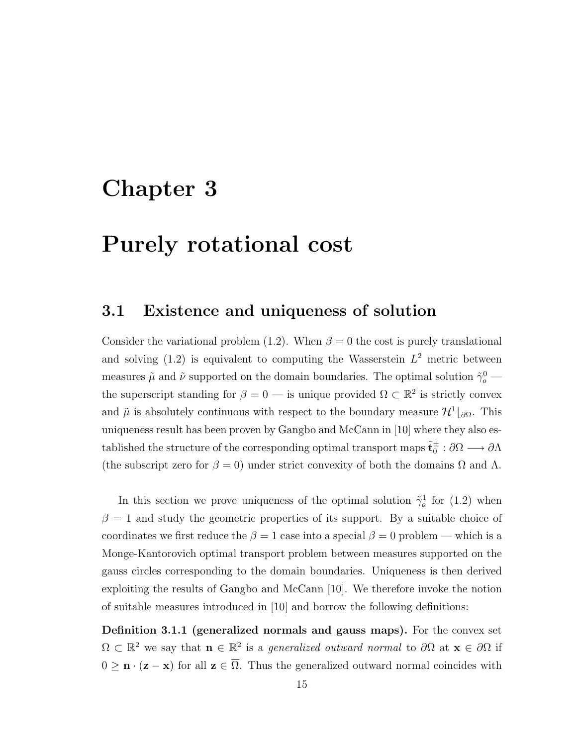### <span id="page-24-0"></span>Chapter 3

### Purely rotational cost

#### <span id="page-24-1"></span>3.1 Existence and uniqueness of solution

Consider the variational problem [\(1.2\)](#page-12-0). When  $\beta = 0$  the cost is purely translational and solving  $(1.2)$  is equivalent to computing the Wasserstein  $L^2$  metric between measures  $\tilde{\mu}$  and  $\tilde{\nu}$  supported on the domain boundaries. The optimal solution  $\tilde{\gamma}^0_o$  the superscript standing for  $\beta = 0$  — is unique provided  $\Omega \subset \mathbb{R}^2$  is strictly convex and  $\tilde{\mu}$  is absolutely continuous with respect to the boundary measure  $\mathcal{H}^1|_{\partial\Omega}$ . This uniqueness result has been proven by Gangbo and McCann in [\[10\]](#page-83-0) where they also established the structure of the corresponding optimal transport maps  $\tilde{\mathbf{t}}_0^{\pm}:\partial\Omega\longrightarrow\partial\Lambda$ (the subscript zero for  $\beta = 0$ ) under strict convexity of both the domains  $\Omega$  and  $\Lambda$ .

In this section we prove uniqueness of the optimal solution  $\tilde{\gamma}^1_o$  for [\(1.2\)](#page-12-0) when  $\beta = 1$  and study the geometric properties of its support. By a suitable choice of coordinates we first reduce the  $\beta = 1$  case into a special  $\beta = 0$  problem — which is a Monge-Kantorovich optimal transport problem between measures supported on the gauss circles corresponding to the domain boundaries. Uniqueness is then derived exploiting the results of Gangbo and McCann [\[10\]](#page-83-0). We therefore invoke the notion of suitable measures introduced in [\[10\]](#page-83-0) and borrow the following definitions:

<span id="page-24-2"></span>Definition 3.1.1 (generalized normals and gauss maps). For the convex set  $\Omega \subset \mathbb{R}^2$  we say that  $\mathbf{n} \in \mathbb{R}^2$  is a generalized outward normal to  $\partial\Omega$  at  $\mathbf{x} \in \partial\Omega$  if  $0 \geq \mathbf{n} \cdot (\mathbf{z} - \mathbf{x})$  for all  $\mathbf{z} \in \overline{\Omega}$ . Thus the generalized outward normal coincides with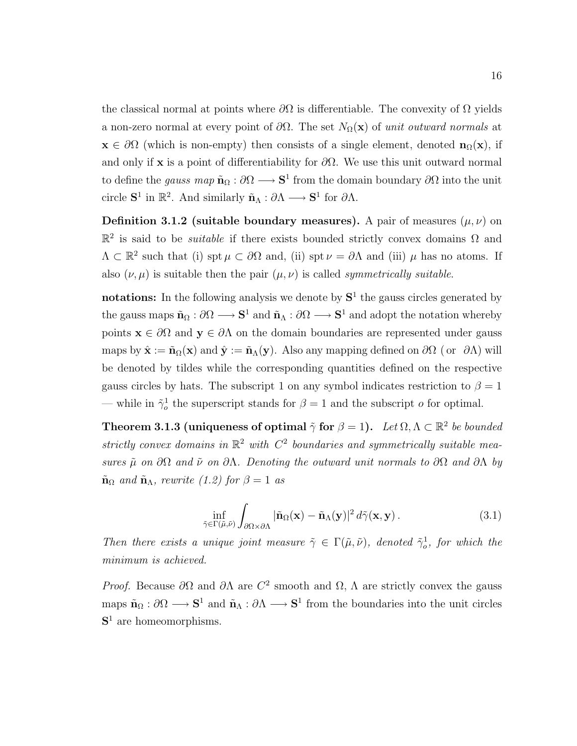the classical normal at points where  $\partial\Omega$  is differentiable. The convexity of  $\Omega$  yields a non-zero normal at every point of  $\partial\Omega$ . The set  $N_{\Omega}(\mathbf{x})$  of unit outward normals at  $x \in \partial\Omega$  (which is non-empty) then consists of a single element, denoted  $n_{\Omega}(x)$ , if and only if x is a point of differentiability for  $\partial\Omega$ . We use this unit outward normal to define the *gauss map*  $\tilde{n}_{\Omega}: \partial\Omega \longrightarrow S^1$  from the domain boundary  $\partial\Omega$  into the unit circle  $S^1$  in  $\mathbb{R}^2$ . And similarly  $\tilde{n}_\Lambda : \partial \Lambda \longrightarrow S^1$  for  $\partial \Lambda$ .

Definition 3.1.2 (suitable boundary measures). A pair of measures  $(\mu, \nu)$  on  $\mathbb{R}^2$  is said to be *suitable* if there exists bounded strictly convex domains  $\Omega$  and  $\Lambda \subset \mathbb{R}^2$  such that (i) spt  $\mu \subset \partial\Omega$  and, (ii) spt  $\nu = \partial\Lambda$  and (iii)  $\mu$  has no atoms. If also  $(\nu, \mu)$  is suitable then the pair  $(\mu, \nu)$  is called *symmetrically suitable*.

notations: In the following analysis we denote by  $S<sup>1</sup>$  the gauss circles generated by the gauss maps  $\tilde{\mathbf{n}}_{\Omega}: \partial\Omega \longrightarrow \mathbf{S}^1$  and  $\tilde{\mathbf{n}}_{\Lambda} : \partial\Omega \longrightarrow \mathbf{S}^1$  and adopt the notation whereby points  $\mathbf{x} \in \partial\Omega$  and  $\mathbf{y} \in \partial\Lambda$  on the domain boundaries are represented under gauss maps by  $\hat{\mathbf{x}} := \tilde{\mathbf{n}}_{\Omega}(\mathbf{x})$  and  $\hat{\mathbf{y}} := \tilde{\mathbf{n}}_{\Lambda}(\mathbf{y})$ . Also any mapping defined on  $\partial\Omega$  (or  $\partial\Lambda$ ) will be denoted by tildes while the corresponding quantities defined on the respective gauss circles by hats. The subscript 1 on any symbol indicates restriction to  $\beta = 1$ — while in  $\tilde{\gamma}_o^1$  the superscript stands for  $\beta = 1$  and the subscript o for optimal.

<span id="page-25-1"></span>Theorem 3.1.3 (uniqueness of optimal  $\tilde{\gamma}$  for  $\beta = 1$ ). Let  $\Omega, \Lambda \subset \mathbb{R}^2$  be bounded strictly convex domains in  $\mathbb{R}^2$  with  $C^2$  boundaries and symmetrically suitable measures  $\tilde{\mu}$  on  $\partial\Omega$  and  $\tilde{\nu}$  on  $\partial\Lambda$ . Denoting the outward unit normals to  $\partial\Omega$  and  $\partial\Lambda$  by  $\tilde{\mathbf{n}}_{\Omega}$  and  $\tilde{\mathbf{n}}_{\Lambda}$ , rewrite [\(1.2\)](#page-12-0) for  $\beta = 1$  as

$$
\inf_{\tilde{\gamma}\in\Gamma(\tilde{\mu},\tilde{\nu})}\int_{\partial\Omega\times\partial\Lambda}|\tilde{\mathbf{n}}_{\Omega}(\mathbf{x})-\tilde{\mathbf{n}}_{\Lambda}(\mathbf{y})|^2 d\tilde{\gamma}(\mathbf{x},\mathbf{y}).
$$
\n(3.1)

<span id="page-25-0"></span>Then there exists a unique joint measure  $\tilde{\gamma} \in \Gamma(\tilde{\mu}, \tilde{\nu})$ , denoted  $\tilde{\gamma}_o^1$ , for which the minimum is achieved.

*Proof.* Because  $\partial\Omega$  and  $\partial\Lambda$  are  $C^2$  smooth and  $\Omega$ ,  $\Lambda$  are strictly convex the gauss maps  $\tilde{\mathbf{n}}_{\Omega}: \partial\Omega \longrightarrow \mathbf{S}^1$  and  $\tilde{\mathbf{n}}_{\Lambda}: \partial\Lambda \longrightarrow \mathbf{S}^1$  from the boundaries into the unit circles  $S<sup>1</sup>$  are homeomorphisms.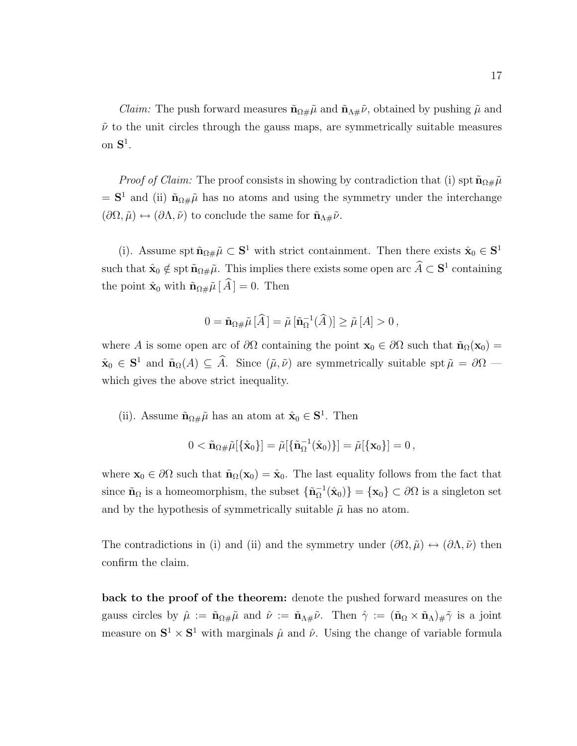*Claim:* The push forward measures  $\tilde{\mathbf{n}}_{\Omega\#\mu}$  and  $\tilde{\mathbf{n}}_{\Lambda\#\nu}$ , obtained by pushing  $\tilde{\mu}$  and  $\tilde{\nu}$  to the unit circles through the gauss maps, are symmetrically suitable measures on  $S^1$ .

*Proof of Claim:* The proof consists in showing by contradiction that (i) spt  $\tilde{\mathbf{n}}_{\Omega\#\tilde{\mu}}$  $= S<sup>1</sup>$  and (ii)  $\tilde{\mathbf{n}}_{\Omega\#\mu}$  has no atoms and using the symmetry under the interchange  $(\partial\Omega, \tilde{\mu}) \leftrightarrow (\partial\Lambda, \tilde{\nu})$  to conclude the same for  $\tilde{\mathbf{n}}_{\Lambda\#}\tilde{\nu}$ .

(i). Assume spt  $\tilde{\mathbf{n}}_{\Omega\#}\tilde{\mu} \subset \mathbf{S}^1$  with strict containment. Then there exists  $\hat{\mathbf{x}}_0 \in \mathbf{S}^1$ such that  $\hat{\mathbf{x}}_0 \notin \text{spt } \tilde{\mathbf{n}}_{\Omega} \# \tilde{\mu}$ . This implies there exists some open arc  $\tilde{A} \subset \mathbf{S}^1$  containing the point  $\hat{\mathbf{x}}_0$  with  $\tilde{\mathbf{n}}_{\Omega\#}\tilde{\mu}[\hat{A}] = 0$ . Then

$$
0 = \tilde{\mathbf{n}}_{\Omega\#}\tilde{\mu}\left[\widehat{A}\right] = \tilde{\mu}\left[\tilde{\mathbf{n}}_{\Omega}^{-1}(\widehat{A})\right] \ge \tilde{\mu}\left[A\right] > 0,
$$

where A is some open arc of  $\partial\Omega$  containing the point  $\mathbf{x}_0 \in \partial\Omega$  such that  $\tilde{\mathbf{n}}_{\Omega}(\mathbf{x}_0) =$  $\hat{\mathbf{x}}_0 \in \mathbf{S}^1$  and  $\tilde{\mathbf{n}}_{\Omega}(A) \subseteq \hat{A}$ . Since  $(\tilde{\mu}, \tilde{\nu})$  are symmetrically suitable spt  $\tilde{\mu} = \partial \Omega$  which gives the above strict inequality.

(ii). Assume  $\tilde{\mathbf{n}}_{\Omega\#\tilde{\mu}}$  has an atom at  $\hat{\mathbf{x}}_0 \in \mathbf{S}^1$ . Then

$$
0<\tilde{\mathbf{n}}_{\Omega\#}\tilde{\mu}[\{\hat{\mathbf{x}}_0\}]=\tilde{\mu}[\{\tilde{\mathbf{n}}^{-1}_{\Omega}(\hat{\mathbf{x}}_0)\}]=\tilde{\mu}[\{\mathbf{x}_0\}]=0\,,
$$

where  $\mathbf{x}_0 \in \partial\Omega$  such that  $\tilde{\mathbf{n}}_{\Omega}(\mathbf{x}_0) = \hat{\mathbf{x}}_0$ . The last equality follows from the fact that since  $\tilde{\mathbf{n}}_{\Omega}$  is a homeomorphism, the subset  $\{\tilde{\mathbf{n}}_{\Omega}^{-1}$  $\{\mathbf{x}_0\} = \{\mathbf{x}_0\} \subset \partial\Omega$  is a singleton set and by the hypothesis of symmetrically suitable  $\tilde{\mu}$  has no atom.

The contradictions in (i) and (ii) and the symmetry under  $(\partial\Omega, \tilde{\mu}) \leftrightarrow (\partial\Lambda, \tilde{\nu})$  then confirm the claim.

back to the proof of the theorem: denote the pushed forward measures on the gauss circles by  $\hat{\mu} := \tilde{\mathbf{n}}_{\Omega \#} \tilde{\mu}$  and  $\hat{\nu} := \tilde{\mathbf{n}}_{\Lambda \#} \tilde{\nu}$ . Then  $\hat{\gamma} := (\tilde{\mathbf{n}}_{\Omega} \times \tilde{\mathbf{n}}_{\Lambda})_{\#} \tilde{\gamma}$  is a joint measure on  $S^1 \times S^1$  with marginals  $\hat{\mu}$  and  $\hat{\nu}$ . Using the change of variable formula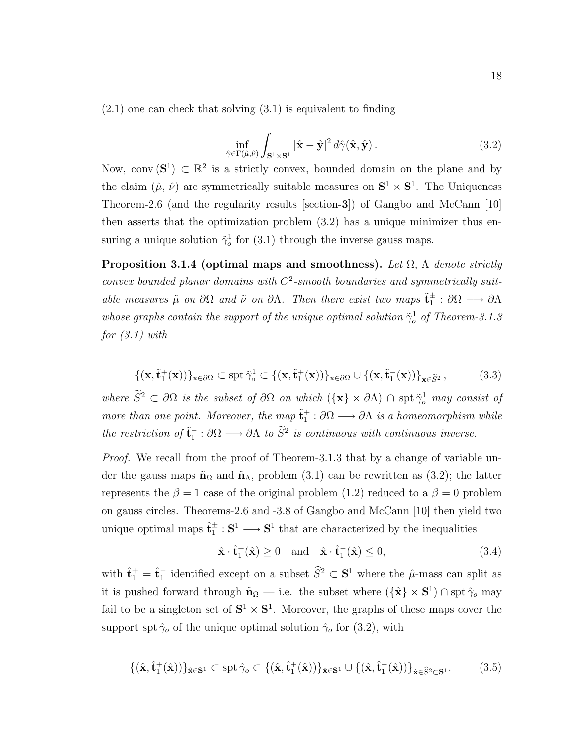<span id="page-27-0"></span> $(2.1)$  one can check that solving  $(3.1)$  is equivalent to finding

$$
\inf_{\hat{\gamma} \in \Gamma(\hat{\mu}, \hat{\nu})} \int_{\mathbf{S}^1 \times \mathbf{S}^1} |\hat{\mathbf{x}} - \hat{\mathbf{y}}|^2 d\hat{\gamma}(\hat{\mathbf{x}}, \hat{\mathbf{y}}).
$$
 (3.2)

Now, conv $(S^1) \subset \mathbb{R}^2$  is a strictly convex, bounded domain on the plane and by the claim  $(\hat{\mu}, \hat{\nu})$  are symmetrically suitable measures on  $S^1 \times S^1$ . The Uniqueness Theorem-2.6 (and the regularity results [section-3]) of Gangbo and McCann [\[10\]](#page-83-0) then asserts that the optimization problem [\(3.2\)](#page-27-0) has a unique minimizer thus ensuring a unique solution  $\tilde{\gamma}^1_o$  for [\(3.1\)](#page-25-0) through the inverse gauss maps.  $\Box$ 

<span id="page-27-2"></span>Proposition 3.1.4 (optimal maps and smoothness). Let  $\Omega$ ,  $\Lambda$  denote strictly convex bounded planar domains with  $C^2$ -smooth boundaries and symmetrically suitable measures  $\tilde{\mu}$  on  $\partial\Omega$  and  $\tilde{\nu}$  on  $\partial\Lambda$ . Then there exist two maps  $\tilde{\mathbf{t}}_1^{\pm}:\partial\Omega\longrightarrow\partial\Lambda$ whose graphs contain the support of the unique optimal solution  $\tilde{\gamma}^1_o$  of Theorem[-3.1.3](#page-25-1) for  $(3.1)$  with

$$
\{(\mathbf{x}, \tilde{\mathbf{t}}_1^+(\mathbf{x}))\}_{\mathbf{x}\in\partial\Omega} \subset \operatorname{spt} \tilde{\gamma}_o^1 \subset \{(\mathbf{x}, \tilde{\mathbf{t}}_1^+(\mathbf{x}))\}_{\mathbf{x}\in\partial\Omega} \cup \{(\mathbf{x}, \tilde{\mathbf{t}}_1^-(\mathbf{x}))\}_{\mathbf{x}\in\tilde{S}^2},
$$
(3.3)

where  $\tilde{S}^2 \subset \partial\Omega$  is the subset of  $\partial\Omega$  on which  $(\{x\} \times \partial\Lambda) \cap \text{spt } \tilde{\gamma}^1_o$  may consist of more than one point. Moreover, the map  $\tilde{\mathbf{t}}_1^+ : \partial \Omega \longrightarrow \partial \Lambda$  is a homeomorphism while the restriction of  $\tilde{\mathbf{t}}_1^- : \partial \Omega \longrightarrow \partial \Lambda$  to  $\tilde{S}^2$  is continuous with continuous inverse.

Proof. We recall from the proof of Theorem[-3.1.3](#page-25-1) that by a change of variable under the gauss maps  $\tilde{\mathbf{n}}_{\Omega}$  and  $\tilde{\mathbf{n}}_{\Lambda}$ , problem [\(3.1\)](#page-25-0) can be rewritten as [\(3.2\)](#page-27-0); the latter represents the  $\beta = 1$  case of the original problem [\(1.2\)](#page-12-0) reduced to a  $\beta = 0$  problem on gauss circles. Theorems-2.6 and -3.8 of Gangbo and McCann [\[10\]](#page-83-0) then yield two unique optimal maps  $\hat{\mathbf{t}}_1^{\pm} : \mathbf{S}^1 \longrightarrow \mathbf{S}^1$  that are characterized by the inequalities

$$
\hat{\mathbf{x}} \cdot \hat{\mathbf{t}}_1^+(\hat{\mathbf{x}}) \ge 0 \quad \text{and} \quad \hat{\mathbf{x}} \cdot \hat{\mathbf{t}}_1^-(\hat{\mathbf{x}}) \le 0,
$$
\n(3.4)

with  $\hat{\mathbf{t}}_1^+ = \hat{\mathbf{t}}_1^-$  identified except on a subset  $\hat{S}^2 \subset \mathbf{S}^1$  where the  $\hat{\mu}$ -mass can split as it is pushed forward through  $\tilde{\mathbf{n}}_{\Omega}$  — i.e. the subset where  $(\{\hat{\mathbf{x}}\} \times \mathbf{S}^1) \cap \text{spt } \hat{\gamma}_o$  may fail to be a singleton set of  $S^1 \times S^1$ . Moreover, the graphs of these maps cover the support spt  $\hat{\gamma}_o$  of the unique optimal solution  $\hat{\gamma}_o$  for [\(3.2\)](#page-27-0), with

<span id="page-27-1"></span>
$$
\{(\hat{\mathbf{x}}, \hat{\mathbf{t}}_1^+(\hat{\mathbf{x}}))\}_{\hat{\mathbf{x}} \in \mathbf{S}^1} \subset \operatorname{spt} \hat{\gamma}_o \subset \{(\hat{\mathbf{x}}, \hat{\mathbf{t}}_1^+(\hat{\mathbf{x}}))\}_{\hat{\mathbf{x}} \in \mathbf{S}^1} \cup \{(\hat{\mathbf{x}}, \hat{\mathbf{t}}_1^-(\hat{\mathbf{x}}))\}_{\hat{\mathbf{x}} \in \hat{S}^2 \subset \mathbf{S}^1}.\tag{3.5}
$$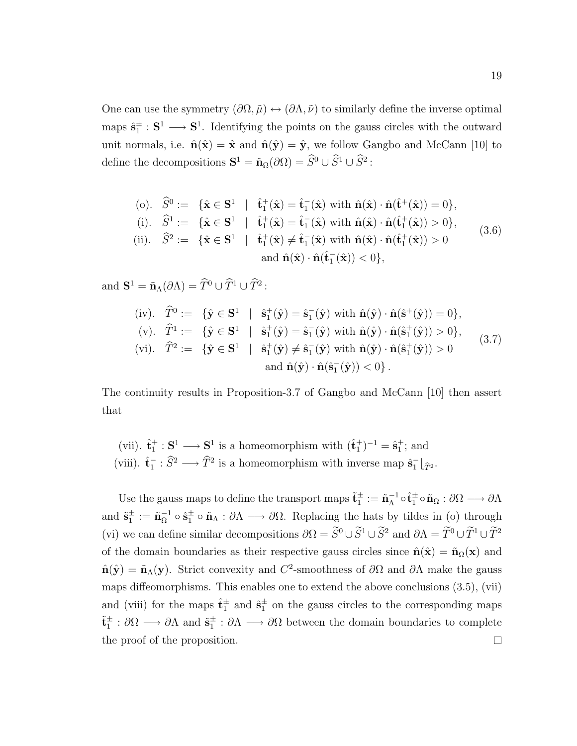One can use the symmetry  $(\partial \Omega, \tilde{\mu}) \leftrightarrow (\partial \Lambda, \tilde{\nu})$  to similarly define the inverse optimal maps  $\hat{\mathbf{s}}_1^{\pm} : \mathbf{S}^1 \longrightarrow \mathbf{S}^1$ . Identifying the points on the gauss circles with the outward unit normals, i.e.  $\hat{\mathbf{n}}(\hat{\mathbf{x}}) = \hat{\mathbf{x}}$  and  $\hat{\mathbf{n}}(\hat{\mathbf{y}}) = \hat{\mathbf{y}}$ , we follow Gangbo and McCann [\[10\]](#page-83-0) to define the decompositions  $S^1 = \tilde{n}_{\Omega}(\partial \Omega) = \tilde{S}^0 \cup \tilde{S}^1 \cup \tilde{S}^2$ :

<span id="page-28-0"></span>\n- (o). 
$$
\widehat{S}^0 := \{\hat{\mathbf{x}} \in \mathbf{S}^1 \mid \hat{\mathbf{t}}_1^+(\hat{\mathbf{x}}) = \hat{\mathbf{t}}_1^-(\hat{\mathbf{x}})
$$
 with  $\hat{\mathbf{n}}(\hat{\mathbf{x}}) \cdot \hat{\mathbf{n}}(\hat{\mathbf{t}}^+(\hat{\mathbf{x}})) = 0\},$
\n- (i).  $\widehat{S}^1 := \{\hat{\mathbf{x}} \in \mathbf{S}^1 \mid \hat{\mathbf{t}}_1^+(\hat{\mathbf{x}}) = \hat{\mathbf{t}}_1^-(\hat{\mathbf{x}})$  with  $\hat{\mathbf{n}}(\hat{\mathbf{x}}) \cdot \hat{\mathbf{n}}(\hat{\mathbf{t}}_1^+(\hat{\mathbf{x}})) > 0\},$
\n- (ii).  $\widehat{S}^2 := \{\hat{\mathbf{x}} \in \mathbf{S}^1 \mid \hat{\mathbf{t}}_1^+(\hat{\mathbf{x}}) \neq \hat{\mathbf{t}}_1^-(\hat{\mathbf{x}})$  with  $\hat{\mathbf{n}}(\hat{\mathbf{x}}) \cdot \hat{\mathbf{n}}(\hat{\mathbf{t}}_1^+(\hat{\mathbf{x}})) > 0$  and  $\hat{\mathbf{n}}(\hat{\mathbf{x}}) \cdot \hat{\mathbf{n}}(\hat{\mathbf{t}}_1^-(\hat{\mathbf{x}})) < 0\},$
\n

and  $S^1 = \tilde{\mathbf{n}}_{\Lambda}(\partial \Lambda) = \tilde{T}^0 \cup \tilde{T}^1 \cup \tilde{T}^2$ :

\n- (iv). 
$$
\widehat{T}^0 := \{ \hat{\mathbf{y}} \in \mathbf{S}^1 \mid \hat{\mathbf{s}}_1^+(\hat{\mathbf{y}}) = \hat{\mathbf{s}}_1^-(\hat{\mathbf{y}})
$$
 with  $\hat{\mathbf{n}}(\hat{\mathbf{y}}) \cdot \hat{\mathbf{n}}(\hat{\mathbf{s}}^+(\hat{\mathbf{y}})) = 0 \},$
\n- (v).  $\widehat{T}^1 := \{ \hat{\mathbf{y}} \in \mathbf{S}^1 \mid \hat{\mathbf{s}}_1^+(\hat{\mathbf{y}}) = \hat{\mathbf{s}}_1^-(\hat{\mathbf{y}})$  with  $\hat{\mathbf{n}}(\hat{\mathbf{y}}) \cdot \hat{\mathbf{n}}(\hat{\mathbf{s}}_1^+(\hat{\mathbf{y}})) > 0 \},$
\n- (vi).  $\widehat{T}^2 := \{ \hat{\mathbf{y}} \in \mathbf{S}^1 \mid \hat{\mathbf{s}}_1^+(\hat{\mathbf{y}}) \neq \hat{\mathbf{s}}_1^-(\hat{\mathbf{y}})$  with  $\hat{\mathbf{n}}(\hat{\mathbf{y}}) \cdot \hat{\mathbf{n}}(\hat{\mathbf{s}}_1^+(\hat{\mathbf{y}})) > 0$  and  $\hat{\mathbf{n}}(\hat{\mathbf{y}}) \cdot \hat{\mathbf{n}}(\hat{\mathbf{s}}_1^-(\hat{\mathbf{y}})) < 0 \}.$
\n

The continuity results in Proposition-3.7 of Gangbo and McCann [\[10\]](#page-83-0) then assert that

(vii).  $\hat{\mathbf{t}}_1^+ : \mathbf{S}^1 \longrightarrow \mathbf{S}^1$  is a homeomorphism with  $(\hat{\mathbf{t}}_1^+)^{-1} = \hat{\mathbf{s}}_1^+$ ; and (viii).  $\hat{\mathbf{t}}_1^- : \hat{S}^2 \longrightarrow \hat{T}^2$  is a homeomorphism with inverse map  $\hat{\mathbf{s}}_1^- \downharpoonright_{\hat{T}^2}$ .

Use the gauss maps to define the transport maps  $\tilde{\mathbf{t}}_1^{\pm}:=\tilde{\mathbf{n}}_{\Lambda}^{-1}$  $^{-1}_{\Lambda}$ ο $\hat{\mathbf{t}}_{1}^{\pm}$  ο $\tilde{\mathbf{n}}_{\Omega}: \partial \Omega \longrightarrow \partial \Lambda$ and  $\tilde{\mathbf{s}}_1^{\pm} := \tilde{\mathbf{n}}_{\Omega}^{-1}$  $\overline{\Omega}^{-1} \circ \hat{\mathbf{s}}_1^{\pm} \circ \tilde{\mathbf{n}}_{\Lambda} : \partial \Lambda \longrightarrow \partial \Omega$ . Replacing the hats by tildes in (o) through (vi) we can define similar decompositions  $\partial\Omega = \widetilde{S}^0 \cup \widetilde{S}^1 \cup \widetilde{S}^2$  and  $\partial\Lambda = \widetilde{T}^0 \cup \widetilde{T}^1 \cup \widetilde{T}^2$ of the domain boundaries as their respective gauss circles since  $\hat{\mathbf{n}}(\hat{\mathbf{x}}) = \tilde{\mathbf{n}}_{\Omega}(\mathbf{x})$  and  $\hat{\mathbf{n}}(\hat{\mathbf{y}}) = \tilde{\mathbf{n}}_{\Lambda}(\mathbf{y})$ . Strict convexity and  $C^2$ -smoothness of  $\partial\Omega$  and  $\partial\Lambda$  make the gauss maps diffeomorphisms. This enables one to extend the above conclusions [\(3.5\)](#page-27-1), (vii) and (viii) for the maps  $\hat{\mathbf{t}}_1^{\pm}$  and  $\hat{\mathbf{s}}_1^{\pm}$  on the gauss circles to the corresponding maps  $\tilde{\mathbf{t}}_1^{\pm}$ :  $\partial\Omega \longrightarrow \partial\Lambda$  and  $\tilde{\mathbf{s}}_1^{\pm}$ :  $\partial\Lambda \longrightarrow \partial\Omega$  between the domain boundaries to complete the proof of the proposition. $\Box$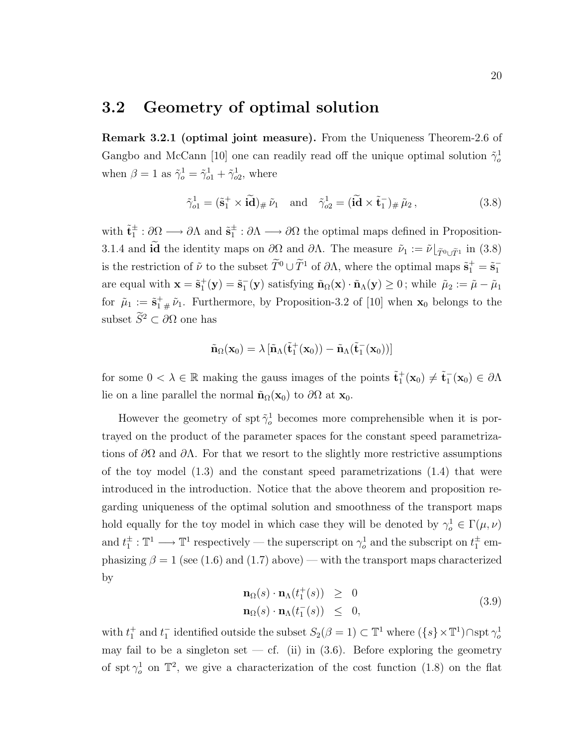#### <span id="page-29-0"></span>3.2 Geometry of optimal solution

Remark 3.2.1 (optimal joint measure). From the Uniqueness Theorem-2.6 of Gangbo and McCann [\[10\]](#page-83-0) one can readily read off the unique optimal solution  $\tilde{\gamma}^1_o$ when  $\beta = 1$  as  $\tilde{\gamma}_o^1 = \tilde{\gamma}_{o1}^1 + \tilde{\gamma}_{o2}^1$ , where

<span id="page-29-1"></span>
$$
\tilde{\gamma}_{o1}^1 = (\tilde{\mathbf{s}}_1^+ \times \tilde{\mathbf{id}})_\# \tilde{\nu}_1 \quad \text{and} \quad \tilde{\gamma}_{o2}^1 = (\tilde{\mathbf{id}} \times \tilde{\mathbf{t}}_1^-)_\# \tilde{\mu}_2 \,, \tag{3.8}
$$

with  $\tilde{\mathbf{t}}_1^{\pm} : \partial \Omega \longrightarrow \partial \Lambda$  and  $\tilde{\mathbf{s}}_1^{\pm} : \partial \Lambda \longrightarrow \partial \Omega$  the optimal maps defined in Proposition-[3.1.4](#page-27-2) and identity maps on  $\partial\Omega$  and  $\partial\Lambda$ . The measure  $\tilde{\nu}_1 := \tilde{\nu}|_{\tilde{T}^0 \cup \tilde{T}^1}$  in [\(3.8\)](#page-29-1) is the restriction of  $\tilde{\nu}$  to the subset  $\tilde{T}^0 \cup \tilde{T}^1$  of  $\partial \Lambda$ , where the optimal maps  $\tilde{s}_1^+ = \tilde{s}_1^$ are equal with  $\mathbf{x} = \tilde{\mathbf{s}}_1^+(\mathbf{y}) = \tilde{\mathbf{s}}_1^-(\mathbf{y})$  satisfying  $\tilde{\mathbf{n}}_{\Omega}(\mathbf{x}) \cdot \tilde{\mathbf{n}}_{\Lambda}(\mathbf{y}) \geq 0$ ; while  $\tilde{\mu}_2 := \tilde{\mu} - \tilde{\mu}_1$ for  $\tilde{\mu}_1 := \tilde{\mathbf{s}}_{1}^+ \tilde{\nu}_1$ . Furthermore, by Proposition-3.2 of [\[10\]](#page-83-0) when  $\mathbf{x}_0$  belongs to the subset  $\widetilde{S}^2 \subset \partial \Omega$  one has

$$
\tilde{\mathbf{n}}_{\Omega}(\mathbf{x}_0) = \lambda \left[ \tilde{\mathbf{n}}_{\Lambda}(\tilde{\mathbf{t}}_1^+(\mathbf{x}_0)) - \tilde{\mathbf{n}}_{\Lambda}(\tilde{\mathbf{t}}_1^-(\mathbf{x}_0)) \right]
$$

for some  $0 < \lambda \in \mathbb{R}$  making the gauss images of the points  $\tilde{\mathbf{t}}_1^+(\mathbf{x}_0) \neq \tilde{\mathbf{t}}_1^-(\mathbf{x}_0) \in \partial \Lambda$ lie on a line parallel the normal  $\tilde{\mathbf{n}}_{\Omega}(\mathbf{x}_0)$  to  $\partial\Omega$  at  $\mathbf{x}_0$ .

However the geometry of spt  $\tilde{\gamma}^1_o$  becomes more comprehensible when it is portrayed on the product of the parameter spaces for the constant speed parametrizations of  $\partial\Omega$  and  $\partial\Lambda$ . For that we resort to the slightly more restrictive assumptions of the toy model  $(1.3)$  and the constant speed parametrizations  $(1.4)$  that were introduced in the introduction. Notice that the above theorem and proposition regarding uniqueness of the optimal solution and smoothness of the transport maps hold equally for the toy model in which case they will be denoted by  $\gamma_o^1 \in \Gamma(\mu, \nu)$ and  $t_1^{\pm}$ :  $\mathbb{T}^1 \longrightarrow \mathbb{T}^1$  respectively — the superscript on  $\gamma_o^1$  and the subscript on  $t_1^{\pm}$  emphasizing  $\beta = 1$  (see [\(1.6\)](#page-14-1) and [\(1.7\)](#page-15-0) above) — with the transport maps characterized by

$$
\mathbf{n}_{\Omega}(s) \cdot \mathbf{n}_{\Lambda}(t_1^+(s)) \geq 0
$$
  
\n
$$
\mathbf{n}_{\Omega}(s) \cdot \mathbf{n}_{\Lambda}(t_1^-(s)) \leq 0,
$$
\n(3.9)

<span id="page-29-2"></span>with  $t_1^+$  and  $t_1^-$  identified outside the subset  $S_2(\beta = 1) \subset \mathbb{T}^1$  where  $(\{s\}\times\mathbb{T}^1)\cap\mathrm{spt}\,\gamma^1_o$ may fail to be a singleton set — cf. (ii) in  $(3.6)$ . Before exploring the geometry of spt  $\gamma_o^1$  on  $\mathbb{T}^2$ , we give a characterization of the cost function [\(1.8\)](#page-15-1) on the flat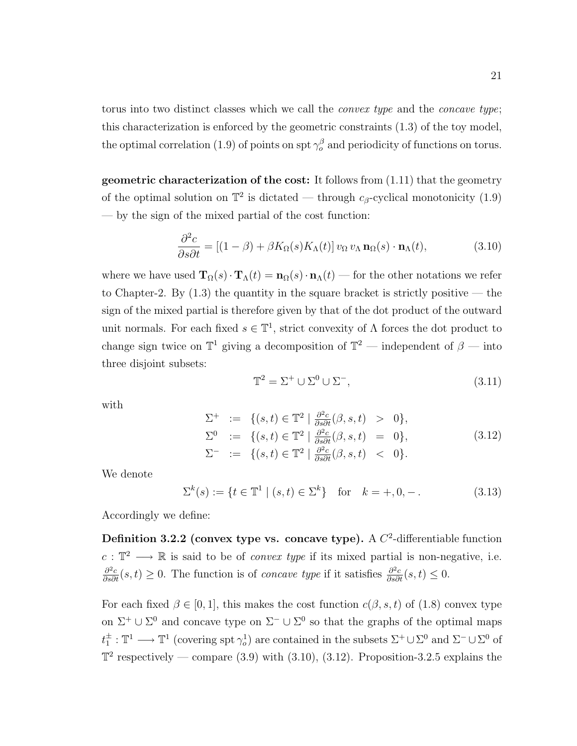torus into two distinct classes which we call the *convex type* and the *concave type*; this characterization is enforced by the geometric constraints [\(1.3\)](#page-13-1) of the toy model, the optimal correlation [\(1.9\)](#page-16-2) of points on spt  $\gamma_o^{\beta}$  and periodicity of functions on torus.

geometric characterization of the cost: It follows from [\(1.11\)](#page-16-0) that the geometry of the optimal solution on  $\mathbb{T}^2$  is dictated — through  $c_\beta$ -cyclical monotonicity [\(1.9\)](#page-16-2) — by the sign of the mixed partial of the cost function:

<span id="page-30-2"></span>
$$
\frac{\partial^2 c}{\partial s \partial t} = [(1 - \beta) + \beta K_{\Omega}(s) K_{\Lambda}(t)] v_{\Omega} v_{\Lambda} \mathbf{n}_{\Omega}(s) \cdot \mathbf{n}_{\Lambda}(t), \tag{3.10}
$$

where we have used  $\mathbf{T}_{\Omega}(s) \cdot \mathbf{T}_{\Lambda}(t) = \mathbf{n}_{\Omega}(s) \cdot \mathbf{n}_{\Lambda}(t)$  — for the other notations we refer to Chapter[-2.](#page-22-0) By  $(1.3)$  the quantity in the square bracket is strictly positive — the sign of the mixed partial is therefore given by that of the dot product of the outward unit normals. For each fixed  $s \in \mathbb{T}^1$ , strict convexity of  $\Lambda$  forces the dot product to change sign twice on  $\mathbb{T}^1$  giving a decomposition of  $\mathbb{T}^2$  — independent of  $\beta$  — into three disjoint subsets:

<span id="page-30-3"></span>
$$
\mathbb{T}^2 = \Sigma^+ \cup \Sigma^0 \cup \Sigma^-, \tag{3.11}
$$

<span id="page-30-1"></span>with

$$
\Sigma^{+} := \{ (s,t) \in \mathbb{T}^{2} \mid \frac{\partial^{2}c}{\partial s \partial t}(\beta, s, t) > 0 \},
$$
  
\n
$$
\Sigma^{0} := \{ (s,t) \in \mathbb{T}^{2} \mid \frac{\partial^{2}c}{\partial s \partial t}(\beta, s, t) = 0 \},
$$
  
\n
$$
\Sigma^{-} := \{ (s,t) \in \mathbb{T}^{2} \mid \frac{\partial^{2}c}{\partial s \partial t}(\beta, s, t) < 0 \}.
$$
\n(3.12)

We denote

$$
\Sigma^{k}(s) := \{ t \in \mathbb{T}^{1} \mid (s, t) \in \Sigma^{k} \} \text{ for } k = +, 0, -.
$$
 (3.13)

<span id="page-30-0"></span>Accordingly we define:

Definition 3.2.2 (convex type vs. concave type). A  $C<sup>2</sup>$ -differentiable function  $c: \mathbb{T}^2 \longrightarrow \mathbb{R}$  is said to be of *convex type* if its mixed partial is non-negative, i.e.  $\frac{\partial^2 c}{\partial s \partial t}(s,t) \geq 0$ . The function is of *concave type* if it satisfies  $\frac{\partial^2 c}{\partial s \partial t}(s,t) \leq 0$ .

For each fixed  $\beta \in [0, 1]$ , this makes the cost function  $c(\beta, s, t)$  of [\(1.8\)](#page-15-1) convex type on  $\Sigma^+ \cup \Sigma^0$  and concave type on  $\Sigma^- \cup \Sigma^0$  so that the graphs of the optimal maps  $t_1^{\pm}$ :  $\mathbb{T}^1 \longrightarrow \mathbb{T}^1$  (covering spt  $\gamma_o^1$ ) are contained in the subsets  $\Sigma^+ \cup \Sigma^0$  and  $\Sigma^- \cup \Sigma^0$  of  $\mathbb{T}^2$  respectively — compare [\(3.9\)](#page-29-2) with [\(3.10\)](#page-30-2), [\(3.12\)](#page-30-1). Proposition[-3.2.5](#page-32-1) explains the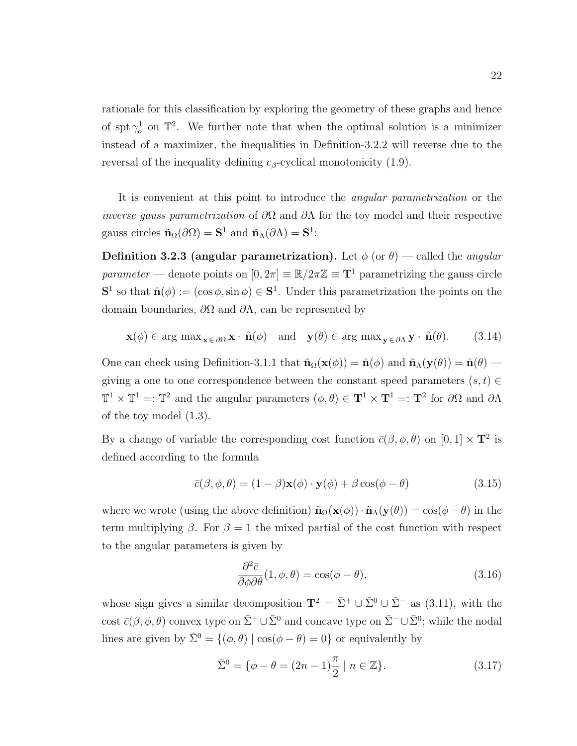rationale for this classification by exploring the geometry of these graphs and hence of spt  $\gamma_o^1$  on  $\mathbb{T}^2$ . We further note that when the optimal solution is a minimizer instead of a maximizer, the inequalities in Definition[-3.2.2](#page-30-0) will reverse due to the reversal of the inequality defining  $c_{\beta}$ -cyclical monotonicity [\(1.9\)](#page-16-2).

It is convenient at this point to introduce the angular parametrization or the *inverse gauss parametrization* of  $\partial\Omega$  and  $\partial\Lambda$  for the toy model and their respective gauss circles  $\tilde{\mathbf{n}}_{\Omega}(\partial\Omega) = \mathbf{S}^1$  and  $\tilde{\mathbf{n}}_{\Lambda}(\partial\Lambda) = \mathbf{S}^1$ :

<span id="page-31-1"></span>Definition 3.2.3 (angular parametrization). Let  $\phi$  (or  $\theta$ ) — called the *angular* parameter — denote points on  $[0, 2\pi] \equiv \mathbb{R}/2\pi\mathbb{Z} \equiv \mathbf{T}^1$  parametrizing the gauss circle  $S^1$  so that  $\hat{\mathbf{n}}(\phi) := (\cos \phi, \sin \phi) \in S^1$ . Under this parametrization the points on the domain boundaries, ∂Ω and ∂Λ, can be represented by

$$
\mathbf{x}(\phi) \in \arg \max_{\mathbf{x} \in \partial \Omega} \mathbf{x} \cdot \hat{\mathbf{n}}(\phi) \quad \text{and} \quad \mathbf{y}(\theta) \in \arg \max_{\mathbf{y} \in \partial \Omega} \mathbf{y} \cdot \hat{\mathbf{n}}(\theta). \tag{3.14}
$$

One can check using Definition[-3.1.1](#page-24-2) that  $\tilde{\mathbf{n}}_{\Omega}(\mathbf{x}(\phi)) = \hat{\mathbf{n}}(\phi)$  and  $\tilde{\mathbf{n}}_{\Lambda}(\mathbf{y}(\theta)) = \hat{\mathbf{n}}(\theta)$ giving a one to one correspondence between the constant speed parameters  $(s, t) \in$  $\mathbb{T}^1 \times \mathbb{T}^1 =: \mathbb{T}^2$  and the angular parameters  $(\phi, \theta) \in \mathbb{T}^1 \times \mathbb{T}^1 =: \mathbb{T}^2$  for  $\partial\Omega$  and  $\partial\Lambda$ of the toy model [\(1.3\)](#page-13-1).

By a change of variable the corresponding cost function  $\bar{c}(\beta, \phi, \theta)$  on  $[0, 1] \times \mathbf{T}^2$  is defined according to the formula

$$
\bar{c}(\beta, \phi, \theta) = (1 - \beta)\mathbf{x}(\phi) \cdot \mathbf{y}(\phi) + \beta \cos(\phi - \theta)
$$
\n(3.15)

where we wrote (using the above definition)  $\tilde{\mathbf{n}}_{\Omega}(\mathbf{x}(\phi)) \cdot \tilde{\mathbf{n}}_{\Lambda}(\mathbf{y}(\theta)) = \cos(\phi - \theta)$  in the term multiplying  $\beta$ . For  $\beta = 1$  the mixed partial of the cost function with respect to the angular parameters is given by

<span id="page-31-0"></span>
$$
\frac{\partial^2 \bar{c}}{\partial \phi \partial \theta} (1, \phi, \theta) = \cos(\phi - \theta), \qquad (3.16)
$$

whose sign gives a similar decomposition  $\mathbf{T}^2 = \bar{\Sigma}^+ \cup \bar{\Sigma}^0 \cup \bar{\Sigma}^-$  as [\(3.11\)](#page-30-3), with the cost  $\bar{c}(\beta, \phi, \theta)$  convex type on  $\bar{\Sigma}^+ \cup \bar{\Sigma}^0$  and concave type on  $\bar{\Sigma}^- \cup \bar{\Sigma}^0$ ; while the nodal lines are given by  $\bar{\Sigma}^0 = \{(\phi, \theta) \mid \cos(\phi - \theta) = 0\}$  or equivalently by

$$
\bar{\Sigma}^0 = \{ \phi - \theta = (2n - 1)\frac{\pi}{2} \mid n \in \mathbb{Z} \}. \tag{3.17}
$$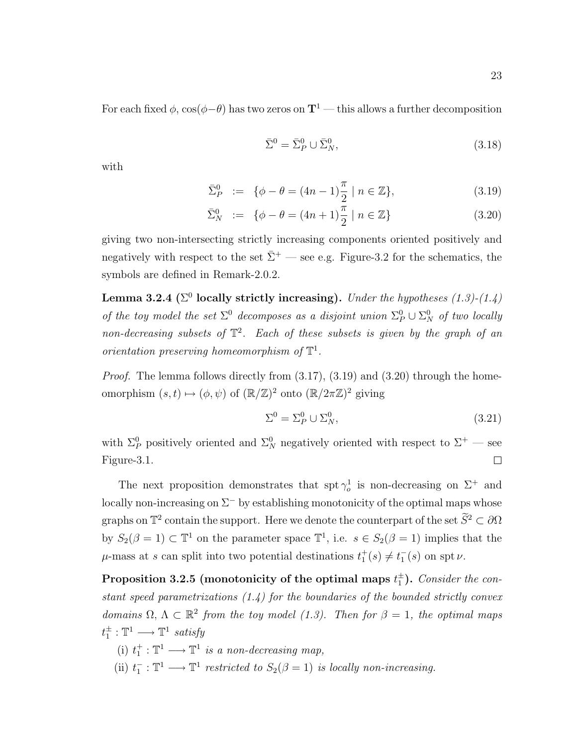For each fixed  $\phi$ , cos( $\phi - \theta$ ) has two zeros on  $\mathbf{T}^1$  — this allows a further decomposition

$$
\bar{\Sigma}^0 = \bar{\Sigma}_P^0 \cup \bar{\Sigma}_N^0,\tag{3.18}
$$

with

$$
\bar{\Sigma}_P^0 := \{ \phi - \theta = (4n - 1)\frac{\pi}{2} \mid n \in \mathbb{Z} \},\tag{3.19}
$$

<span id="page-32-2"></span>
$$
\bar{\Sigma}_N^0 := \{ \phi - \theta = (4n+1)\frac{\pi}{2} \mid n \in \mathbb{Z} \}
$$
 (3.20)

giving two non-intersecting strictly increasing components oriented positively and negatively with respect to the set  $\bar{\Sigma}^+$  — see e.g. Figure[-3.2](#page-35-0) for the schematics, the symbols are defined in Remark[-2.0.2.](#page-23-0)

**Lemma 3.2.4** ( $\Sigma^0$  locally strictly increasing). Under the hypotheses [\(1.3\)](#page-13-1)-[\(1.4\)](#page-13-2) of the toy model the set  $\Sigma^0$  decomposes as a disjoint union  $\Sigma^0_P \cup \Sigma^0_N$  of two locally non-decreasing subsets of  $\mathbb{T}^2$ . Each of these subsets is given by the graph of an orientation preserving homeomorphism of  $\mathbb{T}^1$ .

*Proof.* The lemma follows directly from  $(3.17)$ ,  $(3.19)$  and  $(3.20)$  through the homeomorphism  $(s, t) \mapsto (\phi, \psi)$  of  $(\mathbb{R}/\mathbb{Z})^2$  onto  $(\mathbb{R}/2\pi\mathbb{Z})^2$  giving

<span id="page-32-0"></span>
$$
\Sigma^0 = \Sigma_P^0 \cup \Sigma_N^0,\tag{3.21}
$$

with  $\Sigma_P^0$  positively oriented and  $\Sigma_N^0$  negatively oriented with respect to  $\Sigma^+$  — see Figure[-3.1.](#page-33-0)  $\Box$ 

The next proposition demonstrates that spt  $\gamma_o^1$  is non-decreasing on  $\Sigma^+$  and locally non-increasing on  $\Sigma^-$  by establishing monotonicity of the optimal maps whose graphs on  $\mathbb{T}^2$  contain the support. Here we denote the counterpart of the set  $\widetilde{S}^2 \subset \partial \Omega$ by  $S_2(\beta = 1) \subset \mathbb{T}^1$  on the parameter space  $\mathbb{T}^1$ , i.e.  $s \in S_2(\beta = 1)$  implies that the  $\mu$ -mass at s can split into two potential destinations  $t_1^+(s) \neq t_1^-(s)$  on spt  $\nu$ .

<span id="page-32-1"></span>Proposition 3.2.5 (monotonicity of the optimal maps  $t_1^{\pm}$ ). Consider the constant speed parametrizations  $(1.4)$  for the boundaries of the bounded strictly convex domains  $\Omega$ ,  $\Lambda \subset \mathbb{R}^2$  from the toy model [\(1.3\)](#page-13-1). Then for  $\beta = 1$ , the optimal maps  $t_1^{\pm} : \mathbb{T}^1 \longrightarrow \mathbb{T}^1$  satisfy

- (i)  $t_1^+ : \mathbb{T}^1 \longrightarrow \mathbb{T}^1$  is a non-decreasing map,
- (ii)  $t_1^- : \mathbb{T}^1 \longrightarrow \mathbb{T}^1$  restricted to  $S_2(\beta = 1)$  is locally non-increasing.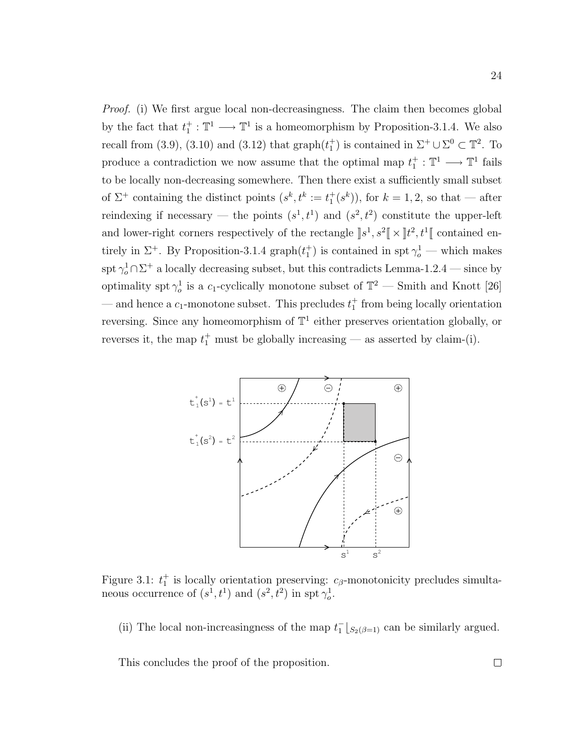*Proof.* (i) We first argue local non-decreasingness. The claim then becomes global by the fact that  $t_1^+ : \mathbb{T}^1 \longrightarrow \mathbb{T}^1$  is a homeomorphism by Proposition[-3.1.4.](#page-27-2) We also recall from [\(3.9\)](#page-29-2), [\(3.10\)](#page-30-2) and [\(3.12\)](#page-30-1) that graph $(t_1^+)$  is contained in  $\Sigma^+ \cup \Sigma^0 \subset \mathbb{T}^2$ . To produce a contradiction we now assume that the optimal map  $t_1^+ : \mathbb{T}^1 \longrightarrow \mathbb{T}^1$  fails to be locally non-decreasing somewhere. Then there exist a sufficiently small subset of  $\Sigma^+$  containing the distinct points  $(s^k, t^k := t^+_1(s^k))$ , for  $k = 1, 2$ , so that — after reindexing if necessary — the points  $(s^1, t^1)$  and  $(s^2, t^2)$  constitute the upper-left and lower-right corners respectively of the rectangle  $\llbracket s^1, s^2 \rrbracket \times \llbracket t^2, t^1 \rrbracket$  contained entirely in  $\Sigma^+$ . By Proposition[-3.1.4](#page-27-2) graph $(t_1^+)$  is contained in spt  $\gamma_o^1$  — which makes spt  $\gamma_o^1 \cap \Sigma^+$  a locally decreasing subset, but this contradicts Lemma[-1.2.4](#page-16-3) — since by optimality spt  $\gamma_o^1$  is a c<sub>1</sub>-cyclically monotone subset of  $\mathbb{T}^2$  — Smith and Knott [\[26\]](#page-84-3) — and hence a  $c_1$ -monotone subset. This precludes  $t_1^+$  from being locally orientation reversing. Since any homeomorphism of  $\mathbb{T}^1$  either preserves orientation globally, or reverses it, the map  $t_1^+$  must be globally increasing — as asserted by claim-(i).



Figure 3.1:  $t_1^+$  is locally orientation preserving:  $c_\beta$ -monotonicity precludes simultaneous occurrence of  $(s^1, t^1)$  and  $(s^2, t^2)$  in spt  $\gamma_o^1$ .

<span id="page-33-0"></span>(ii) The local non-increasingness of the map  $t_1^-|_{S_2(\beta=1)}$  can be similarly argued.

This concludes the proof of the proposition.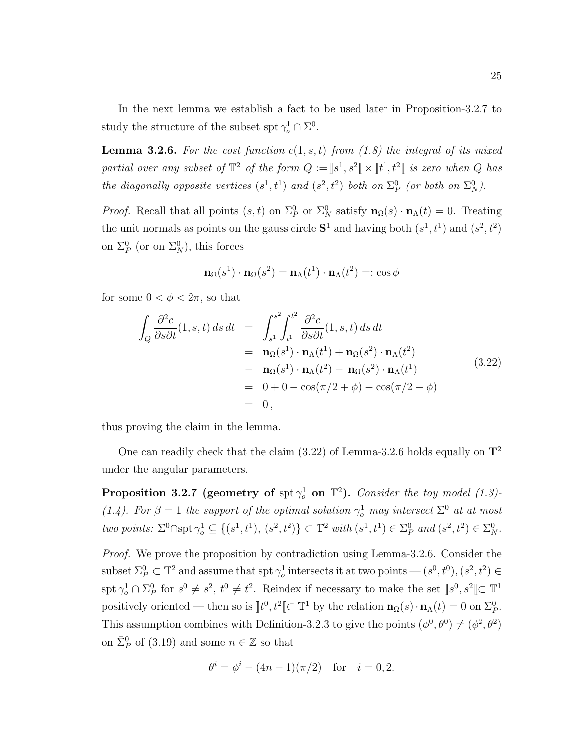In the next lemma we establish a fact to be used later in Proposition[-3.2.7](#page-34-0) to study the structure of the subset spt  $\gamma_o^1 \cap \Sigma^0$ .

<span id="page-34-2"></span>**Lemma 3.2.6.** For the cost function  $c(1, s, t)$  from [\(1.8\)](#page-15-1) the integral of its mixed partial over any subset of  $\mathbb{T}^2$  of the form  $Q := \|s^1, s^2\| \times \|t^1, t^2\|$  is zero when  $Q$  has the diagonally opposite vertices  $(s^1, t^1)$  and  $(s^2, t^2)$  both on  $\Sigma_P^0$  (or both on  $\Sigma_N^0$ ).

*Proof.* Recall that all points  $(s, t)$  on  $\Sigma_P^0$  or  $\Sigma_N^0$  satisfy  $\mathbf{n}_{\Omega}(s) \cdot \mathbf{n}_{\Lambda}(t) = 0$ . Treating the unit normals as points on the gauss circle  $S^1$  and having both  $(s^1, t^1)$  and  $(s^2, t^2)$ on  $\Sigma_P^0$  (or on  $\Sigma_N^0$ ), this forces

<span id="page-34-1"></span>
$$
\mathbf{n}_{\Omega}(s^1)\cdot \mathbf{n}_{\Omega}(s^2) = \mathbf{n}_{\Lambda}(t^1)\cdot \mathbf{n}_{\Lambda}(t^2) =: \cos \phi
$$

for some  $0 < \phi < 2\pi$ , so that

$$
\int_{Q} \frac{\partial^2 c}{\partial s \partial t} (1, s, t) ds dt = \int_{s^1}^{s^2} \int_{t^1}^{t^2} \frac{\partial^2 c}{\partial s \partial t} (1, s, t) ds dt
$$
  
\n
$$
= \mathbf{n}_{\Omega}(s^1) \cdot \mathbf{n}_{\Lambda}(t^1) + \mathbf{n}_{\Omega}(s^2) \cdot \mathbf{n}_{\Lambda}(t^2)
$$
  
\n
$$
- \mathbf{n}_{\Omega}(s^1) \cdot \mathbf{n}_{\Lambda}(t^2) - \mathbf{n}_{\Omega}(s^2) \cdot \mathbf{n}_{\Lambda}(t^1)
$$
  
\n
$$
= 0 + 0 - \cos(\pi/2 + \phi) - \cos(\pi/2 - \phi)
$$
  
\n
$$
= 0,
$$
  
\n(3.22)

thus proving the claim in the lemma.

One can readily check that the claim  $(3.22)$  of Lemma[-3.2.6](#page-34-2) holds equally on  $\mathbf{T}^2$ under the angular parameters.

<span id="page-34-0"></span>Proposition 3.2.7 (geometry of spt  $\gamma_o^1$  on  $\mathbb{T}^2$ ). Consider the toy model [\(1.3\)](#page-13-1)-[\(1.4\)](#page-13-2). For  $\beta = 1$  the support of the optimal solution  $\gamma_o^1$  may intersect  $\Sigma^0$  at at most two points:  $\Sigma^0 \cap \text{spt } \gamma_o^1 \subseteq \{(s^1, t^1), (s^2, t^2)\} \subset \mathbb{T}^2$  with  $(s^1, t^1) \in \Sigma_P^0$  and  $(s^2, t^2) \in \Sigma_N^0$ .

Proof. We prove the proposition by contradiction using Lemma[-3.2.6.](#page-34-2) Consider the subset  $\Sigma_P^0 \subset \mathbb{T}^2$  and assume that spt  $\gamma_o^1$  intersects it at two points  $(s^0, t^0), (s^2, t^2) \in$ spt  $\gamma_o^1 \cap \Sigma_P^0$  for  $s^0 \neq s^2$ ,  $t^0 \neq t^2$ . Reindex if necessary to make the set  $\]s^0, s^2[\subset \mathbb{T}^1]$ positively oriented — then so is  $]t^0, t^2[ \subset \mathbb{T}^1$  by the relation  $\mathbf{n}_{\Omega}(s) \cdot \mathbf{n}_{\Lambda}(t) = 0$  on  $\Sigma_P^0$ . This assumption combines with Definition[-3.2.3](#page-31-1) to give the points  $(\phi^0, \theta^0) \neq (\phi^2, \theta^2)$ on  $\bar{\Sigma}_{P}^{0}$  of [\(3.19\)](#page-32-2) and some  $n \in \mathbb{Z}$  so that

$$
\theta^{i} = \phi^{i} - (4n - 1)(\pi/2)
$$
 for  $i = 0, 2$ .

 $\Box$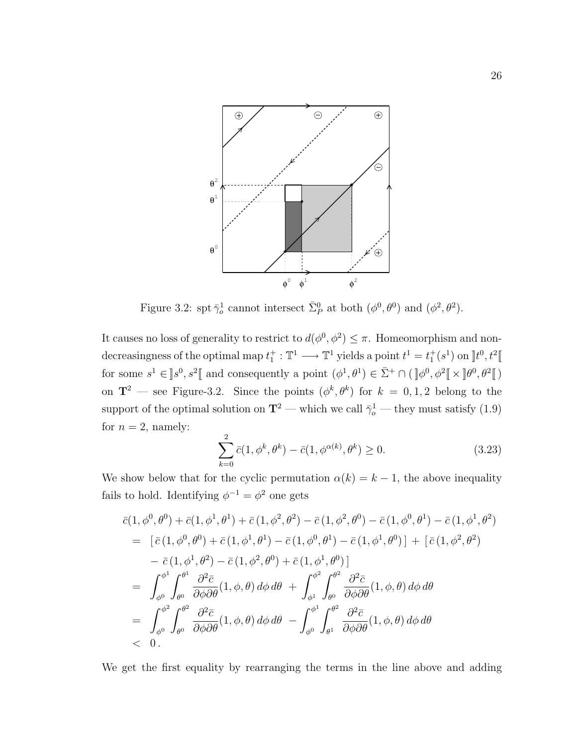

<span id="page-35-0"></span>Figure 3.2: spt  $\bar{\gamma}_o^1$  cannot intersect  $\bar{\Sigma}_P^0$  at both  $(\phi^0, \theta^0)$  and  $(\phi^2, \theta^2)$ .

It causes no loss of generality to restrict to  $d(\phi^0, \phi^2) \leq \pi$ . Homeomorphism and nondecreasingness of the optimal map  $t_1^+ : \mathbb{T}^1 \longrightarrow \mathbb{T}^1$  yields a point  $t^1 = t_1^+(s^1)$  on  $] \mathbb{T}^0, t^2 [$ for some  $s^1 \in [s^0, s^2]$  and consequently a point  $(\phi^1, \theta^1) \in \overline{\Sigma}^+ \cap (\llbracket \phi^0, \phi^2 \rrbracket \times \llbracket \theta^0, \theta^2 \rrbracket)$ on  $\mathbf{T}^2$  — see Figure[-3.2.](#page-35-0) Since the points  $(\phi^k, \theta^k)$  for  $k = 0, 1, 2$  belong to the support of the optimal solution on  $\mathbf{T}^2$  — which we call  $\bar{\gamma}_o^1$  — they must satisfy [\(1.9\)](#page-16-2) for  $n = 2$ , namely:

$$
\sum_{k=0}^{2} \bar{c}(1, \phi^k, \theta^k) - \bar{c}(1, \phi^{\alpha(k)}, \theta^k) \ge 0.
$$
 (3.23)

We show below that for the cyclic permutation  $\alpha(k) = k - 1$ , the above inequality fails to hold. Identifying  $\phi^{-1} = \phi^2$  one gets

$$
\begin{split}\n\bar{c}(1,\phi^{0},\theta^{0}) + \bar{c}(1,\phi^{1},\theta^{1}) + \bar{c}(1,\phi^{2},\theta^{2}) - \bar{c}(1,\phi^{2},\theta^{0}) - \bar{c}(1,\phi^{0},\theta^{1}) - \bar{c}(1,\phi^{1},\theta^{2}) \\
&= [\bar{c}(1,\phi^{0},\theta^{0}) + \bar{c}(1,\phi^{1},\theta^{1}) - \bar{c}(1,\phi^{0},\theta^{1}) - \bar{c}(1,\phi^{1},\theta^{0})] + [\bar{c}(1,\phi^{2},\theta^{2}) \\
&\quad - \bar{c}(1,\phi^{1},\theta^{2}) - \bar{c}(1,\phi^{2},\theta^{0}) + \bar{c}(1,\phi^{1},\theta^{0})] \\
&= \int_{\phi^{0}}^{\phi^{1}} \int_{\theta^{0}}^{\theta^{1}} \frac{\partial^{2}\bar{c}}{\partial\phi\partial\theta}(1,\phi,\theta) \,d\phi \,d\theta + \int_{\phi^{1}}^{\phi^{2}} \int_{\theta^{0}}^{\theta^{2}} \frac{\partial^{2}\bar{c}}{\partial\phi\partial\theta}(1,\phi,\theta) \,d\phi \,d\theta \\
&= \int_{\phi^{0}}^{\phi^{2}} \int_{\theta^{0}}^{\theta^{2}} \frac{\partial^{2}\bar{c}}{\partial\phi\partial\theta}(1,\phi,\theta) \,d\phi \,d\theta - \int_{\phi^{0}}^{\phi^{1}} \int_{\theta^{1}}^{\theta^{2}} \frac{\partial^{2}\bar{c}}{\partial\phi\partial\theta}(1,\phi,\theta) \,d\phi \,d\theta \\
&< 0.\n\end{split}
$$

We get the first equality by rearranging the terms in the line above and adding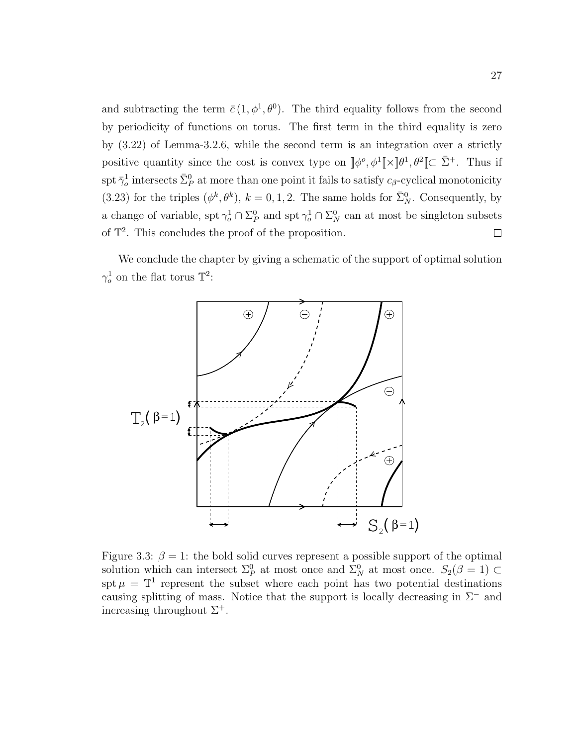and subtracting the term  $\bar{c} (1, \phi^1, \theta^0)$ . The third equality follows from the second by periodicity of functions on torus. The first term in the third equality is zero by [\(3.22\)](#page-34-0) of Lemma[-3.2.6,](#page-34-1) while the second term is an integration over a strictly positive quantity since the cost is convex type on  $\|\phi^o, \phi^1\| \times \|\theta^1, \theta^2\| \subset \bar{\Sigma}^+$ . Thus if spt  $\bar{\gamma}^1_o$  intersects  $\bar{\Sigma}_P^0$  at more than one point it fails to satisfy  $c_\beta$ -cyclical monotonicity [\(3.23\)](#page-35-0) for the triples  $(\phi^k, \theta^k)$ ,  $k = 0, 1, 2$ . The same holds for  $\overline{\Sigma}_N^0$ . Consequently, by a change of variable,  $\text{spt } \gamma_o^1 \cap \Sigma_P^0$  and  $\text{spt } \gamma_o^1 \cap \Sigma_N^0$  can at most be singleton subsets of  $\mathbb{T}^2$ . This concludes the proof of the proposition.  $\Box$ 

We conclude the chapter by giving a schematic of the support of optimal solution  $\gamma_o^1$  on the flat torus  $\mathbb{T}^2$ :



Figure 3.3:  $\beta = 1$ : the bold solid curves represent a possible support of the optimal solution which can intersect  $\Sigma_P^0$  at most once and  $\Sigma_N^0$  at most once.  $S_2(\beta = 1) \subset$ spt  $\mu = \mathbb{T}^1$  represent the subset where each point has two potential destinations causing splitting of mass. Notice that the support is locally decreasing in  $\Sigma^-$  and increasing throughout  $\Sigma^+$ .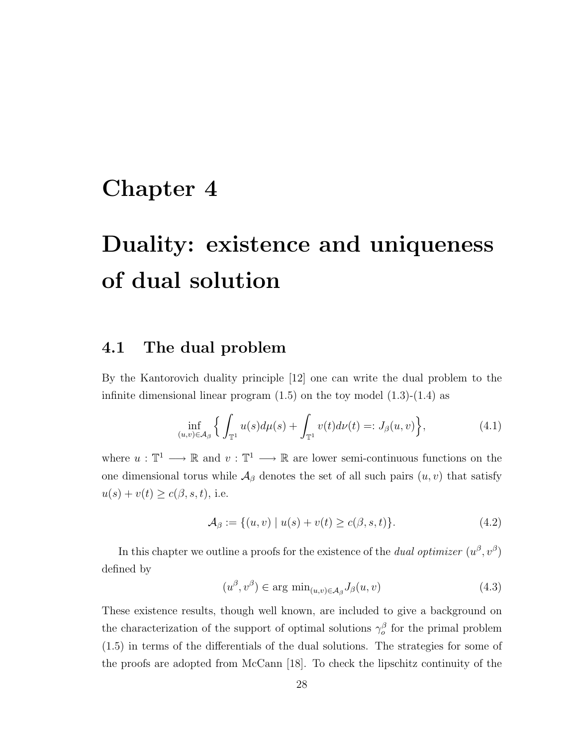## Chapter 4

# Duality: existence and uniqueness of dual solution

#### 4.1 The dual problem

By the Kantorovich duality principle [\[12\]](#page-83-0) one can write the dual problem to the infinite dimensional linear program  $(1.5)$  on the toy model  $(1.3)-(1.4)$  $(1.3)-(1.4)$  as

<span id="page-37-0"></span>
$$
\inf_{(u,v)\in\mathcal{A}_{\beta}}\Big\{\int_{\mathbb{T}^1}u(s)d\mu(s)+\int_{\mathbb{T}^1}v(t)d\nu(t)=:J_{\beta}(u,v)\Big\},\tag{4.1}
$$

where  $u : \mathbb{T}^1 \longrightarrow \mathbb{R}$  and  $v : \mathbb{T}^1 \longrightarrow \mathbb{R}$  are lower semi-continuous functions on the one dimensional torus while  $\mathcal{A}_{\beta}$  denotes the set of all such pairs  $(u, v)$  that satisfy  $u(s) + v(t) \geq c(\beta, s, t)$ , i.e.

$$
\mathcal{A}_{\beta} := \{ (u, v) \mid u(s) + v(t) \ge c(\beta, s, t) \}. \tag{4.2}
$$

<span id="page-37-1"></span>In this chapter we outline a proofs for the existence of the *dual optimizer*  $(u^{\beta}, v^{\beta})$ defined by

$$
(u^{\beta}, v^{\beta}) \in \arg\min_{(u,v)\in\mathcal{A}_{\beta}} J_{\beta}(u,v) \tag{4.3}
$$

These existence results, though well known, are included to give a background on the characterization of the support of optimal solutions  $\gamma_o^{\beta}$  for the primal problem [\(1.5\)](#page-14-0) in terms of the differentials of the dual solutions. The strategies for some of the proofs are adopted from McCann [\[18\]](#page-83-1). To check the lipschitz continuity of the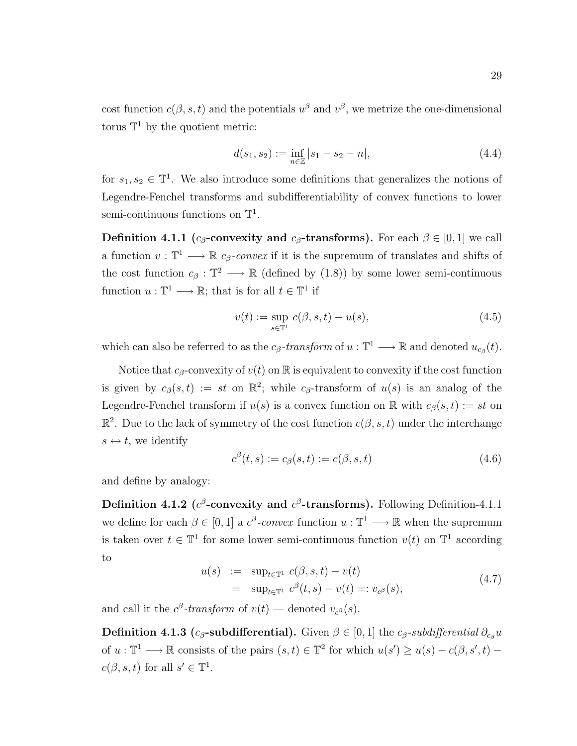cost function  $c(\beta, s, t)$  and the potentials  $u^{\beta}$  and  $v^{\beta}$ , we metrize the one-dimensional torus  $\mathbb{T}^1$  by the quotient metric:

<span id="page-38-5"></span>
$$
d(s_1, s_2) := \inf_{n \in \mathbb{Z}} |s_1 - s_2 - n|,
$$
\n(4.4)

for  $s_1, s_2 \in \mathbb{T}^1$ . We also introduce some definitions that generalizes the notions of Legendre-Fenchel transforms and subdifferentiability of convex functions to lower semi-continuous functions on  $\mathbb{T}^1$ .

<span id="page-38-0"></span>Definition 4.1.1 (c<sub>β</sub>-convexity and c<sub>β</sub>-transforms). For each  $\beta \in [0, 1]$  we call a function  $v : \mathbb{T}^1 \longrightarrow \mathbb{R}$  c<sub>β</sub>-convex if it is the supremum of translates and shifts of the cost function  $c_{\beta}: \mathbb{T}^2 \longrightarrow \mathbb{R}$  (defined by [\(1.8\)](#page-15-0)) by some lower semi-continuous function  $u: \mathbb{T}^1 \longrightarrow \mathbb{R}$ ; that is for all  $t \in \mathbb{T}^1$  if

<span id="page-38-2"></span>
$$
v(t) := \sup_{s \in \mathbb{T}^1} c(\beta, s, t) - u(s),
$$
\n(4.5)

which can also be referred to as the  $c_{\beta}$ -transform of  $u : \mathbb{T}^1 \longrightarrow \mathbb{R}$  and denoted  $u_{c_{\beta}}(t)$ .

Notice that  $c_{\beta}$ -convexity of  $v(t)$  on R is equivalent to convexity if the cost function is given by  $c_{\beta}(s,t) := st$  on  $\mathbb{R}^2$ ; while  $c_{\beta}$ -transform of  $u(s)$  is an analog of the Legendre-Fenchel transform if  $u(s)$  is a convex function on R with  $c_{\beta}(s,t) := st$  on  $\mathbb{R}^2$ . Due to the lack of symmetry of the cost function  $c(\beta, s, t)$  under the interchange  $s \leftrightarrow t$ , we identify

<span id="page-38-1"></span>
$$
c^{\beta}(t,s) := c_{\beta}(s,t) := c(\beta, s, t)
$$
\n
$$
(4.6)
$$

<span id="page-38-3"></span>and define by analogy:

<span id="page-38-4"></span>Definition 4.1.2 ( $c^{\beta}$ -convexity and  $c^{\beta}$ -transforms). Following Definition[-4.1.1](#page-38-0) we define for each  $\beta \in [0,1]$  a  $c^{\beta}$ -convex function  $u : \mathbb{T}^{1} \longrightarrow \mathbb{R}$  when the supremum is taken over  $t \in \mathbb{T}^1$  for some lower semi-continuous function  $v(t)$  on  $\mathbb{T}^1$  according to

$$
u(s) := \sup_{t \in \mathbb{T}^1} c(\beta, s, t) - v(t)
$$
  
=  $\sup_{t \in \mathbb{T}^1} c^{\beta}(t, s) - v(t) =: v_{c^{\beta}}(s),$  (4.7)

and call it the  $c^{\beta}$ -transform of  $v(t)$  — denoted  $v_{c^{\beta}}(s)$ .

**Definition 4.1.3 (c<sub>β</sub>-subdifferential).** Given  $\beta \in [0, 1]$  the c<sub>β</sub>-subdifferential  $\partial_{c_{\beta}} u$ of  $u: \mathbb{T}^1 \longrightarrow \mathbb{R}$  consists of the pairs  $(s, t) \in \mathbb{T}^2$  for which  $u(s') \geq u(s) + c(\beta, s', t)$  $c(\beta, s, t)$  for all  $s' \in \mathbb{T}^1$ .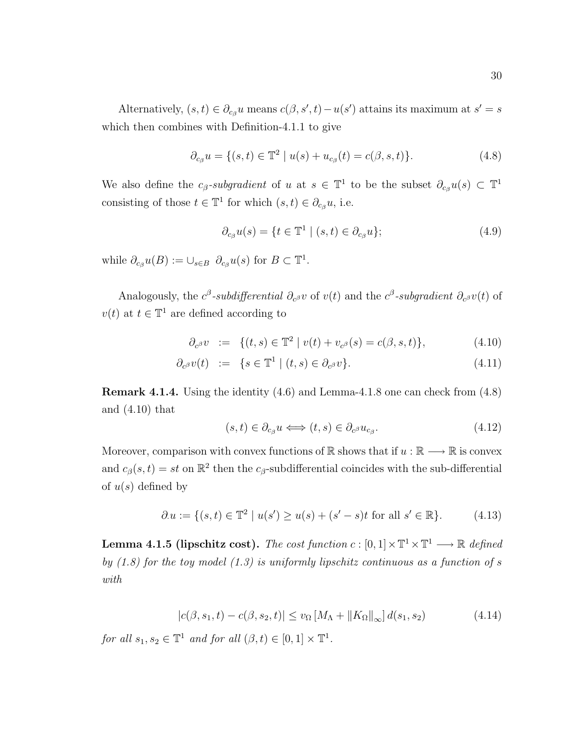Alternatively,  $(s, t) \in \partial_{c_{\beta}} u$  means  $c(\beta, s', t) - u(s')$  attains its maximum at  $s' = s$ which then combines with Definition[-4.1.1](#page-38-0) to give

<span id="page-39-0"></span>
$$
\partial_{c_{\beta}} u = \{ (s, t) \in \mathbb{T}^2 \mid u(s) + u_{c_{\beta}}(t) = c(\beta, s, t) \}. \tag{4.8}
$$

We also define the  $c_{\beta}$ -subgradient of u at  $s \in \mathbb{T}^1$  to be the subset  $\partial_{c_{\beta}}u(s) \subset \mathbb{T}^1$ consisting of those  $t \in \mathbb{T}^1$  for which  $(s, t) \in \partial_{c_\beta} u$ , i.e.

<span id="page-39-4"></span>
$$
\partial_{c_{\beta}}u(s) = \{t \in \mathbb{T}^1 \mid (s,t) \in \partial_{c_{\beta}}u\};\tag{4.9}
$$

while  $\partial_{c_{\beta}}u(B) := \cup_{s \in B} \ \partial_{c_{\beta}}u(s)$  for  $B \subset \mathbb{T}^1$ .

Analogously, the c<sup>β</sup>-subdifferential  $\partial_{c} \circ v$  of  $v(t)$  and the c<sup>β</sup>-subgradient  $\partial_{c} \circ v(t)$  of  $v(t)$  at  $t \in \mathbb{T}^1$  are defined according to

<span id="page-39-1"></span>
$$
\partial_{c^{\beta}} v := \{ (t, s) \in \mathbb{T}^2 \mid v(t) + v_{c^{\beta}}(s) = c(\beta, s, t) \}, \tag{4.10}
$$

<span id="page-39-5"></span>
$$
\partial_{c^{\beta}}v(t) := \{ s \in \mathbb{T}^1 \mid (t, s) \in \partial_{c^{\beta}}v \}. \tag{4.11}
$$

Remark 4.1.4. Using the identity [\(4.6\)](#page-38-1) and Lemma[-4.1.8](#page-41-0) one can check from [\(4.8\)](#page-39-0) and [\(4.10\)](#page-39-1) that

$$
(s,t) \in \partial_{c_{\beta}} u \Longleftrightarrow (t,s) \in \partial_{c^{\beta}} u_{c_{\beta}}.
$$
\n
$$
(4.12)
$$

Moreover, comparison with convex functions of R shows that if  $u : \mathbb{R} \longrightarrow \mathbb{R}$  is convex and  $c_{\beta}(s,t) = st$  on  $\mathbb{R}^2$  then the  $c_{\beta}$ -subdifferential coincides with the sub-differential of  $u(s)$  defined by

$$
\partial u := \{ (s, t) \in \mathbb{T}^2 \mid u(s') \ge u(s) + (s' - s)t \text{ for all } s' \in \mathbb{R} \}. \tag{4.13}
$$

<span id="page-39-3"></span><span id="page-39-2"></span>**Lemma 4.1.5 (lipschitz cost).** The cost function  $c : [0,1] \times \mathbb{T}^1 \times \mathbb{T}^1 \longrightarrow \mathbb{R}$  defined by  $(1.8)$  for the toy model  $(1.3)$  is uniformly lipschitz continuous as a function of s with

$$
|c(\beta, s_1, t) - c(\beta, s_2, t)| \le v_\Omega \left[ M_\Lambda + \|K_\Omega\|_\infty \right] d(s_1, s_2)
$$
 (4.14)

for all  $s_1, s_2 \in \mathbb{T}^1$  and for all  $(\beta, t) \in [0, 1] \times \mathbb{T}^1$ .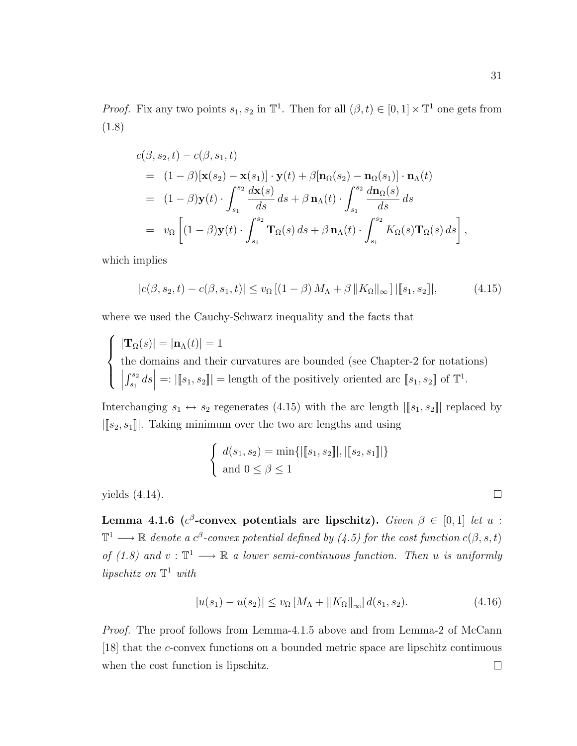*Proof.* Fix any two points  $s_1, s_2$  in  $\mathbb{T}^1$ . Then for all  $(\beta, t) \in [0, 1] \times \mathbb{T}^1$  one gets from [\(1.8\)](#page-15-0)

$$
c(\beta, s_2, t) - c(\beta, s_1, t)
$$
  
=  $(1 - \beta)[\mathbf{x}(s_2) - \mathbf{x}(s_1)] \cdot \mathbf{y}(t) + \beta[\mathbf{n}_{\Omega}(s_2) - \mathbf{n}_{\Omega}(s_1)] \cdot \mathbf{n}_{\Lambda}(t)$   
=  $(1 - \beta)\mathbf{y}(t) \cdot \int_{s_1}^{s_2} \frac{d\mathbf{x}(s)}{ds} ds + \beta \mathbf{n}_{\Lambda}(t) \cdot \int_{s_1}^{s_2} \frac{d\mathbf{n}_{\Omega}(s)}{ds} ds$   
=  $v_{\Omega} \left[ (1 - \beta)\mathbf{y}(t) \cdot \int_{s_1}^{s_2} \mathbf{T}_{\Omega}(s) ds + \beta \mathbf{n}_{\Lambda}(t) \cdot \int_{s_1}^{s_2} K_{\Omega}(s) \mathbf{T}_{\Omega}(s) ds \right],$ 

which implies

<span id="page-40-0"></span>
$$
|c(\beta, s_2, t) - c(\beta, s_1, t)| \le v_{\Omega} \left[ (1 - \beta) M_{\Lambda} + \beta \| K_{\Omega} \|_{\infty} \right] |[s_1, s_2]|,
$$
 (4.15)

where we used the Cauchy-Schwarz inequality and the facts that

 $\sqrt{ }$  $\int$  $\overline{\mathcal{L}}$  $|\mathbf{T}_{\Omega}(s)| = |\mathbf{n}_{\Lambda}(t)| = 1$ the domains and their curvatures are bounded (see Chapter[-2](#page-22-0) for notations)  $\int_{s_1}^{s_2} ds$  $=:\left|\left[\mathbf{s}_1,\mathbf{s}_2\right]\right| = \text{length of the positively oriented arc } \left[\mathbf{s}_1,\mathbf{s}_2\right]$  of  $\mathbb{T}^1$ .

Interchanging  $s_1 \leftrightarrow s_2$  regenerates [\(4.15\)](#page-40-0) with the arc length  $\vert [s_1, s_2] \vert$  replaced by  $\vert [s_2, s_1] \vert$ . Taking minimum over the two arc lengths and using

$$
\begin{cases} d(s_1, s_2) = \min\{||[s_1, s_2]||, |[s_2, s_1]|\} \\ \text{and } 0 \le \beta \le 1 \end{cases}
$$

yields [\(4.14\)](#page-39-2).

<span id="page-40-1"></span>Lemma 4.1.6 ( $c^{\beta}$ -convex potentials are lipschitz). Given  $\beta \in [0,1]$  let u:  $\mathbb{T}^1 \longrightarrow \mathbb{R}$  denote a  $c^{\beta}$ -convex potential defined by  $(4.5)$  for the cost function  $c(\beta, s, t)$ of [\(1.8\)](#page-15-0) and  $v : \mathbb{T}^1 \longrightarrow \mathbb{R}$  a lower semi-continuous function. Then u is uniformly lipschitz on T <sup>1</sup> with

$$
|u(s_1) - u(s_2)| \le v_\Omega \left[ M_\Lambda + \|K_\Omega\|_\infty \right] d(s_1, s_2). \tag{4.16}
$$

<span id="page-40-2"></span>Proof. The proof follows from Lemma[-4.1.5](#page-39-3) above and from Lemma-2 of McCann [\[18\]](#page-83-1) that the c-convex functions on a bounded metric space are lipschitz continuous when the cost function is lipschitz. $\Box$ 

 $\Box$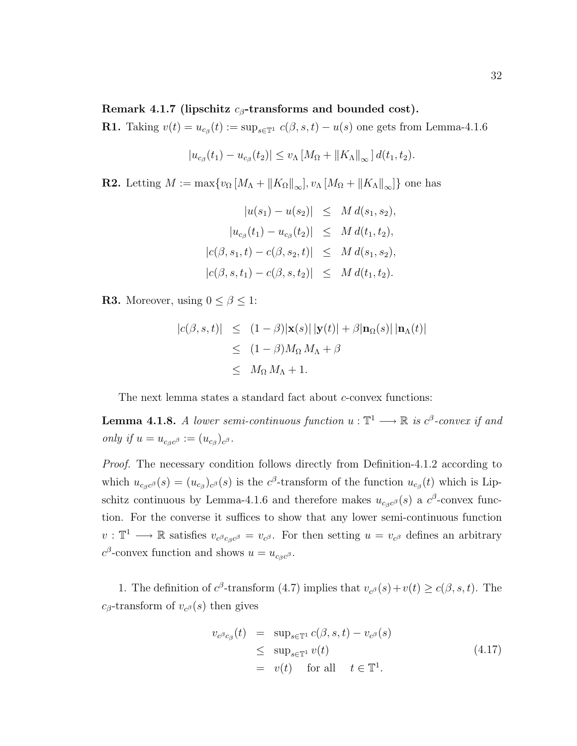#### Remark 4.1.7 (lipschitz  $c_{\beta}$ -transforms and bounded cost).

**R1.** Taking  $v(t) = u_{c_{\beta}}(t) := \sup_{s \in \mathbb{T}^1} c(\beta, s, t) - u(s)$  one gets from Lemma[-4.1.6](#page-40-1)

$$
|u_{c_{\beta}}(t_1) - u_{c_{\beta}}(t_2)| \leq v_{\Lambda} [M_{\Omega} + ||K_{\Lambda}||_{\infty}] d(t_1, t_2).
$$

**R2.** Letting  $M := \max\{v_{\Omega} [M_{\Lambda} + ||K_{\Omega}||_{\infty}], v_{\Lambda} [M_{\Omega} + ||K_{\Lambda}||_{\infty}]\}\$  one has

$$
|u(s_1) - u(s_2)| \leq M d(s_1, s_2),
$$
  
\n
$$
|u_{c_{\beta}}(t_1) - u_{c_{\beta}}(t_2)| \leq M d(t_1, t_2),
$$
  
\n
$$
|c(\beta, s_1, t) - c(\beta, s_2, t)| \leq M d(s_1, s_2),
$$
  
\n
$$
|c(\beta, s, t_1) - c(\beta, s, t_2)| \leq M d(t_1, t_2).
$$

**R3.** Moreover, using  $0 \leq \beta \leq 1$ :

$$
|c(\beta, s, t)| \le (1 - \beta)|\mathbf{x}(s)||\mathbf{y}(t)| + \beta |\mathbf{n}_{\Omega}(s)||\mathbf{n}_{\Lambda}(t)|
$$
  
\n
$$
\le (1 - \beta)M_{\Omega} M_{\Lambda} + \beta
$$
  
\n
$$
\le M_{\Omega} M_{\Lambda} + 1.
$$

The next lemma states a standard fact about *c*-convex functions:

<span id="page-41-0"></span>**Lemma 4.1.8.** A lower semi-continuous function  $u : \mathbb{T}^1 \longrightarrow \mathbb{R}$  is  $c^{\beta}$ -convex if and only if  $u = u_{c_{\beta}c^{\beta}} := (u_{c_{\beta}})_{c^{\beta}}$ .

Proof. The necessary condition follows directly from Definition[-4.1.2](#page-38-3) according to which  $u_{c_{\beta}c^{\beta}}(s) = (u_{c_{\beta}})_{c^{\beta}}(s)$  is the  $c^{\beta}$ -transform of the function  $u_{c_{\beta}}(t)$  which is Lip-schitz continuous by Lemma[-4.1.6](#page-40-1) and therefore makes  $u_{c_0c}$ <sub>6</sub>(s) a  $c^{\beta}$ -convex function. For the converse it suffices to show that any lower semi-continuous function  $v: \mathbb{T}^1 \longrightarrow \mathbb{R}$  satisfies  $v_{c^{\beta}c_{\beta}c^{\beta}} = v_{c^{\beta}}$ . For then setting  $u = v_{c^{\beta}}$  defines an arbitrary  $c^{\beta}$ -convex function and shows  $u = u_{c_{\beta}c^{\beta}}$ .

1. The definition of  $c^{\beta}$ -transform [\(4.7\)](#page-38-4) implies that  $v_{c^{\beta}}(s) + v(t) \geq c(\beta, s, t)$ . The  $c_{\beta}$ -transform of  $v_{c^{\beta}}(s)$  then gives

<span id="page-41-1"></span>
$$
v_{c^{\beta}c_{\beta}}(t) = \sup_{s \in \mathbb{T}^1} c(\beta, s, t) - v_{c^{\beta}}(s)
$$
  
\n
$$
\leq \sup_{s \in \mathbb{T}^1} v(t)
$$
  
\n
$$
= v(t) \quad \text{for all} \quad t \in \mathbb{T}^1.
$$
\n(4.17)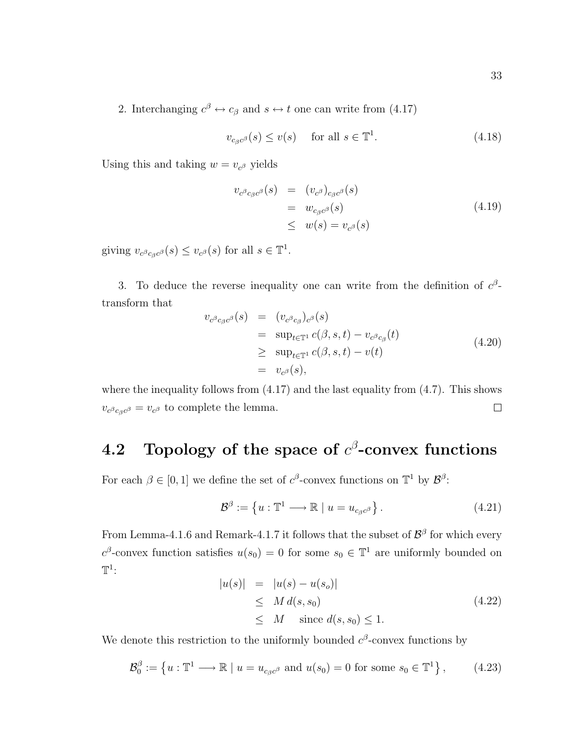2. Interchanging  $c^{\beta} \leftrightarrow c_{\beta}$  and  $s \leftrightarrow t$  one can write from [\(4.17\)](#page-41-1)

<span id="page-42-1"></span>
$$
v_{c_{\beta}c^{\beta}}(s) \le v(s) \quad \text{ for all } s \in \mathbb{T}^{1}.
$$
 (4.18)

Using this and taking  $w = v_{c}$  yields

$$
v_{c^{\beta}c_{\beta}c^{\beta}}(s) = (v_{c^{\beta}})_{c_{\beta}c^{\beta}}(s)
$$
  
\n
$$
= w_{c_{\beta}c^{\beta}}(s)
$$
  
\n
$$
\leq w(s) = v_{c^{\beta}}(s)
$$
\n(4.19)

giving  $v_{c^{\beta}c_{\beta}c^{\beta}}(s) \leq v_{c^{\beta}}(s)$  for all  $s \in \mathbb{T}^1$ .

3. To deduce the reverse inequality one can write from the definition of  $c^{\beta}$ transform that

$$
v_{c^{\beta}c_{\beta}c^{\beta}}(s) = (v_{c^{\beta}c_{\beta}})_{c^{\beta}}(s)
$$
  
\n
$$
= \sup_{t \in \mathbb{T}^1} c(\beta, s, t) - v_{c^{\beta}c_{\beta}}(t)
$$
  
\n
$$
\geq \sup_{t \in \mathbb{T}^1} c(\beta, s, t) - v(t)
$$
  
\n
$$
= v_{c^{\beta}}(s), \qquad (4.20)
$$

where the inequality follows from  $(4.17)$  and the last equality from  $(4.7)$ . This shows  $v_{c\beta c\beta} = v_{c\beta}$  to complete the lemma.  $\Box$ 

### 4.2 Topology of the space of  $c^{\beta}$ -convex functions

For each  $\beta \in [0,1]$  we define the set of  $c^{\beta}$ -convex functions on  $\mathbb{T}^1$  by  $\mathcal{B}^{\beta}$ :

$$
\mathcal{B}^{\beta} := \left\{ u : \mathbb{T}^1 \longrightarrow \mathbb{R} \mid u = u_{c_{\beta}c^{\beta}} \right\}.
$$
 (4.21)

<span id="page-42-0"></span>From Lemma[-4.1.6](#page-40-1) and Remark[-4.1.7](#page-40-2) it follows that the subset of  $\mathcal{B}^{\beta}$  for which every  $c^{\beta}$ -convex function satisfies  $u(s_0) = 0$  for some  $s_0 \in \mathbb{T}^1$  are uniformly bounded on  $\mathbb{T}^1$ :

<span id="page-42-2"></span>
$$
|u(s)| = |u(s) - u(s_o)|
$$
  
\n
$$
\leq M d(s, s_0)
$$
  
\n
$$
\leq M \text{ since } d(s, s_0) \leq 1.
$$
\n(4.22)

We denote this restriction to the uniformly bounded  $c^{\beta}$ -convex functions by

$$
\mathcal{B}_0^{\beta} := \left\{ u : \mathbb{T}^1 \longrightarrow \mathbb{R} \mid u = u_{c_{\beta}c^{\beta}} \text{ and } u(s_0) = 0 \text{ for some } s_0 \in \mathbb{T}^1 \right\},\qquad(4.23)
$$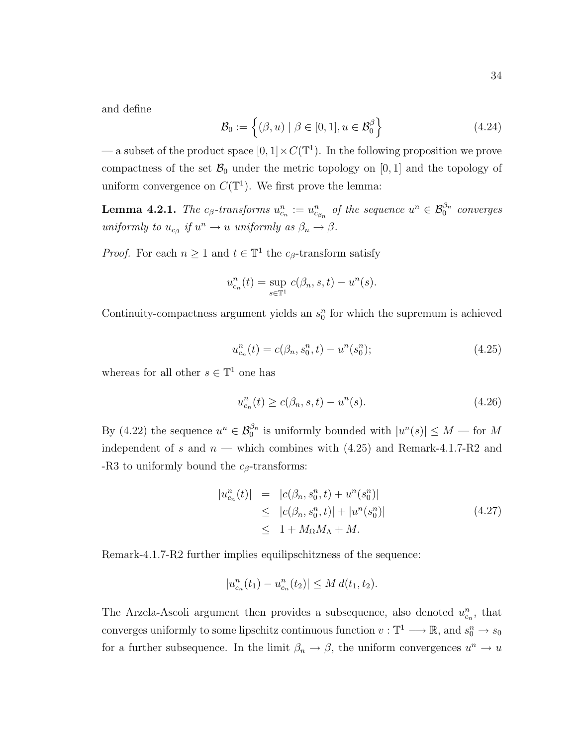<span id="page-43-2"></span>and define

$$
\mathcal{B}_0 := \left\{ (\beta, u) \mid \beta \in [0, 1], u \in \mathcal{B}_0^{\beta} \right\}
$$
 (4.24)

— a subset of the product space  $[0,1] \times C(\mathbb{T}^1)$ . In the following proposition we prove compactness of the set  $\mathcal{B}_0$  under the metric topology on [0, 1] and the topology of uniform convergence on  $C(\mathbb{T}^1)$ . We first prove the lemma:

<span id="page-43-3"></span>**Lemma 4.2.1.** The  $c_{\beta}$ -transforms  $u_{c_n}^n := u_{c_{\beta_n}}^n$  of the sequence  $u^n \in \mathcal{B}_0^{\beta_n}$  converges uniformly to  $u_{c_{\beta}}$  if  $u^n \to u$  uniformly as  $\beta_n \to \beta$ .

*Proof.* For each  $n \geq 1$  and  $t \in \mathbb{T}^1$  the  $c_{\beta}$ -transform satisfy

$$
u_{c_n}^n(t) = \sup_{s \in \mathbb{T}^1} c(\beta_n, s, t) - u^n(s).
$$

<span id="page-43-0"></span>Continuity-compactness argument yields an  $s_0^n$  for which the supremum is achieved

<span id="page-43-1"></span>
$$
u_{c_n}^n(t) = c(\beta_n, s_0^n, t) - u^n(s_0^n);
$$
\n(4.25)

whereas for all other  $s \in \mathbb{T}^1$  one has

$$
u_{c_n}^n(t) \ge c(\beta_n, s, t) - u^n(s).
$$
\n(4.26)

By [\(4.22\)](#page-42-0) the sequence  $u^n \in \mathcal{B}_0^{\beta_n}$  is uniformly bounded with  $|u^n(s)| \leq M$  — for M independent of s and  $n$  — which combines with  $(4.25)$  and Remark[-4.1.7-](#page-40-2)R2 and -R3 to uniformly bound the  $c_{\beta}$ -transforms:

$$
|u_{c_n}^n(t)| = |c(\beta_n, s_0^n, t) + u^n(s_0^n)|
$$
  
\n
$$
\leq |c(\beta_n, s_0^n, t)| + |u^n(s_0^n)|
$$
  
\n
$$
\leq 1 + M_{\Omega}M_{\Lambda} + M.
$$
\n(4.27)

Remark[-4.1.7-](#page-40-2)R2 further implies equilipschitzness of the sequence:

$$
|u_{c_n}^n(t_1) - u_{c_n}^n(t_2)| \leq M d(t_1, t_2).
$$

The Arzela-Ascoli argument then provides a subsequence, also denoted  $u_{c_n}^n$ , that converges uniformly to some lipschitz continuous function  $v : \mathbb{T}^1 \longrightarrow \mathbb{R}$ , and  $s_0^n \to s_0$ for a further subsequence. In the limit  $\beta_n \to \beta$ , the uniform convergences  $u^n \to u$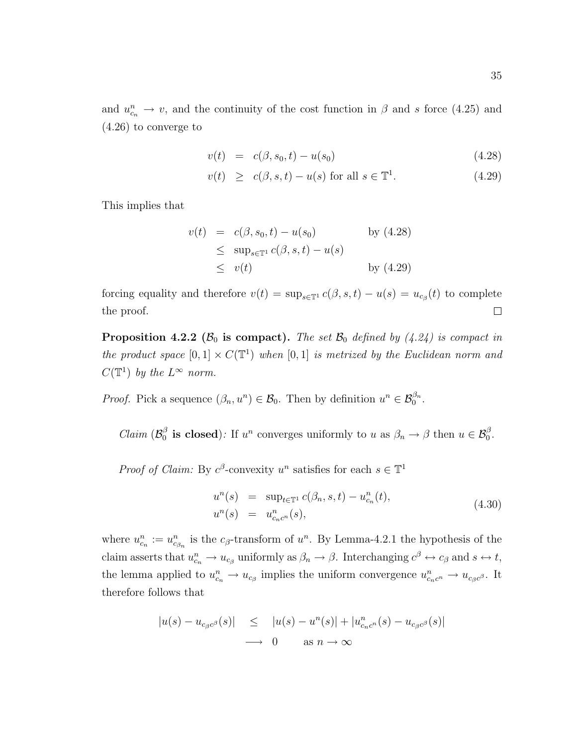and  $u_{c_n}^n \to v$ , and the continuity of the cost function in  $\beta$  and s force [\(4.25\)](#page-43-0) and [\(4.26\)](#page-43-1) to converge to

<span id="page-44-0"></span>
$$
v(t) = c(\beta, s_0, t) - u(s_0)
$$
\n(4.28)

$$
v(t) \ge c(\beta, s, t) - u(s) \text{ for all } s \in \mathbb{T}^1. \tag{4.29}
$$

This implies that

$$
v(t) = c(\beta, s_0, t) - u(s_0)
$$
by (4.28)  
\n
$$
\leq \sup_{s \in \mathbb{T}^1} c(\beta, s, t) - u(s)
$$
  
\n
$$
\leq v(t)
$$
by (4.29)

forcing equality and therefore  $v(t) = \sup_{s \in \mathbb{T}^1} c(\beta, s, t) - u(s) = u_{c_{\beta}}(t)$  to complete the proof.  $\Box$ 

<span id="page-44-1"></span>**Proposition 4.2.2** ( $\mathcal{B}_0$  is compact). The set  $\mathcal{B}_0$  defined by [\(4.24\)](#page-43-2) is compact in the product space  $[0,1] \times C(\mathbb{T}^1)$  when  $[0,1]$  is metrized by the Euclidean norm and  $C(\mathbb{T}^1)$  by the  $L^{\infty}$  norm.

*Proof.* Pick a sequence  $(\beta_n, u^n) \in \mathcal{B}_0$ . Then by definition  $u^n \in \mathcal{B}_0^{\beta_n}$ .

Claim  $(\mathcal{B}_0^{\beta})$  $\beta_0$  is closed): If  $u^n$  converges uniformly to  $u$  as  $\beta_n \to \beta$  then  $u \in \mathcal{B}_0^{\beta}$ .

*Proof of Claim:* By  $c^{\beta}$ -convexity  $u^n$  satisfies for each  $s \in \mathbb{T}^1$ 

$$
u^{n}(s) = \sup_{t \in \mathbb{T}^{1}} c(\beta_{n}, s, t) - u^{n}_{c_{n}}(t),
$$
  
\n
$$
u^{n}(s) = u^{n}_{c_{n}c^{n}}(s),
$$
\n(4.30)

where  $u_{c_n}^n := u_{c_{\beta_n}}^n$  is the  $c_{\beta}$ -transform of  $u^n$ . By Lemma[-4.2.1](#page-43-3) the hypothesis of the claim asserts that  $u_{c_n}^n \to u_{c_\beta}$  uniformly as  $\beta_n \to \beta$ . Interchanging  $c^\beta \leftrightarrow c_\beta$  and  $s \leftrightarrow t$ , the lemma applied to  $u_{c_n}^n \to u_{c_\beta}$  implies the uniform convergence  $u_{c_n c^n}^n \to u_{c_\beta c^\beta}$ . It therefore follows that

$$
|u(s) - u_{c_{\beta}c^{\beta}}(s)| \le |u(s) - u^{n}(s)| + |u^{n}_{c_{n}c^{n}}(s) - u_{c_{\beta}c^{\beta}}(s)|
$$
  

$$
\longrightarrow 0 \quad \text{as } n \to \infty
$$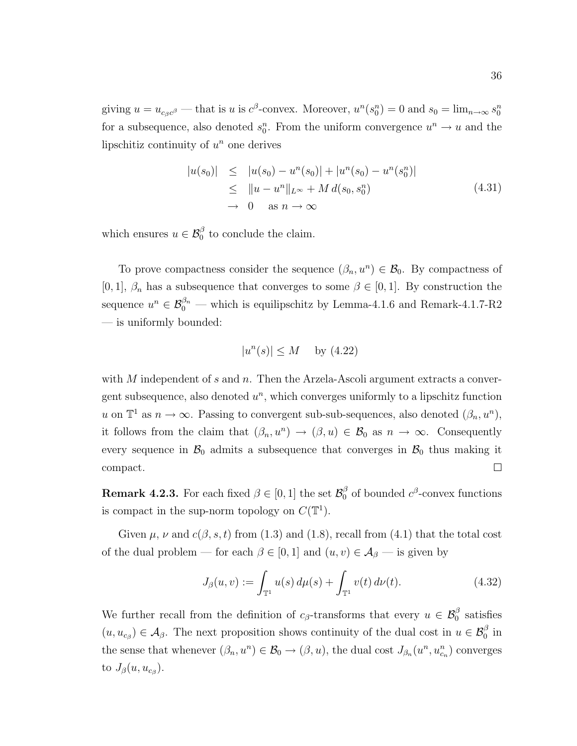giving  $u = u_{c_0c}$  – that is u is  $c^{\beta}$ -convex. Moreover,  $u^n(s_0^n) = 0$  and  $s_0 = \lim_{n \to \infty} s_0^n$ for a subsequence, also denoted  $s_0^n$ . From the uniform convergence  $u^n \to u$  and the lipschitiz continuity of  $u^n$  one derives

$$
|u(s_0)| \le |u(s_0) - u^n(s_0)| + |u^n(s_0) - u^n(s_0^n)|
$$
  
\n
$$
\le |u - u^n||_{L^{\infty}} + M d(s_0, s_0^n)
$$
  
\n
$$
\to 0 \quad \text{as } n \to \infty
$$
\n(4.31)

which ensures  $u \in \mathcal{B}_0^{\beta}$  to conclude the claim.

To prove compactness consider the sequence  $(\beta_n, u^n) \in \mathcal{B}_0$ . By compactness of [0, 1],  $\beta_n$  has a subsequence that converges to some  $\beta \in [0, 1]$ . By construction the sequence  $u^n \in \mathcal{B}_0^{\beta_n}$  — which is equilipschitz by Lemma[-4.1.6](#page-40-1) and Remark[-4.1.7-](#page-40-2)R2 — is uniformly bounded:

$$
|u^n(s)| \le M \quad \text{by (4.22)}
$$

with M independent of s and n. Then the Arzela-Ascoli argument extracts a convergent subsequence, also denoted  $u^n$ , which converges uniformly to a lipschitz function u on  $\mathbb{T}^1$  as  $n \to \infty$ . Passing to convergent sub-sub-sequences, also denoted  $(\beta_n, u^n)$ , it follows from the claim that  $(\beta_n, u^n) \to (\beta, u) \in \mathcal{B}_0$  as  $n \to \infty$ . Consequently every sequence in  $\mathcal{B}_0$  admits a subsequence that converges in  $\mathcal{B}_0$  thus making it  $\Box$ compact.

<span id="page-45-1"></span>**Remark 4.2.3.** For each fixed  $\beta \in [0,1]$  the set  $\mathcal{B}_0^{\beta}$  $\int_0^\beta$  of bounded  $c^\beta$ -convex functions is compact in the sup-norm topology on  $C(\mathbb{T}^1)$ .

Given  $\mu$ ,  $\nu$  and  $c(\beta, s, t)$  from [\(1.3\)](#page-13-0) and [\(1.8\)](#page-15-0), recall from [\(4.1\)](#page-37-0) that the total cost of the dual problem — for each  $\beta \in [0,1]$  and  $(u, v) \in \mathcal{A}_{\beta}$  — is given by

<span id="page-45-0"></span>
$$
J_{\beta}(u,v) := \int_{\mathbb{T}^1} u(s) \, d\mu(s) + \int_{\mathbb{T}^1} v(t) \, d\nu(t). \tag{4.32}
$$

<span id="page-45-2"></span>We further recall from the definition of  $c_{\beta}$ -transforms that every  $u \in \mathcal{B}_{0}^{\beta}$  satisfies  $(u, u_{c_{\beta}}) \in \mathcal{A}_{\beta}$ . The next proposition shows continuity of the dual cost in  $u \in \mathcal{B}_{0}^{\beta}$  in the sense that whenever  $(\beta_n, u^n) \in \mathcal{B}_0 \to (\beta, u)$ , the dual cost  $J_{\beta_n}(u^n, u^n_{c_n})$  converges to  $J_{\beta}(u, u_{c_{\beta}}).$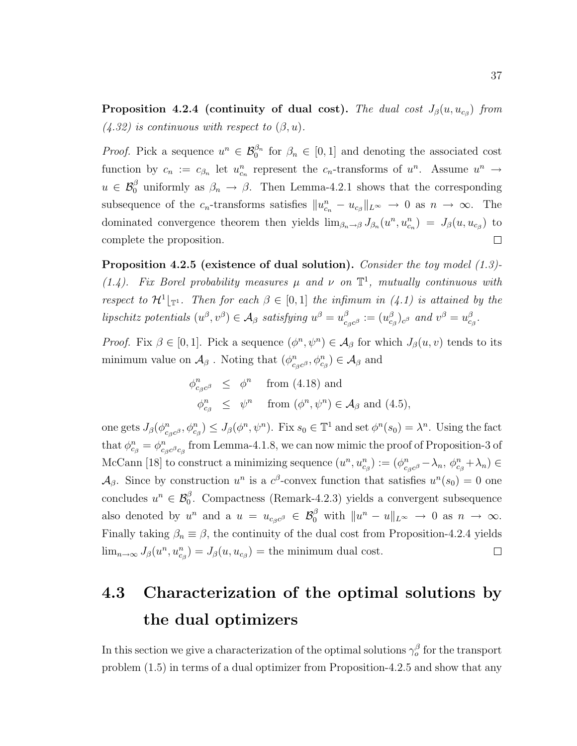Proposition 4.2.4 (continuity of dual cost). The dual cost  $J_\beta(u,u_{c_\beta})$  from  $(4.32)$  is continuous with respect to  $(\beta, u)$ .

*Proof.* Pick a sequence  $u^n \in \mathcal{B}_0^{\beta_n}$  for  $\beta_n \in [0,1]$  and denoting the associated cost function by  $c_n := c_{\beta_n}$  let  $u_{c_n}^n$  represent the  $c_n$ -transforms of  $u^n$ . Assume  $u^n \to$  $u \in \mathcal{B}_0^{\beta}$  uniformly as  $\beta_n \to \beta$ . Then Lemma[-4.2.1](#page-43-3) shows that the corresponding subsequence of the  $c_n$ -transforms satisfies  $||u_{c_n}^n - u_{c_\beta}||_{L^\infty} \to 0$  as  $n \to \infty$ . The dominated convergence theorem then yields  $\lim_{\beta_n \to \beta} J_{\beta_n}(u^n, u_{c_n}^n) = J_{\beta}(u, u_{c_{\beta}})$  to complete the proposition.  $\Box$ 

<span id="page-46-0"></span>Proposition 4.2.5 (existence of dual solution). Consider the toy model [\(1.3\)](#page-13-0)-[\(1.4\)](#page-13-1). Fix Borel probability measures  $\mu$  and  $\nu$  on  $\mathbb{T}^1$ , mutually continuous with respect to  $\mathcal{H}^1|_{\mathbb{T}^1}$ . Then for each  $\beta \in [0,1]$  the infimum in  $(4.1)$  is attained by the lipschitz potentials  $(u^{\beta}, v^{\beta}) \in A_{\beta}$  satisfying  $u^{\beta} = u^{\beta}_{\beta}$  $c_{\beta}^{\beta}$  :=  $(u_{c_{\beta}}^{\beta})_{c^{\beta}}$  and  $v^{\beta} = u_{c_{\beta}}^{\beta}$ .

*Proof.* Fix  $\beta \in [0,1]$ . Pick a sequence  $(\phi^n, \psi^n) \in \mathcal{A}_{\beta}$  for which  $J_{\beta}(u, v)$  tends to its minimum value on  $\mathcal{A}_{\beta}$ . Noting that  $(\phi_{c}^{n})$  $c_{\beta}^n c_{\beta}^{\beta}, \phi_{c_{\beta}}^n$  and  $\mathcal{A}_{\beta}$  and

$$
\begin{aligned}\n\phi_{c_{\beta}c^{\beta}}^{n} &\leq \phi^{n} &\text{from (4.18) and} \\
\phi_{c_{\beta}}^{n} &\leq \psi^{n} &\text{from } (\phi^{n}, \psi^{n}) \in \mathcal{A}_{\beta} \text{ and (4.5)},\n\end{aligned}
$$

 $\mathcal{L}_{c_{\beta}c^{\beta}}^{n}, \phi_{c_{\beta}}^{n} \leq J_{\beta}(\phi^{n}, \psi^{n}).$  Fix  $s_{0} \in \mathbb{T}^{1}$  and set  $\phi^{n}(s_{0}) = \lambda^{n}$ . Using the fact one gets  $J_\beta(\phi^n_c)$ that  $\phi_{c_{\beta}}^n = \phi_{c_{\beta}}^n$  $\sum_{c_\beta c^\beta c_\beta}^n$  from Lemma[-4.1.8,](#page-41-0) we can now mimic the proof of Proposition-3 of McCann [\[18\]](#page-83-1) to construct a minimizing sequence  $(u^n, u^n_{c_\beta}) := (\phi^n_{c_\beta})$  $\sum_{c_{\beta}c^{\beta}}^{n}-\lambda_{n}, \phi_{c_{\beta}}^{n}+\lambda_{n}) \in$  $\mathcal{A}_{\beta}$ . Since by construction  $u^n$  is a  $c^{\beta}$ -convex function that satisfies  $u^n(s_0) = 0$  one concludes  $u^n \in \mathcal{B}_0^{\beta}$ . Compactness (Remark[-4.2.3\)](#page-45-1) yields a convergent subsequence also denoted by  $u^n$  and a  $u = u_{c_0,c}$   $\in \mathcal{B}_0^{\beta}$  with  $||u^n - u||_{L^{\infty}} \to 0$  as  $n \to \infty$ . Finally taking  $\beta_n \equiv \beta$ , the continuity of the dual cost from Proposition[-4.2.4](#page-45-2) yields  $\lim_{n\to\infty} J_{\beta}(u^n, u_{c_{\beta}}^n) = J_{\beta}(u, u_{c_{\beta}}) =$  the minimum dual cost.  $\Box$ 

### 4.3 Characterization of the optimal solutions by the dual optimizers

In this section we give a characterization of the optimal solutions  $\gamma_o^{\beta}$  for the transport problem [\(1.5\)](#page-14-0) in terms of a dual optimizer from Proposition[-4.2.5](#page-46-0) and show that any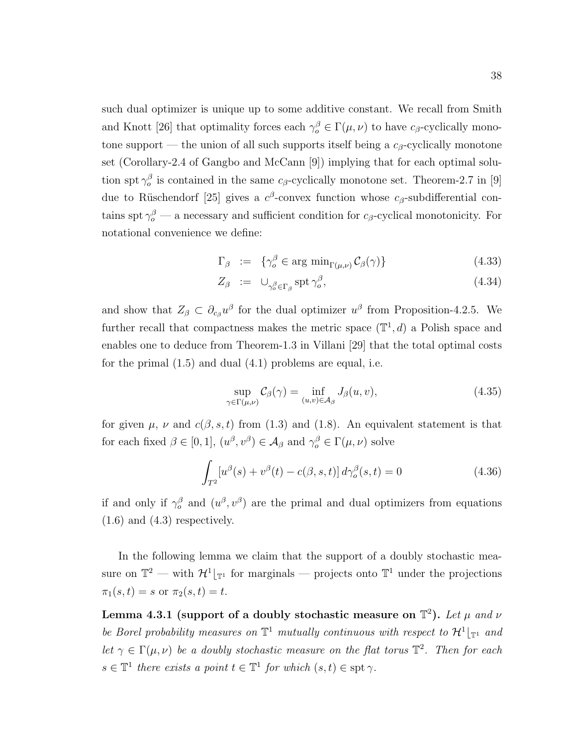such dual optimizer is unique up to some additive constant. We recall from Smith and Knott [\[26\]](#page-84-0) that optimality forces each  $\gamma_o^{\beta} \in \Gamma(\mu, \nu)$  to have  $c_{\beta}$ -cyclically monotone support — the union of all such supports itself being a  $c_{\beta}$ -cyclically monotone set (Corollary-2.4 of Gangbo and McCann [\[9\]](#page-82-0)) implying that for each optimal solution spt  $\gamma_o^{\beta}$  is contained in the same c<sub>β</sub>-cyclically monotone set. Theorem-2.7 in [\[9\]](#page-82-0) due to Rüschendorf [\[25\]](#page-84-1) gives a  $c^{\beta}$ -convex function whose  $c_{\beta}$ -subdifferential contains spt  $\gamma_o^{\beta}$  — a necessary and sufficient condition for  $c_{\beta}$ -cyclical monotonicity. For notational convenience we define:

<span id="page-47-2"></span>
$$
\Gamma_{\beta} := \{ \gamma_o^{\beta} \in \arg \min_{\Gamma(\mu,\nu)} C_{\beta}(\gamma) \} \tag{4.33}
$$

$$
Z_{\beta} := \cup_{\gamma_o^{\beta} \in \Gamma_{\beta}} \operatorname{spt} \gamma_o^{\beta}, \tag{4.34}
$$

and show that  $Z_{\beta} \subset \partial_{c_{\beta}} u^{\beta}$  for the dual optimizer  $u^{\beta}$  from Proposition[-4.2.5.](#page-46-0) We further recall that compactness makes the metric space  $(\mathbb{T}^1, d)$  a Polish space and enables one to deduce from Theorem-1.3 in Villani [\[29\]](#page-84-2) that the total optimal costs for the primal [\(1.5\)](#page-14-0) and dual [\(4.1\)](#page-37-0) problems are equal, i.e.

<span id="page-47-0"></span>
$$
\sup_{\gamma \in \Gamma(\mu,\nu)} \mathcal{C}_{\beta}(\gamma) = \inf_{(u,v) \in \mathcal{A}_{\beta}} J_{\beta}(u,v), \tag{4.35}
$$

for given  $\mu$ ,  $\nu$  and  $c(\beta, s, t)$  from [\(1.3\)](#page-13-0) and [\(1.8\)](#page-15-0). An equivalent statement is that for each fixed  $\beta \in [0,1]$ ,  $(u^{\beta}, v^{\beta}) \in \mathcal{A}_{\beta}$  and  $\gamma_o^{\beta} \in \Gamma(\mu, \nu)$  solve

$$
\int_{T^2} [u^{\beta}(s) + v^{\beta}(t) - c(\beta, s, t)] d\gamma_o^{\beta}(s, t) = 0
$$
\n(4.36)

if and only if  $\gamma_o^{\beta}$  and  $(u^{\beta}, v^{\beta})$  are the primal and dual optimizers from equations  $(1.6)$  and  $(4.3)$  respectively.

In the following lemma we claim that the support of a doubly stochastic measure on  $\mathbb{T}^2$  — with  $\mathcal{H}^1|_{\mathbb{T}^1}$  for marginals — projects onto  $\mathbb{T}^1$  under the projections  $\pi_1(s,t) = s \text{ or } \pi_2(s,t) = t.$ 

<span id="page-47-1"></span>Lemma 4.3.1 (support of a doubly stochastic measure on  $\mathbb{T}^2$ ). Let  $\mu$  and  $\nu$ be Borel probability measures on  $\mathbb{T}^1$  mutually continuous with respect to  $\mathcal{H}^1|_{\mathbb{T}^1}$  and let  $\gamma \in \Gamma(\mu, \nu)$  be a doubly stochastic measure on the flat torus  $\mathbb{T}^2$ . Then for each  $s \in \mathbb{T}^1$  there exists a point  $t \in \mathbb{T}^1$  for which  $(s, t) \in \operatorname{spt} \gamma$ .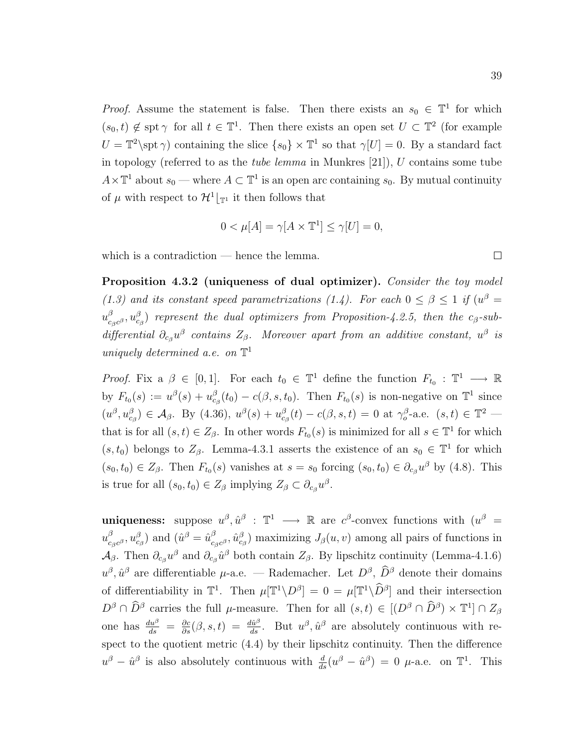*Proof.* Assume the statement is false. Then there exists an  $s_0 \in \mathbb{T}^1$  for which  $(s_0, t) \notin \text{spt } \gamma \text{ for all } t \in \mathbb{T}^1$ . Then there exists an open set  $U \subset \mathbb{T}^2$  (for example  $U = \mathbb{T}^2 \setminus \operatorname{spt} \gamma$  containing the slice  $\{s_0\} \times \mathbb{T}^1$  so that  $\gamma[U] = 0$ . By a standard fact in topology (referred to as the *tube lemma* in Munkres  $[21]$ ), U contains some tube  $A \times \mathbb{T}^1$  about  $s_0$  — where  $A \subset \mathbb{T}^1$  is an open arc containing  $s_0$ . By mutual continuity of  $\mu$  with respect to  $\mathcal{H}^1|_{\mathbb{T}^1}$  it then follows that

$$
0 < \mu[A] = \gamma[A \times \mathbb{T}^1] \le \gamma[U] = 0,
$$

which is a contradiction — hence the lemma.

<span id="page-48-0"></span>Proposition 4.3.2 (uniqueness of dual optimizer). Consider the toy model [\(1.3\)](#page-13-0) and its constant speed parametrizations [\(1.4\)](#page-13-1). For each  $0 \le \beta \le 1$  if  $(u^{\beta} =$  $u^{\beta}_{c}$  $\mathcal{C}_{\beta}^{\beta}$  or  $w_{c_{\beta}}^{\beta}$ ) represent the dual optimizers from Proposition[-4.2.5,](#page-46-0) then the  $c_{\beta}$ -subdifferential  $\partial_{c_\beta}u^\beta$  contains  $Z_\beta$ . Moreover apart from an additive constant,  $u^\beta$  is uniquely determined a.e. on  $\mathbb{T}^1$ 

*Proof.* Fix a  $\beta \in [0,1]$ . For each  $t_0 \in \mathbb{T}^1$  define the function  $F_{t_0} : \mathbb{T}^1 \longrightarrow \mathbb{R}$ by  $F_{t_0}(s) := u^{\beta}(s) + u^{\beta}_{c_{\beta}}(t_0) - c(\beta, s, t_0)$ . Then  $F_{t_0}(s)$  is non-negative on  $\mathbb{T}^1$  since  $(u^{\beta}, u_{c_{\beta}}^{\beta}) \in \mathcal{A}_{\beta}$ . By [\(4.36\)](#page-47-0),  $u^{\beta}(s) + u_{c_{\beta}}^{\beta}(t) - c(\beta, s, t) = 0$  at  $\gamma_o^{\beta}$ -a.e.  $(s, t) \in \mathbb{T}^2$ that is for all  $(s, t) \in Z_\beta$ . In other words  $F_{t_0}(s)$  is minimized for all  $s \in \mathbb{T}^1$  for which  $(s, t_0)$  belongs to  $Z_\beta$ . Lemma[-4.3.1](#page-47-1) asserts the existence of an  $s_0 \in \mathbb{T}^1$  for which  $(s_0, t_0) \in Z_\beta$ . Then  $F_{t_0}(s)$  vanishes at  $s = s_0$  forcing  $(s_0, t_0) \in \partial_{c_\beta} u^\beta$  by [\(4.8\)](#page-39-0). This is true for all  $(s_0, t_0) \in Z_\beta$  implying  $Z_\beta \subset \partial_{c_\beta} u^\beta$ .

uniqueness: suppose  $u^{\beta}$ ,  $\hat{u}^{\beta}$ :  $\mathbb{T}^1 \longrightarrow \mathbb{R}$  are  $c^{\beta}$ -convex functions with  $(u^{\beta} =$  $u^{\beta}_{c}$  $\frac{\beta}{c_{\beta}c^{\beta}}, u_{c_{\beta}}^{\beta}$  and  $(\hat{u}^{\beta} = \hat{u}_{c_{\beta}}^{\beta})$  $\int_{c_{\beta}c^{\beta}}^{\beta} \hat{u}_{c_{\beta}}^{\beta}$  maximizing  $J_{\beta}(u, v)$  among all pairs of functions in  $\mathcal{A}_{\beta}$ . Then  $\partial_{c_{\beta}}u^{\beta}$  and  $\partial_{c_{\beta}}\hat{u}^{\beta}$  both contain  $Z_{\beta}$ . By lipschitz continuity (Lemma[-4.1.6\)](#page-40-1)  $u^{\beta}$ ,  $\hat{u}^{\beta}$  are differentiable  $\mu$ -a.e. — Rademacher. Let  $D^{\beta}$ ,  $\hat{D}^{\beta}$  denote their domains of differentiability in  $\mathbb{T}^1$ . Then  $\mu[\mathbb{T}^1 \setminus D^{\beta}] = 0 = \mu[\mathbb{T}^1 \setminus \widehat{D}^{\beta}]$  and their intersection  $D^{\beta} \cap \widehat{D}^{\beta}$  carries the full  $\mu$ -measure. Then for all  $(s,t) \in [(D^{\beta} \cap \widehat{D}^{\beta}) \times \mathbb{T}^{1}] \cap Z_{\beta}$ one has  $\frac{du^{\beta}}{ds} = \frac{\partial c}{\partial s}(\beta, s, t) = \frac{d\hat{u}^{\beta}}{ds}$ . But  $u^{\beta}, \hat{u}^{\beta}$  are absolutely continuous with respect to the quotient metric [\(4.4\)](#page-38-5) by their lipschitz continuity. Then the difference  $u^{\beta} - \hat{u}^{\beta}$  is also absolutely continuous with  $\frac{d}{ds}(u^{\beta} - \hat{u}^{\beta}) = 0$   $\mu$ -a.e. on  $\mathbb{T}^{1}$ . This

 $\Box$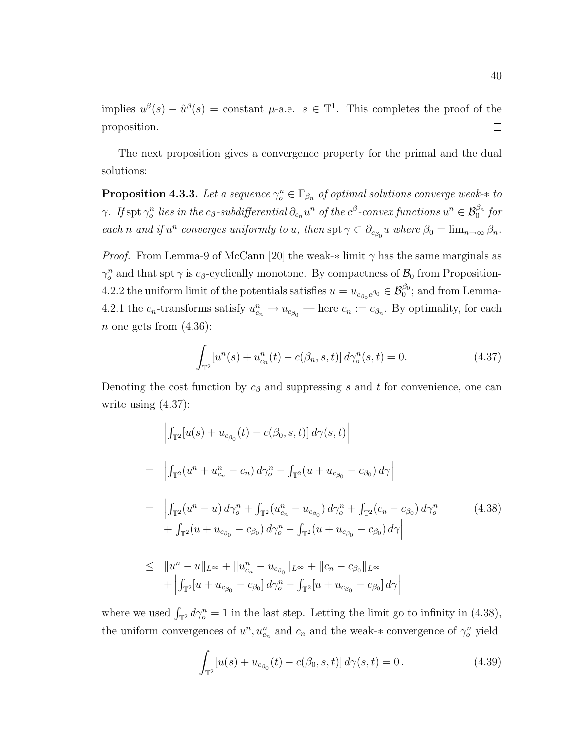implies  $u^{\beta}(s) - \hat{u}^{\beta}(s) = \text{constant } \mu$ -a.e.  $s \in \mathbb{T}^{1}$ . This completes the proof of the proposition.  $\Box$ 

The next proposition gives a convergence property for the primal and the dual solutions:

<span id="page-49-2"></span>**Proposition 4.3.3.** Let a sequence  $\gamma_o^n \in \Gamma_{\beta_n}$  of optimal solutions converge weak- $*$  to  $\gamma$ . If  $\mathrm{spt}\,\gamma_o^n$  lies in the  $c_\beta$ -subdifferential  $\partial_{c_n}u^n$  of the  $c^\beta$ -convex functions  $u^n\in\mathcal{B}_0^{\beta_n}$  for each n and if  $u^n$  converges uniformly to u, then  $\text{spt } \gamma \subset \partial_{c_{\beta_0}} u$  where  $\beta_0 = \lim_{n \to \infty} \beta_n$ .

*Proof.* From Lemma-9 of McCann [\[20\]](#page-83-3) the weak- $*$  limit  $\gamma$  has the same marginals as  $\gamma_o^n$  and that spt  $\gamma$  is  $c_\beta$ -cyclically monotone. By compactness of  $\mathcal{B}_0$  from Proposition-[4.2.2](#page-44-1) the uniform limit of the potentials satisfies  $u = u_{c_{\beta_o}c^{\beta_0}} \in \mathcal{B}_0^{\beta_0}$ ; and from Lemma-[4.2.1](#page-43-3) the  $c_n$ -transforms satisfy  $u_{c_n}^n \to u_{c_{\beta_0}}$  — here  $c_n := c_{\beta_n}$ . By optimality, for each n one gets from  $(4.36)$ :

<span id="page-49-1"></span><span id="page-49-0"></span>
$$
\int_{\mathbb{T}^2} [u^n(s) + u^n_{c_n}(t) - c(\beta_n, s, t)] d\gamma_o^n(s, t) = 0.
$$
 (4.37)

Denoting the cost function by  $c_{\beta}$  and suppressing s and t for convenience, one can write using [\(4.37\)](#page-49-0):

$$
\left| \int_{\mathbb{T}^2} [u(s) + u_{c_{\beta_0}}(t) - c(\beta_0, s, t)] d\gamma(s, t) \right|
$$
  
\n
$$
= \left| \int_{\mathbb{T}^2} (u^n + u_{c_n}^n - c_n) d\gamma_o^n - \int_{\mathbb{T}^2} (u + u_{c_{\beta_0}} - c_{\beta_0}) d\gamma \right|
$$
  
\n
$$
= \left| \int_{\mathbb{T}^2} (u^n - u) d\gamma_o^n + \int_{\mathbb{T}^2} (u_{c_n}^n - u_{c_{\beta_0}}) d\gamma_o^n + \int_{\mathbb{T}^2} (c_n - c_{\beta_0}) d\gamma_o^n \right|
$$
  
\n
$$
+ \int_{\mathbb{T}^2} (u + u_{c_{\beta_0}} - c_{\beta_0}) d\gamma_o^n - \int_{\mathbb{T}^2} (u + u_{c_{\beta_0}} - c_{\beta_0}) d\gamma \right|
$$
\n(4.38)

$$
\leq \|u^{n} - u\|_{L^{\infty}} + \|u^{n}_{c_{n}} - u_{c_{\beta_{0}}}\|_{L^{\infty}} + \|c_{n} - c_{\beta_{0}}\|_{L^{\infty}}
$$
  
+ 
$$
\left|\int_{\mathbb{T}^{2}} [u + u_{c_{\beta_{0}}} - c_{\beta_{0}}] d\gamma_{o}^{n} - \int_{\mathbb{T}^{2}} [u + u_{c_{\beta_{0}}} - c_{\beta_{0}}] d\gamma\right|
$$

where we used  $\int_{\mathbb{T}^2} d\gamma_o^n = 1$  in the last step. Letting the limit go to infinity in [\(4.38\)](#page-49-1), the uniform convergences of  $u^n, u_{c_n}^n$  and  $c_n$  and the weak- $*$  convergence of  $\gamma_o^n$  yield

$$
\int_{\mathbb{T}^2} [u(s) + u_{c_{\beta_0}}(t) - c(\beta_0, s, t)] d\gamma(s, t) = 0.
$$
\n(4.39)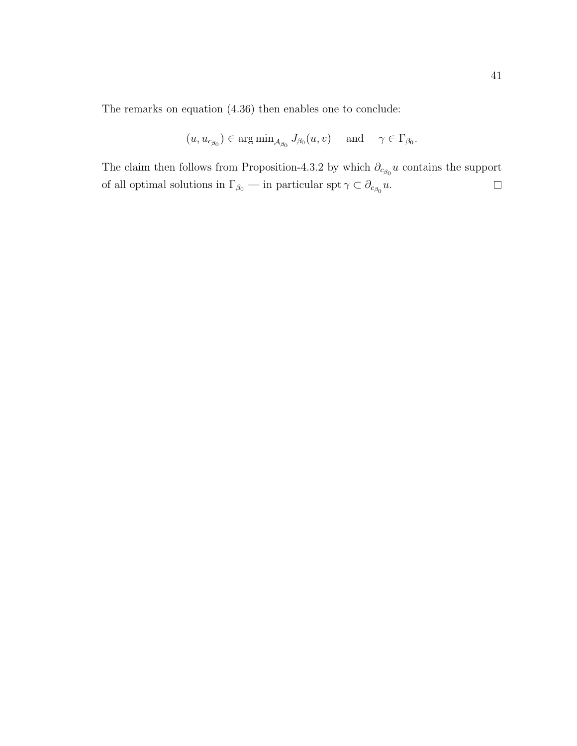The remarks on equation [\(4.36\)](#page-47-0) then enables one to conclude:

$$
(u, u_{c_{\beta_0}}) \in \arg\min_{\mathcal{A}_{\beta_0}} J_{\beta_0}(u, v)
$$
 and  $\gamma \in \Gamma_{\beta_0}$ .

The claim then follows from Proposition[-4.3.2](#page-48-0) by which  $\partial_{c_{\beta_0}} u$  contains the support  $\Box$ of all optimal solutions in  $\Gamma_{\beta_0}$  — in particular spt  $\gamma \subset \partial_{c_{\beta_0}} u$ .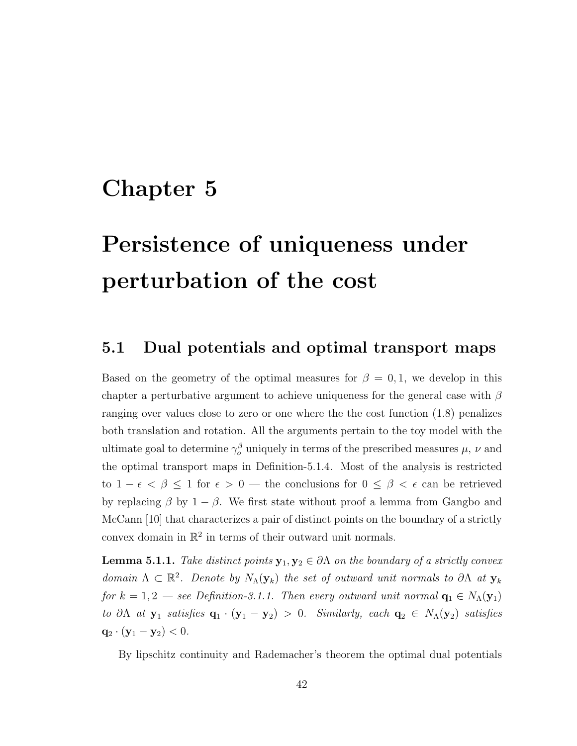## Chapter 5

# Persistence of uniqueness under perturbation of the cost

### 5.1 Dual potentials and optimal transport maps

Based on the geometry of the optimal measures for  $\beta = 0, 1$ , we develop in this chapter a perturbative argument to achieve uniqueness for the general case with  $\beta$ ranging over values close to zero or one where the the cost function [\(1.8\)](#page-15-0) penalizes both translation and rotation. All the arguments pertain to the toy model with the ultimate goal to determine  $\gamma_o^{\beta}$  uniquely in terms of the prescribed measures  $\mu$ ,  $\nu$  and the optimal transport maps in Definition[-5.1.4.](#page-54-0) Most of the analysis is restricted to 1 −  $\epsilon$  <  $\beta$  ≤ 1 for  $\epsilon$  > 0 — the conclusions for  $0 \leq \beta$  <  $\epsilon$  can be retrieved by replacing  $\beta$  by  $1 - \beta$ . We first state without proof a lemma from Gangbo and McCann [\[10\]](#page-83-4) that characterizes a pair of distinct points on the boundary of a strictly convex domain in  $\mathbb{R}^2$  in terms of their outward unit normals.

<span id="page-51-0"></span>**Lemma 5.1.1.** Take distinct points  $y_1, y_2 \in \partial \Lambda$  on the boundary of a strictly convex domain  $\Lambda \subset \mathbb{R}^2$ . Denote by  $N_{\Lambda}(\mathbf{y}_k)$  the set of outward unit normals to  $\partial \Lambda$  at  $\mathbf{y}_k$ for  $k = 1, 2$  — see Definition[-3.1.1.](#page-24-0) Then every outward unit normal  $\mathbf{q}_1 \in N_\Lambda(\mathbf{y}_1)$ to ∂Λ at  $y_1$  satisfies  $q_1 \cdot (y_1 - y_2) > 0$ . Similarly, each  $q_2 \in N_\Lambda(y_2)$  satisfies  $\mathbf{q}_2 \cdot (\mathbf{y}_1 - \mathbf{y}_2) < 0.$ 

By lipschitz continuity and Rademacher's theorem the optimal dual potentials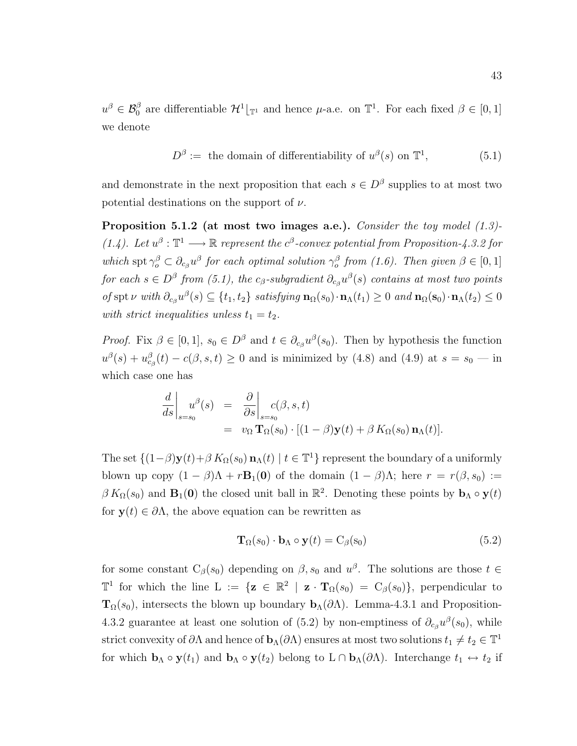$u^{\beta} \in \mathcal{B}_{0}^{\beta}$  are differentiable  $\mathcal{H}^{1}[\mathbb{T}^{1}$  and hence  $\mu$ -a.e. on  $\mathbb{T}^{1}$ . For each fixed  $\beta \in [0,1]$ we denote

<span id="page-52-0"></span>
$$
D^{\beta} := \text{ the domain of differentiability of } u^{\beta}(s) \text{ on } \mathbb{T}^{1}, \tag{5.1}
$$

and demonstrate in the next proposition that each  $s \in D^{\beta}$  supplies to at most two potential destinations on the support of  $\nu$ .

<span id="page-52-2"></span>**Proposition 5.1.2 (at most two images a.e.).** Consider the toy model  $(1.3)$ -[\(1.4\)](#page-13-1). Let  $u^{\beta} : \mathbb{T}^1 \longrightarrow \mathbb{R}$  represent the  $c^{\beta}$ -convex potential from Proposition[-4.3.2](#page-48-0) for which spt  $\gamma_o^{\beta} \subset \partial_{c_{\beta}} u^{\beta}$  for each optimal solution  $\gamma_o^{\beta}$  from [\(1.6\)](#page-14-1). Then given  $\beta \in [0,1]$  $for~each~s\in D^{\beta}~from~(5.1),~the~c_{\beta} \text{-subgradient}~\partial_{c_{\beta}}u^{\beta}(s)~contains~at~most~two~points$  $for~each~s\in D^{\beta}~from~(5.1),~the~c_{\beta} \text{-subgradient}~\partial_{c_{\beta}}u^{\beta}(s)~contains~at~most~two~points$  $for~each~s\in D^{\beta}~from~(5.1),~the~c_{\beta} \text{-subgradient}~\partial_{c_{\beta}}u^{\beta}(s)~contains~at~most~two~points$ of spt v with  $\partial_{c_{\beta}}u^{\beta}(s) \subseteq \{t_1, t_2\}$  satisfying  $\mathbf{n}_{\Omega}(s_0) \cdot \mathbf{n}_{\Lambda}(t_1) \geq 0$  and  $\mathbf{n}_{\Omega}(s_0) \cdot \mathbf{n}_{\Lambda}(t_2) \leq 0$ with strict inequalities unless  $t_1 = t_2$ .

*Proof.* Fix  $\beta \in [0,1], s_0 \in D^{\beta}$  and  $t \in \partial_{c_{\beta}}u^{\beta}(s_0)$ . Then by hypothesis the function  $u^{\beta}(s) + u^{\beta}_{c_{\beta}}(t) - c(\beta, s, t) \ge 0$  and is minimized by [\(4.8\)](#page-39-0) and [\(4.9\)](#page-39-4) at  $s = s_0$  — in which case one has

$$
\frac{d}{ds}\Big|_{s=s_0} u^{\beta}(s) = \frac{\partial}{\partial s}\Big|_{s=s_0} c(\beta, s, t)
$$
  
=  $v_{\Omega} \mathbf{T}_{\Omega}(s_0) \cdot [(1-\beta)\mathbf{y}(t) + \beta K_{\Omega}(s_0) \mathbf{n}_{\Lambda}(t)].$ 

The set  $\{(1-\beta)\mathbf{y}(t)+\beta K_{\Omega}(s_0)\mathbf{n}_{\Lambda}(t) \mid t \in \mathbb{T}^1\}$  represent the boundary of a uniformly blown up copy  $(1 - \beta)\Lambda + r\mathbf{B}_1(\mathbf{0})$  of the domain  $(1 - \beta)\Lambda$ ; here  $r = r(\beta, s_0) :=$  $\beta K_{\Omega}(s_0)$  and  $\mathbf{B}_1(0)$  the closed unit ball in  $\mathbb{R}^2$ . Denoting these points by  $\mathbf{b}_{\Lambda} \circ \mathbf{y}(t)$ for  $y(t) \in \partial \Lambda$ , the above equation can be rewritten as

<span id="page-52-1"></span>
$$
\mathbf{T}_{\Omega}(s_0) \cdot \mathbf{b}_{\Lambda} \circ \mathbf{y}(t) = \mathbf{C}_{\beta}(\mathbf{s}_0)
$$
\n(5.2)

for some constant  $C_{\beta}(s_0)$  depending on  $\beta, s_0$  and  $u^{\beta}$ . The solutions are those  $t \in$  $\mathbb{T}^1$  for which the line  $L := \{ \mathbf{z} \in \mathbb{R}^2 \mid \mathbf{z} \cdot \mathbf{T}_{\Omega}(s_0) = C_{\beta}(s_0) \},$  perpendicular to  $\mathbf{T}_{\Omega}(s_0)$ , intersects the blown up boundary  $\mathbf{b}_{\Lambda}(\partial \Lambda)$ . Lemma[-4.3.1](#page-47-1) and Proposition-[4.3.2](#page-48-0) guarantee at least one solution of [\(5.2\)](#page-52-1) by non-emptiness of  $\partial_{c\beta}u^{\beta}(s_0)$ , while strict convexity of  $\partial\Lambda$  and hence of  $\mathbf{b}_{\Lambda}(\partial\Lambda)$  ensures at most two solutions  $t_1\neq t_2\in \mathbb{T}^1$ for which  $\mathbf{b}_{\Lambda} \circ \mathbf{y}(t_1)$  and  $\mathbf{b}_{\Lambda} \circ \mathbf{y}(t_2)$  belong to  $\mathbf{L} \cap \mathbf{b}_{\Lambda}(\partial \Lambda)$ . Interchange  $t_1 \leftrightarrow t_2$  if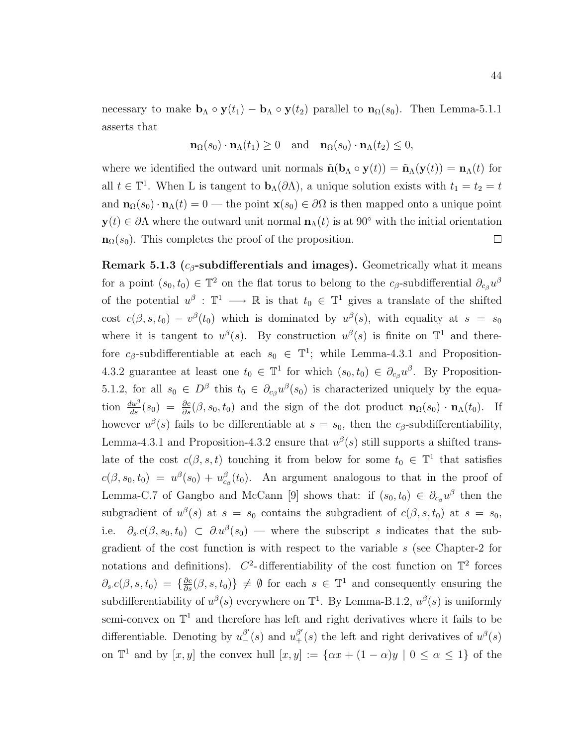necessary to make  $\mathbf{b}_{\Lambda} \circ \mathbf{y}(t_1) - \mathbf{b}_{\Lambda} \circ \mathbf{y}(t_2)$  parallel to  $\mathbf{n}_{\Omega}(s_0)$ . Then Lemma[-5.1.1](#page-51-0) asserts that

$$
\mathbf{n}_{\Omega}(s_0) \cdot \mathbf{n}_{\Lambda}(t_1) \ge 0 \quad \text{and} \quad \mathbf{n}_{\Omega}(s_0) \cdot \mathbf{n}_{\Lambda}(t_2) \le 0,
$$

where we identified the outward unit normals  $\tilde{\mathbf{n}}(\mathbf{b}_{\Lambda} \circ \mathbf{y}(t)) = \tilde{\mathbf{n}}_{\Lambda}(\mathbf{y}(t)) = \mathbf{n}_{\Lambda}(t)$  for all  $t \in \mathbb{T}^1$ . When L is tangent to  $\mathbf{b}_{\Lambda}(\partial \Lambda)$ , a unique solution exists with  $t_1 = t_2 = t$ and  $\mathbf{n}_{\Omega}(s_0) \cdot \mathbf{n}_{\Lambda}(t) = 0$  — the point  $\mathbf{x}(s_0) \in \partial \Omega$  is then mapped onto a unique point  $y(t) \in \partial \Lambda$  where the outward unit normal  $n_{\Lambda}(t)$  is at 90° with the initial orientation  $n_{\Omega}(s_0)$ . This completes the proof of the proposition.  $\Box$ 

<span id="page-53-0"></span>Remark 5.1.3 ( $c_{\beta}$ -subdifferentials and images). Geometrically what it means for a point  $(s_0, t_0) \in \mathbb{T}^2$  on the flat torus to belong to the  $c_\beta$ -subdifferential  $\partial_{c_\beta}u^\beta$ of the potential  $u^{\beta}$ :  $\mathbb{T}^1 \longrightarrow \mathbb{R}$  is that  $t_0 \in \mathbb{T}^1$  gives a translate of the shifted cost  $c(\beta, s, t_0) - v^{\beta}(t_0)$  which is dominated by  $u^{\beta}(s)$ , with equality at  $s = s_0$ where it is tangent to  $u^{\beta}(s)$ . By construction  $u^{\beta}(s)$  is finite on  $\mathbb{T}^1$  and therefore  $c_{\beta}$ -subdifferentiable at each  $s_0 \in \mathbb{T}^1$ ; while Lemma[-4.3.1](#page-47-1) and Proposition-[4.3.2](#page-48-0) guarantee at least one  $t_0 \in \mathbb{T}^1$  for which  $(s_0, t_0) \in \partial_{c_\beta} u^\beta$ . By Proposition-[5.1.2,](#page-52-2) for all  $s_0 \in D^{\beta}$  this  $t_0 \in \partial_{c_{\beta}}u^{\beta}(s_0)$  is characterized uniquely by the equation  $\frac{du^{\beta}}{ds}(s_0) = \frac{\partial c}{\partial s}(\beta, s_0, t_0)$  and the sign of the dot product  $\mathbf{n}_{\Omega}(s_0) \cdot \mathbf{n}_{\Lambda}(t_0)$ . If however  $u^{\beta}(s)$  fails to be differentiable at  $s = s_0$ , then the  $c_{\beta}$ -subdifferentiability, Lemma[-4.3.1](#page-47-1) and Proposition[-4.3.2](#page-48-0) ensure that  $u^{\beta}(s)$  still supports a shifted translate of the cost  $c(\beta, s, t)$  touching it from below for some  $t_0 \in \mathbb{T}^1$  that satisfies  $c(\beta, s_0, t_0) = u^{\beta}(s_0) + u^{\beta}_{c_{\beta}}(t_0)$ . An argument analogous to that in the proof of Lemma-C.7 of Gangbo and McCann [\[9\]](#page-82-0) shows that: if  $(s_0, t_0) \in \partial_{c_\beta} u^\beta$  then the subgradient of  $u^{\beta}(s)$  at  $s = s_0$  contains the subgradient of  $c(\beta, s, t_0)$  at  $s = s_0$ , i.e.  $\partial_s c(\beta, s_0, t_0) \subset \partial_t u^{\beta}(s_0)$  — where the subscript s indicates that the subgradient of the cost function is with respect to the variable s (see Chapter[-2](#page-22-0) for notations and definitions).  $C^2$ -differentiability of the cost function on  $\mathbb{T}^2$  forces  $\partial_s c(\beta, s, t_0) = \{\frac{\partial c}{\partial s}(\beta, s, t_0)\}\neq \emptyset$  for each  $s \in \mathbb{T}^1$  and consequently ensuring the subdifferentiability of  $u^{\beta}(s)$  everywhere on  $\mathbb{T}^{1}$ . By Lemma[-B.1.2,](#page-78-0)  $u^{\beta}(s)$  is uniformly semi-convex on  $\mathbb{T}^1$  and therefore has left and right derivatives where it fails to be differentiable. Denoting by  $u_{-}^{\beta'}(s)$  and  $u_{+}^{\beta'}(s)$  the left and right derivatives of  $u^{\beta}(s)$ on  $\mathbb{T}^1$  and by  $[x, y]$  the convex hull  $[x, y] := \{ \alpha x + (1 - \alpha)y \mid 0 \leq \alpha \leq 1 \}$  of the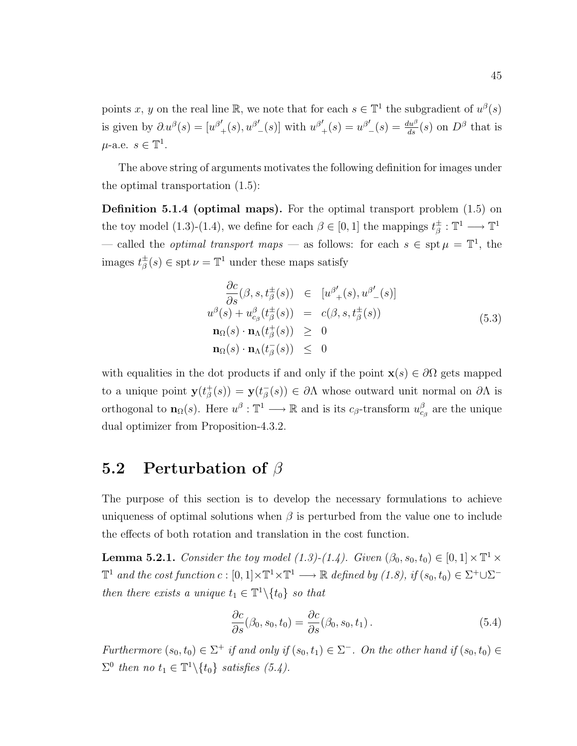points x, y on the real line R, we note that for each  $s \in \mathbb{T}^1$  the subgradient of  $u^{\beta}(s)$ is given by  $\partial u^{\beta}(s) = [u^{\beta'}_{+}(s), u^{\beta'}_{-}(s)]$  with  $u^{\beta'}_{+}(s) = u^{\beta'}_{-}(s) = \frac{du^{\beta}}{ds}(s)$  on  $D^{\beta}$  that is  $\mu$ -a.e.  $s \in \mathbb{T}^1$ .

The above string of arguments motivates the following definition for images under the optimal transportation [\(1.5\)](#page-14-0):

<span id="page-54-0"></span>Definition 5.1.4 (optimal maps). For the optimal transport problem [\(1.5\)](#page-14-0) on the toy model [\(1.3\)](#page-13-0)-[\(1.4\)](#page-13-1), we define for each  $\beta \in [0,1]$  the mappings  $t_{\beta}^{\pm}$  $\frac{\pm}{\beta} : \mathbb{T}^1 \longrightarrow \mathbb{T}^1$ — called the *optimal transport maps* — as follows: for each  $s \in \text{spt } \mu = \mathbb{T}^1$ , the images  $t_a^{\pm}$  $\frac{1}{\beta}(s) \in \text{spt } \nu = \mathbb{T}^1$  under these maps satisfy

<span id="page-54-3"></span>
$$
\frac{\partial c}{\partial s}(\beta, s, t_{\beta}^{\pm}(s)) \in [u^{\beta'}_{+}(s), u^{\beta'}_{-}(s)]
$$
  
\n
$$
u^{\beta}(s) + u_{c_{\beta}}^{\beta}(t_{\beta}^{\pm}(s)) = c(\beta, s, t_{\beta}^{\pm}(s))
$$
  
\n
$$
\mathbf{n}_{\Omega}(s) \cdot \mathbf{n}_{\Lambda}(t_{\beta}^{+}(s)) \geq 0
$$
  
\n
$$
\mathbf{n}_{\Omega}(s) \cdot \mathbf{n}_{\Lambda}(t_{\beta}^{-}(s)) \leq 0
$$
\n(5.3)

with equalities in the dot products if and only if the point  $\mathbf{x}(s) \in \partial \Omega$  gets mapped to a unique point  $y(t<sub>\beta</sub><sup>+</sup>)$  $\phi^+_{\beta}(s)) = \mathbf{y}(t_{\beta}^-)$  $(\bar{\beta}(s)) \in \partial \Lambda$  whose outward unit normal on  $\partial \Lambda$  is orthogonal to  $\mathbf{n}_{\Omega}(s)$ . Here  $u^{\beta} : \mathbb{T}^1 \longrightarrow \mathbb{R}$  and is its  $c_{\beta}$ -transform  $u_{c_{\beta}}^{\beta}$  are the unique dual optimizer from Proposition[-4.3.2.](#page-48-0)

### 5.2 Perturbation of  $\beta$

The purpose of this section is to develop the necessary formulations to achieve uniqueness of optimal solutions when  $\beta$  is perturbed from the value one to include the effects of both rotation and translation in the cost function.

<span id="page-54-2"></span>**Lemma 5.2.1.** Consider the toy model  $(1.3)-(1.4)$  $(1.3)-(1.4)$  $(1.3)-(1.4)$ . Given  $(\beta_0, s_0, t_0) \in [0, 1] \times \mathbb{T}^1 \times$  $\mathbb{T}^1$  and the cost function  $c: [0,1] \times \mathbb{T}^1 \times \mathbb{T}^1 \longrightarrow \mathbb{R}$  defined by  $(1.8)$ , if  $(s_0, t_0) \in \Sigma^+ \cup \Sigma^$ then there exists a unique  $t_1 \in \mathbb{T}^1 \backslash \{t_0\}$  so that

<span id="page-54-1"></span>
$$
\frac{\partial c}{\partial s}(\beta_0, s_0, t_0) = \frac{\partial c}{\partial s}(\beta_0, s_0, t_1).
$$
\n(5.4)

Furthermore  $(s_0, t_0) \in \Sigma^+$  if and only if  $(s_0, t_1) \in \Sigma^-$ . On the other hand if  $(s_0, t_0) \in$  $\Sigma^0$  then no  $t_1 \in \mathbb{T}^1 \backslash \{t_0\}$  satisfies [\(5.4\)](#page-54-1).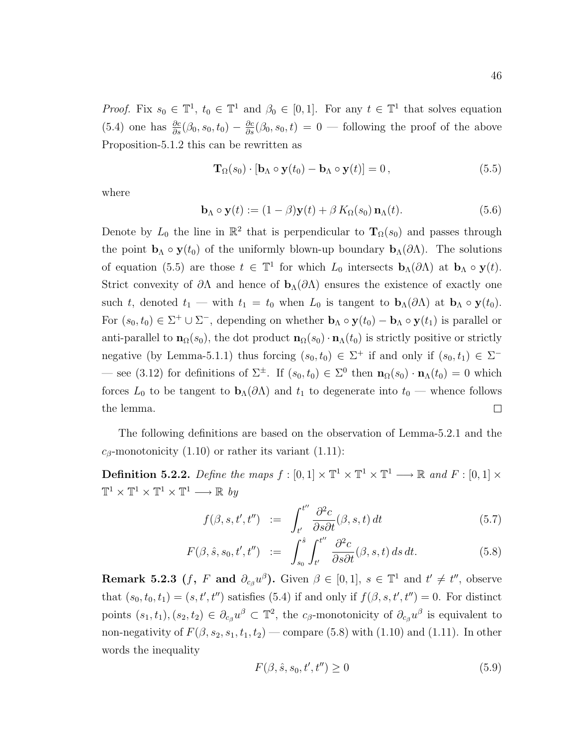*Proof.* Fix  $s_0 \in \mathbb{T}^1$ ,  $t_0 \in \mathbb{T}^1$  and  $\beta_0 \in [0,1]$ . For any  $t \in \mathbb{T}^1$  that solves equation [\(5.4\)](#page-54-1) one has  $\frac{\partial c}{\partial s}(\beta_0, s_0, t_0) - \frac{\partial c}{\partial s}(\beta_0, s_0, t) = 0$  — following the proof of the above Proposition[-5.1.2](#page-52-2) this can be rewritten as

<span id="page-55-0"></span>
$$
\mathbf{T}_{\Omega}(s_0) \cdot [\mathbf{b}_{\Lambda} \circ \mathbf{y}(t_0) - \mathbf{b}_{\Lambda} \circ \mathbf{y}(t)] = 0, \qquad (5.5)
$$

where

$$
\mathbf{b}_{\Lambda} \circ \mathbf{y}(t) := (1 - \beta)\mathbf{y}(t) + \beta K_{\Omega}(s_0) \mathbf{n}_{\Lambda}(t). \tag{5.6}
$$

Denote by  $L_0$  the line in  $\mathbb{R}^2$  that is perpendicular to  $\mathbf{T}_{\Omega}(s_0)$  and passes through the point  $\mathbf{b}_{\Lambda} \circ \mathbf{y}(t_0)$  of the uniformly blown-up boundary  $\mathbf{b}_{\Lambda}(\partial \Lambda)$ . The solutions of equation [\(5.5\)](#page-55-0) are those  $t \in \mathbb{T}^1$  for which  $L_0$  intersects  $\mathbf{b}_\Lambda(\partial \Lambda)$  at  $\mathbf{b}_\Lambda \circ \mathbf{y}(t)$ . Strict convexity of  $\partial\Lambda$  and hence of  $\mathbf{b}_{\Lambda}(\partial\Lambda)$  ensures the existence of exactly one such t, denoted  $t_1$  — with  $t_1 = t_0$  when  $L_0$  is tangent to  $\mathbf{b}_{\Lambda}(\partial \Lambda)$  at  $\mathbf{b}_{\Lambda} \circ \mathbf{y}(t_0)$ . For  $(s_0, t_0) \in \Sigma^+ \cup \Sigma^-$ , depending on whether  $\mathbf{b}_\Lambda \circ \mathbf{y}(t_0) - \mathbf{b}_\Lambda \circ \mathbf{y}(t_1)$  is parallel or anti-parallel to  $\mathbf{n}_{\Omega}(s_0)$ , the dot product  $\mathbf{n}_{\Omega}(s_0) \cdot \mathbf{n}_{\Lambda}(t_0)$  is strictly positive or strictly negative (by Lemma[-5.1.1\)](#page-51-0) thus forcing  $(s_0, t_0) \in \Sigma^+$  if and only if  $(s_0, t_1) \in \Sigma^-$ — see [\(3.12\)](#page-30-0) for definitions of  $\Sigma^{\pm}$ . If  $(s_0, t_0) \in \Sigma^0$  then  $\mathbf{n}_{\Omega}(s_0) \cdot \mathbf{n}_{\Lambda}(t_0) = 0$  which forces  $L_0$  to be tangent to  $\mathbf{b}_{\Lambda}(\partial \Lambda)$  and  $t_1$  to degenerate into  $t_0$  — whence follows the lemma.  $\Box$ 

The following definitions are based on the observation of Lemma[-5.2.1](#page-54-2) and the  $c_{\beta}$ -monotonicity [\(1.10\)](#page-16-0) or rather its variant [\(1.11\)](#page-16-1):

**Definition 5.2.2.** Define the maps  $f : [0,1] \times \mathbb{T}^1 \times \mathbb{T}^1 \times \mathbb{T}^1 \longrightarrow \mathbb{R}$  and  $F : [0,1] \times$  $\mathbb{T}^1 \times \mathbb{T}^1 \times \mathbb{T}^1 \times \mathbb{T}^1 \longrightarrow \mathbb{R}$  by

<span id="page-55-1"></span>
$$
f(\beta, s, t', t'') := \int_{t'}^{t''} \frac{\partial^2 c}{\partial s \partial t}(\beta, s, t) dt
$$
 (5.7)

$$
F(\beta, \hat{s}, s_0, t', t'') \ := \ \int_{s_0}^{\hat{s}} \int_{t'}^{t''} \frac{\partial^2 c}{\partial s \partial t}(\beta, s, t) \, ds \, dt. \tag{5.8}
$$

**Remark 5.2.3** (*f*, *F* and  $\partial_{c_{\beta}}u^{\beta}$ ). Given  $\beta \in [0,1]$ ,  $s \in \mathbb{T}^1$  and  $t' \neq t''$ , observe that  $(s_0, t_0, t_1) = (s, t', t'')$  satisfies [\(5.4\)](#page-54-1) if and only if  $f(\beta, s, t', t'') = 0$ . For distinct points  $(s_1, t_1), (s_2, t_2) \in \partial_{c_\beta} u^\beta \subset \mathbb{T}^2$ , the  $c_\beta$ -monotonicity of  $\partial_{c_\beta} u^\beta$  is equivalent to non-negativity of  $F(\beta, s_2, s_1, t_1, t_2)$  — compare [\(5.8\)](#page-55-1) with [\(1.10\)](#page-16-0) and [\(1.11\)](#page-16-1). In other words the inequality

<span id="page-55-2"></span>
$$
F(\beta, \hat{s}, s_0, t', t'') \ge 0
$$
\n(5.9)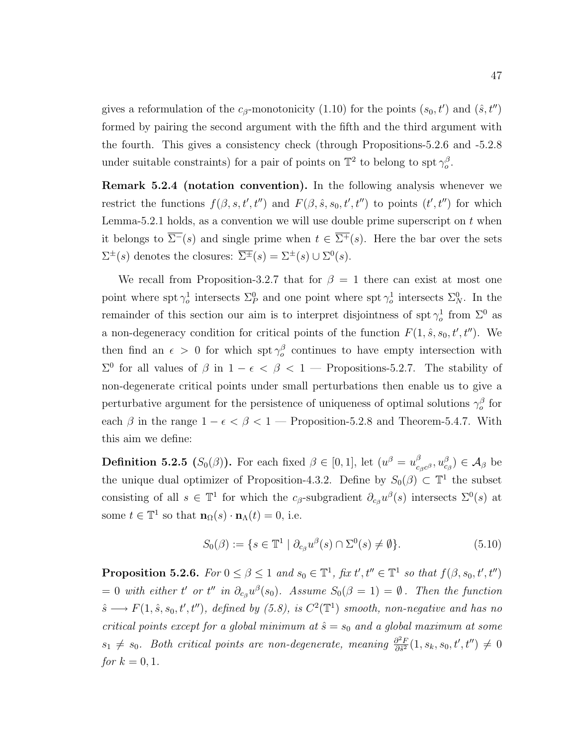gives a reformulation of the  $c_{\beta}$ -monotonicity [\(1.10\)](#page-16-0) for the points  $(s_0, t')$  and  $(\hat{s}, t'')$ formed by pairing the second argument with the fifth and the third argument with the fourth. This gives a consistency check (through Propositions[-5.2.6](#page-56-0) and [-5.2.8](#page-59-0) under suitable constraints) for a pair of points on  $\mathbb{T}^2$  to belong to spt  $\gamma_o^{\beta}$ .

<span id="page-56-2"></span>Remark 5.2.4 (notation convention). In the following analysis whenever we restrict the functions  $f(\beta, s, t', t'')$  and  $F(\beta, \hat{s}, s_0, t', t'')$  to points  $(t', t'')$  for which Lemma[-5.2.1](#page-54-2) holds, as a convention we will use double prime superscript on  $t$  when it belongs to  $\overline{\Sigma}^{-}(s)$  and single prime when  $t \in \overline{\Sigma}^{+}(s)$ . Here the bar over the sets  $\Sigma^{\pm}(s)$  denotes the closures:  $\overline{\Sigma^{\pm}}(s) = \Sigma^{\pm}(s) \cup \Sigma^{0}(s)$ .

We recall from Proposition[-3.2.7](#page-34-2) that for  $\beta = 1$  there can exist at most one point where spt  $\gamma_o^1$  intersects  $\Sigma_P^0$  and one point where spt  $\gamma_o^1$  intersects  $\Sigma_N^0$ . In the remainder of this section our aim is to interpret disjointness of spt  $\gamma_o^1$  from  $\Sigma^0$  as a non-degeneracy condition for critical points of the function  $F(1, \hat{s}, s_0, t', t'')$ . We then find an  $\epsilon > 0$  for which spt  $\gamma_o^{\beta}$  continues to have empty intersection with  $\Sigma^0$  for all values of  $\beta$  in  $1 - \epsilon < \beta < 1$  — Propositions[-5.2.7.](#page-58-0) The stability of non-degenerate critical points under small perturbations then enable us to give a perturbative argument for the persistence of uniqueness of optimal solutions  $\gamma_o^{\beta}$  for each  $\beta$  in the range  $1 - \epsilon < \beta < 1$  — Proposition[-5.2.8](#page-59-0) and Theorem[-5.4.7.](#page-73-0) With this aim we define:

<span id="page-56-3"></span>**Definition 5.2.5**  $(S_0(\beta))$ . For each fixed  $\beta \in [0,1]$ , let  $(u^{\beta} = u^{\beta})$  $\frac{\beta}{c_{\beta}c^{\beta}}, u_{c_{\beta}}^{\beta}) \in \mathcal{A}_{\beta}$  be the unique dual optimizer of Proposition[-4.3.2.](#page-48-0) Define by  $S_0(\beta) \subset \mathbb{T}^1$  the subset consisting of all  $s \in \mathbb{T}^1$  for which the  $c_\beta$ -subgradient  $\partial_{c_\beta}u^\beta(s)$  intersects  $\Sigma^0(s)$  at some  $t \in \mathbb{T}^1$  so that  $\mathbf{n}_{\Omega}(s) \cdot \mathbf{n}_{\Lambda}(t) = 0$ , i.e.

<span id="page-56-1"></span>
$$
S_0(\beta) := \{ s \in \mathbb{T}^1 \mid \partial_{c_{\beta}} u^{\beta}(s) \cap \Sigma^0(s) \neq \emptyset \}. \tag{5.10}
$$

<span id="page-56-0"></span>**Proposition 5.2.6.** For  $0 \le \beta \le 1$  and  $s_0 \in \mathbb{T}^1$ , fix  $t', t'' \in \mathbb{T}^1$  so that  $f(\beta, s_0, t', t'')$  $= 0$  with either t' or t'' in  $\partial_{c\beta}u^{\beta}(s_0)$ . Assume  $S_0(\beta = 1) = \emptyset$ . Then the function  $\hat{s} \longrightarrow F(1, \hat{s}, s_0, t', t'')$ , defined by [\(5.8\)](#page-55-1), is  $C^2(\mathbb{T}^1)$  smooth, non-negative and has no critical points except for a global minimum at  $\hat{s} = s_0$  and a global maximum at some  $s_1 \neq s_0$ . Both critical points are non-degenerate, meaning  $\frac{\partial^2 F}{\partial s^2}$  $\frac{\partial^2 F}{\partial \hat{s}^2}(1, s_k, s_0, t', t'') \neq 0$ *for*  $k = 0, 1$ .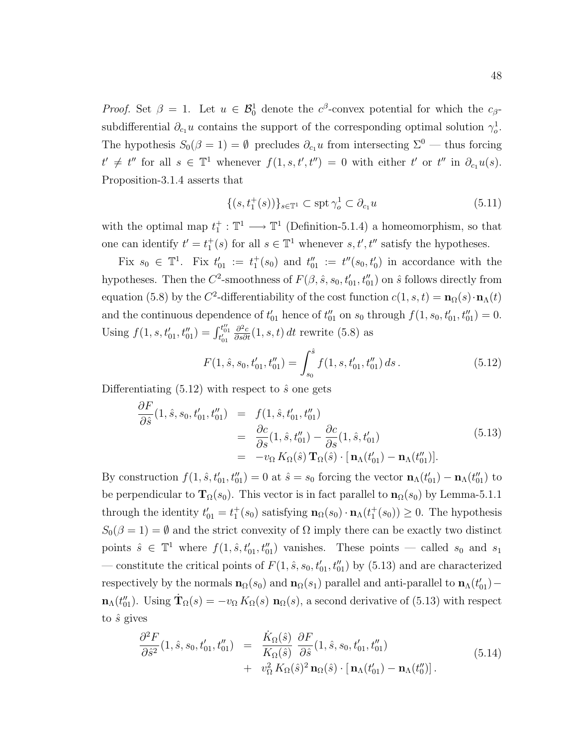*Proof.* Set  $\beta = 1$ . Let  $u \in \mathcal{B}_0^1$  denote the  $c^{\beta}$ -convex potential for which the  $c_{\beta}$ subdifferential  $\partial_{c_1}u$  contains the support of the corresponding optimal solution  $\gamma_o^1$ . The hypothesis  $S_0(\beta = 1) = \emptyset$  precludes  $\partial_{c_1} u$  from intersecting  $\Sigma^0$  — thus forcing  $t' \neq t''$  for all  $s \in \mathbb{T}^1$  whenever  $f(1, s, t', t'') = 0$  with either  $t'$  or  $t''$  in  $\partial_{c_1} u(s)$ . Proposition[-3.1.4](#page-27-0) asserts that

$$
\{(s, t_1^+(s))\}_{s \in \mathbb{T}^1} \subset \operatorname{spt} \gamma_o^1 \subset \partial_{c_1} u \tag{5.11}
$$

with the optimal map  $t_1^+ : \mathbb{T}^1 \longrightarrow \mathbb{T}^1$  (Definition[-5.1.4\)](#page-54-0) a homeomorphism, so that one can identify  $t' = t_1^+(s)$  for all  $s \in \mathbb{T}^1$  whenever  $s, t', t''$  satisfy the hypotheses.

Fix  $s_0 \in \mathbb{T}^1$ . Fix  $t'_{01} := t_1^+(s_0)$  and  $t''_{01} := t''(s_0, t'_0)$  in accordance with the hypotheses. Then the  $C^2$ -smoothness of  $F(\beta, \hat{s}, s_0, t'_{01}, t''_{01})$  on  $\hat{s}$  follows directly from equation [\(5.8\)](#page-55-1) by the  $C^2$ -differentiability of the cost function  $c(1, s, t) = \mathbf{n}_{\Omega}(s) \cdot \mathbf{n}_{\Lambda}(t)$ and the continuous dependence of  $t_{01}'$  hence of  $t_{01}''$  on  $s_0$  through  $f(1, s_0, t_{01}', t_{01}'') = 0$ . Using  $f(1, s, t'_{01}, t''_{01}) = \int_{t'_{01}}^{t''_{01}}$  $\frac{\partial^2 c}{\partial s \partial t}(1, s, t) dt$  rewrite [\(5.8\)](#page-55-1) as

<span id="page-57-1"></span><span id="page-57-0"></span>
$$
F(1, \hat{s}, s_0, t'_{01}, t''_{01}) = \int_{s_0}^{\hat{s}} f(1, s, t'_{01}, t''_{01}) ds.
$$
 (5.12)

Differentiating  $(5.12)$  with respect to  $\hat{s}$  one gets

$$
\frac{\partial F}{\partial \hat{s}}(1, \hat{s}, s_0, t'_{01}, t''_{01}) = f(1, \hat{s}, t'_{01}, t''_{01}) \n= \frac{\partial c}{\partial s}(1, \hat{s}, t''_{01}) - \frac{\partial c}{\partial s}(1, \hat{s}, t'_{01}) \n= -v_{\Omega} K_{\Omega}(\hat{s}) \mathbf{T}_{\Omega}(\hat{s}) \cdot [\mathbf{n}_{\Lambda}(t'_{01}) - \mathbf{n}_{\Lambda}(t''_{01})].
$$
\n(5.13)

By construction  $f(1, \hat{s}, t'_{01}, t''_{01}) = 0$  at  $\hat{s} = s_0$  forcing the vector  $\mathbf{n}_{\Lambda}(t'_{01}) - \mathbf{n}_{\Lambda}(t''_{01})$  to be perpendicular to  $\mathbf{T}_{\Omega}(s_0)$ . This vector is in fact parallel to  $\mathbf{n}_{\Omega}(s_0)$  by Lemma[-5.1.1](#page-51-0) through the identity  $t'_{01} = t_1^+(s_0)$  satisfying  $\mathbf{n}_{\Omega}(s_0) \cdot \mathbf{n}_{\Lambda}(t_1^+(s_0)) \geq 0$ . The hypothesis  $S_0(\beta = 1) = \emptyset$  and the strict convexity of  $\Omega$  imply there can be exactly two distinct points  $\hat{s} \in \mathbb{T}^1$  where  $f(1, \hat{s}, t_{01}', t_{01}'')$  vanishes. These points — called  $s_0$  and  $s_1$ — constitute the critical points of  $F(1, \hat{s}, s_0, t'_{01}, t''_{01})$  by [\(5.13\)](#page-57-1) and are characterized respectively by the normals  $\mathbf{n}_{\Omega}(s_0)$  and  $\mathbf{n}_{\Omega}(s_1)$  parallel and anti-parallel to  $\mathbf{n}_{\Lambda}(t'_{01})$  –  $\mathbf{n}_{\Lambda}(t_{01}^{\prime\prime})$ . Using  $\dot{\mathbf{T}}_{\Omega}(s) = -v_{\Omega} K_{\Omega}(s) \mathbf{n}_{\Omega}(s)$ , a second derivative of [\(5.13\)](#page-57-1) with respect to  $\hat{s}$  gives

$$
\frac{\partial^2 F}{\partial \hat{s}^2} (1, \hat{s}, s_0, t'_{01}, t''_{01}) = \frac{\dot{K}_{\Omega}(\hat{s})}{K_{\Omega}(\hat{s})} \frac{\partial F}{\partial \hat{s}} (1, \hat{s}, s_0, t'_{01}, t''_{01}) \n+ v_{\Omega}^2 K_{\Omega}(\hat{s})^2 \mathbf{n}_{\Omega}(\hat{s}) \cdot [\mathbf{n}_{\Lambda}(t'_{01}) - \mathbf{n}_{\Lambda}(t''_{0})].
$$
\n(5.14)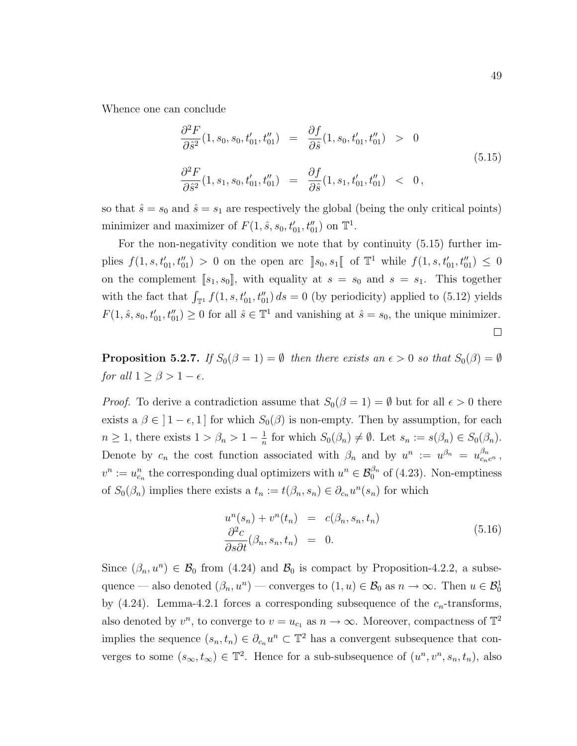Whence one can conclude

<span id="page-58-1"></span>
$$
\frac{\partial^2 F}{\partial \hat{s}^2} (1, s_0, s_0, t'_{01}, t''_{01}) = \frac{\partial f}{\partial \hat{s}} (1, s_0, t'_{01}, t''_{01}) > 0
$$
\n
$$
\frac{\partial^2 F}{\partial \hat{s}^2} (1, s_1, s_0, t'_{01}, t''_{01}) = \frac{\partial f}{\partial \hat{s}} (1, s_1, t'_{01}, t''_{01}) < 0,
$$
\n(5.15)

so that  $\hat{s} = s_0$  and  $\hat{s} = s_1$  are respectively the global (being the only critical points) minimizer and maximizer of  $F(1, \hat{s}, s_0, t'_{01}, t''_{01})$  on  $\mathbb{T}^1$ .

For the non-negativity condition we note that by continuity [\(5.15\)](#page-58-1) further implies  $f(1, s, t_{01}', t_{01}'') > 0$  on the open arc  $||s_0, s_1||$  of  $\mathbb{T}^1$  while  $f(1, s, t_{01}', t_{01}'') \leq 0$ on the complement  $[s_1, s_0]$ , with equality at  $s = s_0$  and  $s = s_1$ . This together with the fact that  $\int_{\mathbb{T}^1} f(1, s, t_{01}', t_{01}'') ds = 0$  (by periodicity) applied to [\(5.12\)](#page-57-0) yields  $F(1, \hat{s}, s_0, t'_{01}, t''_{01}) \ge 0$  for all  $\hat{s} \in \mathbb{T}^1$  and vanishing at  $\hat{s} = s_0$ , the unique minimizer.

<span id="page-58-0"></span>**Proposition 5.2.7.** If  $S_0(\beta = 1) = \emptyset$  then there exists an  $\epsilon > 0$  so that  $S_0(\beta) = \emptyset$ for all  $1 \geq \beta > 1 - \epsilon$ .

*Proof.* To derive a contradiction assume that  $S_0(\beta = 1) = \emptyset$  but for all  $\epsilon > 0$  there exists a  $\beta \in [1-\epsilon, 1]$  for which  $S_0(\beta)$  is non-empty. Then by assumption, for each  $n \geq 1$ , there exists  $1 > \beta_n > 1 - \frac{1}{n}$  $\frac{1}{n}$  for which  $S_0(\beta_n) \neq \emptyset$ . Let  $s_n := s(\beta_n) \in S_0(\beta_n)$ . Denote by  $c_n$  the cost function associated with  $\beta_n$  and by  $u^n := u^{\beta_n} = u^{\beta_n}_{c_n c^n}$ ,  $v^n := u_{c_n}^n$  the corresponding dual optimizers with  $u^n \in \mathcal{B}_0^{\beta_n}$  of [\(4.23\)](#page-42-2). Non-emptiness of  $S_0(\beta_n)$  implies there exists a  $t_n := t(\beta_n, s_n) \in \partial_{c_n} u^n(s_n)$  for which

$$
u^{n}(s_{n}) + v^{n}(t_{n}) = c(\beta_{n}, s_{n}, t_{n})
$$
  
\n
$$
\frac{\partial^{2}c}{\partial s\partial t}(\beta_{n}, s_{n}, t_{n}) = 0.
$$
\n(5.16)

Since  $(\beta_n, u^n) \in \mathcal{B}_0$  from [\(4.24\)](#page-43-2) and  $\mathcal{B}_0$  is compact by Proposition[-4.2.2,](#page-44-1) a subsequence — also denoted  $(\beta_n, u^n)$  — converges to  $(1, u) \in \mathcal{B}_0$  as  $n \to \infty$ . Then  $u \in \mathcal{B}_0^1$ by [\(4.24\)](#page-43-2). Lemma[-4.2.1](#page-43-3) forces a corresponding subsequence of the  $c_n$ -transforms, also denoted by  $v^n$ , to converge to  $v = u_{c_1}$  as  $n \to \infty$ . Moreover, compactness of  $\mathbb{T}^2$ implies the sequence  $(s_n, t_n) \in \partial_{c_n} u^n \subset \mathbb{T}^2$  has a convergent subsequence that converges to some  $(s_{\infty}, t_{\infty}) \in \mathbb{T}^2$ . Hence for a sub-subsequence of  $(u^n, v^n, s_n, t_n)$ , also

<span id="page-58-2"></span> $\Box$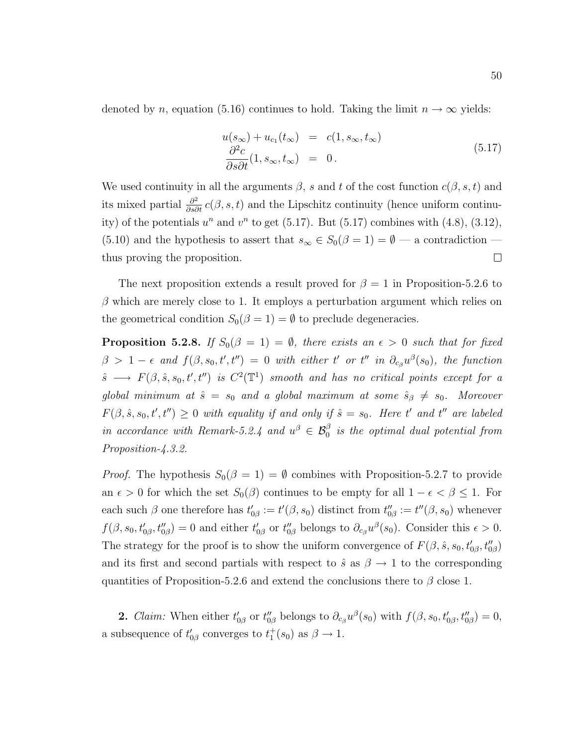denoted by n, equation [\(5.16\)](#page-58-2) continues to hold. Taking the limit  $n \to \infty$  yields:

<span id="page-59-1"></span>
$$
u(s_{\infty}) + u_{c_1}(t_{\infty}) = c(1, s_{\infty}, t_{\infty})
$$
  
\n
$$
\frac{\partial^2 c}{\partial s \partial t}(1, s_{\infty}, t_{\infty}) = 0.
$$
\n(5.17)

We used continuity in all the arguments  $\beta$ , s and t of the cost function  $c(\beta, s, t)$  and its mixed partial  $\frac{\partial^2}{\partial s \partial t} c(\beta, s, t)$  and the Lipschitz continuity (hence uniform continuity) of the potentials  $u^n$  and  $v^n$  to get [\(5.17\)](#page-59-1). But (5.17) combines with [\(4.8\)](#page-39-0), [\(3.12\)](#page-30-0), [\(5.10\)](#page-56-1) and the hypothesis to assert that  $s_{\infty} \in S_0(\beta = 1) = \emptyset$  — a contradiction thus proving the proposition.  $\Box$ 

The next proposition extends a result proved for  $\beta = 1$  in Proposition[-5.2.6](#page-56-0) to  $\beta$  which are merely close to 1. It employs a perturbation argument which relies on the geometrical condition  $S_0(\beta = 1) = \emptyset$  to preclude degeneracies.

<span id="page-59-0"></span>**Proposition 5.2.8.** If  $S_0(\beta = 1) = \emptyset$ , there exists an  $\epsilon > 0$  such that for fixed  $\beta > 1 - \epsilon$  and  $f(\beta, s_0, t', t'') = 0$  with either t' or t'' in  $\partial_{c_\beta}u^{\beta}(s_0)$ , the function  $\hat{s} \longrightarrow F(\beta, \hat{s}, s_0, t', t'')$  is  $C^2(\mathbb{T}^1)$  smooth and has no critical points except for a global minimum at  $\hat{s} = s_0$  and a global maximum at some  $\hat{s}_{\beta} \neq s_0$ . Moreover  $F(\beta, \hat{s}, s_0, t', t'') \geq 0$  with equality if and only if  $\hat{s} = s_0$ . Here t' and t'' are labeled in accordance with Remark[-5.2.4](#page-56-2) and  $u^{\beta} \in \mathcal{B}_{0}^{\beta}$  is the optimal dual potential from Proposition[-4.3.2.](#page-48-0)

*Proof.* The hypothesis  $S_0(\beta = 1) = \emptyset$  combines with Proposition[-5.2.7](#page-58-0) to provide an  $\epsilon > 0$  for which the set  $S_0(\beta)$  continues to be empty for all  $1 - \epsilon < \beta \leq 1$ . For each such  $\beta$  one therefore has  $t'_{0\beta} := t'(\beta, s_0)$  distinct from  $t''_{0\beta} := t''(\beta, s_0)$  whenever  $f(\beta, s_0, t'_{0\beta}, t''_{0\beta}) = 0$  and either  $t'_{0\beta}$  or  $t''_{0\beta}$  belongs to  $\partial_{c_\beta}u^{\beta}(s_0)$ . Consider this  $\epsilon > 0$ . The strategy for the proof is to show the uniform convergence of  $F(\beta, \hat{s}, s_0, t'_{0\beta}, t''_{0\beta})$ and its first and second partials with respect to  $\hat{s}$  as  $\beta \to 1$  to the corresponding quantities of Proposition[-5.2.6](#page-56-0) and extend the conclusions there to  $\beta$  close 1.

2. Claim: When either  $t'_{0\beta}$  or  $t''_{0\beta}$  belongs to  $\partial_{c_{\beta}}u^{\beta}(s_0)$  with  $f(\beta, s_0, t'_{0\beta}, t''_{0\beta}) = 0$ , a subsequence of  $t'_{0\beta}$  converges to  $t_1^+(s_0)$  as  $\beta \to 1$ .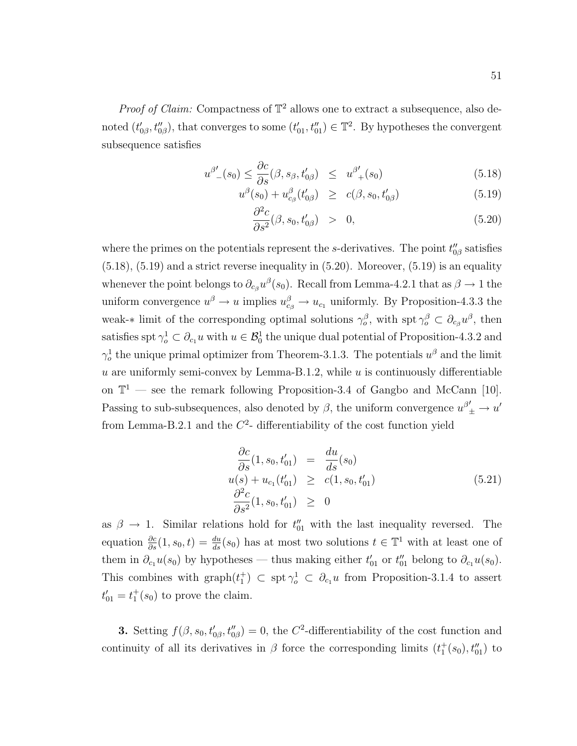*Proof of Claim:* Compactness of  $\mathbb{T}^2$  allows one to extract a subsequence, also denoted  $(t'_{0\beta}, t''_{0\beta})$ , that converges to some  $(t'_{01}, t''_{01}) \in \mathbb{T}^2$ . By hypotheses the convergent subsequence satisfies

<span id="page-60-0"></span>
$$
u^{\beta'}_{\quad} (s_0) \leq \frac{\partial c}{\partial s} (\beta, s_\beta, t'_{0\beta}) \leq u^{\beta'}_{+} (s_0) \tag{5.18}
$$

$$
u^{\beta}(s_0) + u^{\beta}_{c_{\beta}}(t'_{0\beta}) \geq c(\beta, s_0, t'_{0\beta})
$$
\n(5.19)

$$
\frac{\partial^2 c}{\partial s^2}(\beta, s_0, t'_{0\beta}) > 0, \qquad (5.20)
$$

where the primes on the potentials represent the s-derivatives. The point  $t''_{0\beta}$  satisfies  $(5.18)$ ,  $(5.19)$  and a strict reverse inequality in  $(5.20)$ . Moreover,  $(5.19)$  is an equality whenever the point belongs to  $\partial_{c_{\beta}}u^{\beta}(s_0)$ . Recall from Lemma[-4.2.1](#page-43-3) that as  $\beta \to 1$  the uniform convergence  $u^{\beta} \to u$  implies  $u_{c_{\beta}}^{\beta} \to u_{c_1}$  uniformly. By Proposition[-4.3.3](#page-49-2) the weak-\* limit of the corresponding optimal solutions  $\gamma_o^{\beta}$ , with spt  $\gamma_o^{\beta} \subset \partial_{c_{\beta}} u^{\beta}$ , then satisfies spt  $\gamma_o^1 \subset \partial_{c_1} u$  with  $u \in \mathcal{B}_0^1$  the unique dual potential of Proposition[-4.3.2](#page-48-0) and  $\gamma_o^1$  the unique primal optimizer from Theorem[-3.1.3.](#page-25-0) The potentials  $u^{\beta}$  and the limit  $u$  are uniformly semi-convex by Lemma[-B.1.2,](#page-78-0) while  $u$  is continuously differentiable on  $\mathbb{T}^1$  — see the remark following Proposition-3.4 of Gangbo and McCann [\[10\]](#page-83-4). Passing to sub-subsequences, also denoted by  $\beta$ , the uniform convergence  $u^{\beta'}_{\pm} \to u'$ from Lemma[-B.2.1](#page-80-0) and the  $C<sup>2</sup>$ - differentiability of the cost function yield

$$
\frac{\partial c}{\partial s}(1, s_0, t'_{01}) = \frac{du}{ds}(s_0)
$$
\n
$$
u(s) + u_{c_1}(t'_{01}) \geq c(1, s_0, t'_{01})
$$
\n
$$
\frac{\partial^2 c}{\partial s^2}(1, s_0, t'_{01}) \geq 0
$$
\n(5.21)

as  $\beta \to 1$ . Similar relations hold for  $t_{01}''$  with the last inequality reversed. The equation  $\frac{\partial c}{\partial s}(1, s_0, t) = \frac{du}{ds}(s_0)$  has at most two solutions  $t \in \mathbb{T}^1$  with at least one of them in  $\partial_{c_1}u(s_0)$  by hypotheses — thus making either  $t'_{01}$  or  $t''_{01}$  belong to  $\partial_{c_1}u(s_0)$ . This combines with  $graph(t_1^+) \subset$  spt  $\gamma_o^1 \subset \partial_{c_1} u$  from Proposition[-3.1.4](#page-27-0) to assert  $t'_{01} = t_1^+(s_0)$  to prove the claim.

**3.** Setting  $f(\beta, s_0, t'_{0\beta}, t''_{0\beta}) = 0$ , the C<sup>2</sup>-differentiability of the cost function and continuity of all its derivatives in  $\beta$  force the corresponding limits  $(t_1^+(s_0), t_{01}'')$  to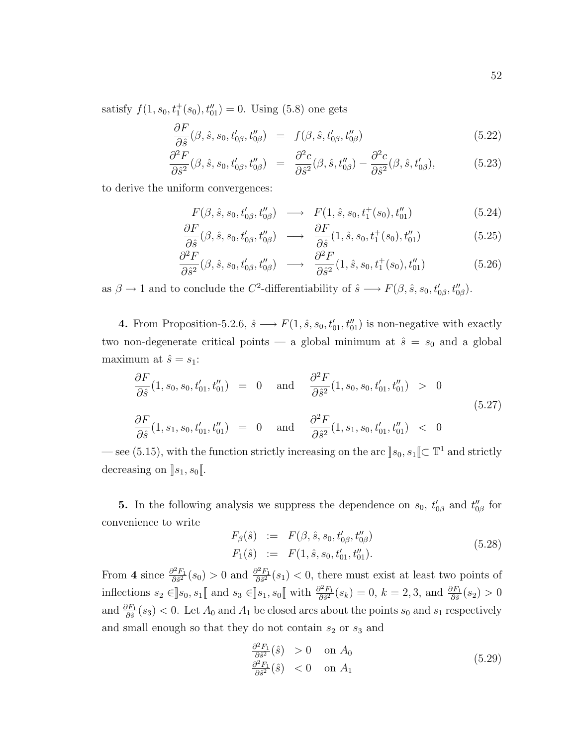satisfy  $f(1, s_0, t_1^+(s_0), t_{01}'') = 0$ . Using [\(5.8\)](#page-55-1) one gets

$$
\frac{\partial F}{\partial \hat{s}}(\beta, \hat{s}, s_0, t'_{0\beta}, t''_{0\beta}) = f(\beta, \hat{s}, t'_{0\beta}, t''_{0\beta})
$$
\n(5.22)

$$
\frac{\partial^2 F}{\partial \hat{s}^2}(\beta, \hat{s}, s_0, t'_{0\beta}, t''_{0\beta}) = \frac{\partial^2 c}{\partial \hat{s}^2}(\beta, \hat{s}, t''_{0\beta}) - \frac{\partial^2 c}{\partial \hat{s}^2}(\beta, \hat{s}, t'_{0\beta}),
$$
(5.23)

to derive the uniform convergences:

<span id="page-61-1"></span>
$$
F(\beta, \hat{s}, s_0, t'_{0\beta}, t''_{0\beta}) \longrightarrow F(1, \hat{s}, s_0, t_1^+(s_0), t''_{01})
$$
\n
$$
F(\beta, \hat{s}, s_0, t'_{0\beta}, t''_{0\beta}) \longrightarrow F(1, \hat{s}, s_0, t_1^+(s_0), t''_{01})
$$
\n
$$
(5.24)
$$

$$
\frac{\partial F}{\partial \hat{s}}(\beta, \hat{s}, s_0, t'_{0\beta}, t''_{0\beta}) \longrightarrow \frac{\partial F}{\partial \hat{s}}(1, \hat{s}, s_0, t_1^+(s_0), t''_{01})
$$
(5.25)

$$
\frac{\partial^2 F}{\partial \hat{s}^2}(\beta, \hat{s}, s_0, t'_{0\beta}, t''_{0\beta}) \longrightarrow \frac{\partial^2 F}{\partial \hat{s}^2}(1, \hat{s}, s_0, t_1^+(s_0), t''_{01})
$$
(5.26)

as  $\beta \to 1$  and to conclude the C<sup>2</sup>-differentiability of  $\hat{s} \longrightarrow F(\beta, \hat{s}, s_0, t'_{0\beta}, t''_{0\beta})$ .

4. From Proposition[-5.2.6,](#page-56-0)  $\hat{s} \longrightarrow F(1, \hat{s}, s_0, t'_{01}, t''_{01})$  is non-negative with exactly two non-degenerate critical points — a global minimum at  $\hat{s} = s_0$  and a global maximum at  $\hat{s} = s_1$ :

<span id="page-61-0"></span>
$$
\frac{\partial F}{\partial \hat{s}}(1, s_0, s_0, t'_{01}, t''_{01}) = 0 \text{ and } \frac{\partial^2 F}{\partial \hat{s}^2}(1, s_0, s_0, t'_{01}, t''_{01}) > 0
$$
\n
$$
\frac{\partial F}{\partial \hat{s}}(1, s_1, s_0, t'_{01}, t''_{01}) = 0 \text{ and } \frac{\partial^2 F}{\partial \hat{s}^2}(1, s_1, s_0, t'_{01}, t''_{01}) < 0
$$
\n(5.27)

— see [\(5.15\)](#page-58-1), with the function strictly increasing on the arc  $\llbracket s_0, s_1 \llbracket \subset \mathbb{T}^1$  and strictly decreasing on  $\llbracket s_1, s_0 \rrbracket$ .

**5.** In the following analysis we suppress the dependence on  $s_0$ ,  $t'_{0\beta}$  and  $t''_{0\beta}$  for convenience to write

$$
F_{\beta}(\hat{s}) := F(\beta, \hat{s}, s_0, t'_{0\beta}, t''_{0\beta})
$$
  
\n
$$
F_1(\hat{s}) := F(1, \hat{s}, s_0, t'_{01}, t''_{01}).
$$
\n(5.28)

From 4 since  $\frac{\partial^2 F_1}{\partial \hat{s}^2}$  $\frac{\partial^2 F_1}{\partial \hat{s}^2}(s_0) > 0$  and  $\frac{\partial^2 F_1}{\partial \hat{s}^2}$  $\frac{\partial^2 F_1}{\partial \hat{s}^2}(s_1) < 0$ , there must exist at least two points of inflections  $s_2 \in ]s_0, s_1[$  and  $s_3 \in ]s_1, s_0[$  with  $\frac{\partial^2 F_1}{\partial s^2}$  $\frac{\partial^2 F_1}{\partial \hat{s}^2}(s_k) = 0, k = 2, 3, \text{ and } \frac{\partial F_1}{\partial \hat{s}}(s_2) > 0$ and  $\frac{\partial F_1}{\partial \hat{s}}(s_3) < 0$ . Let  $A_0$  and  $A_1$  be closed arcs about the points  $s_0$  and  $s_1$  respectively and small enough so that they do not contain  $s_2$  or  $s_3$  and

$$
\frac{\partial^2 F_1}{\partial \hat{s}^2}(\hat{s}) > 0 \quad \text{on } A_0
$$
  

$$
\frac{\partial^2 F_1}{\partial \hat{s}^2}(\hat{s}) < 0 \quad \text{on } A_1
$$
 (5.29)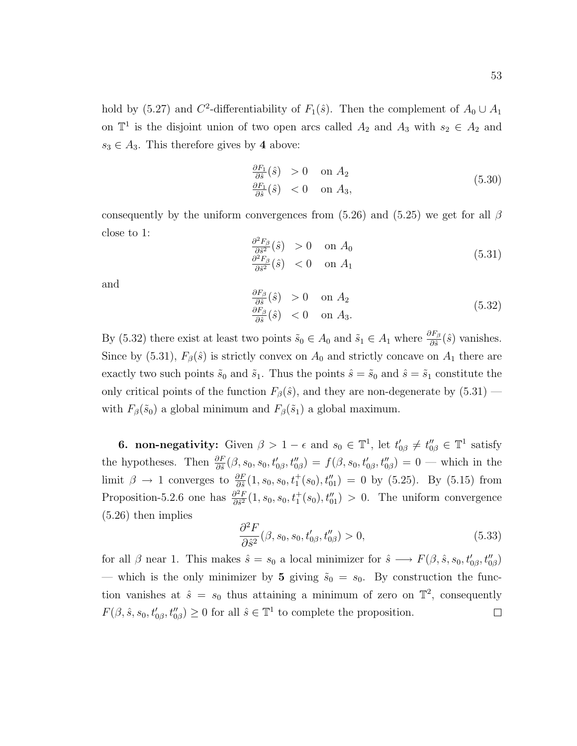hold by [\(5.27\)](#page-61-0) and  $C^2$ -differentiability of  $F_1(\hat{s})$ . Then the complement of  $A_0 \cup A_1$ on  $\mathbb{T}^1$  is the disjoint union of two open arcs called  $A_2$  and  $A_3$  with  $s_2 \in A_2$  and  $s_3 \in A_3$ . This therefore gives by 4 above:

$$
\frac{\partial F_1}{\partial \hat{s}}(\hat{s}) > 0 \quad \text{on } A_2
$$
\n
$$
\frac{\partial F_1}{\partial \hat{s}}(\hat{s}) < 0 \quad \text{on } A_3,
$$
\n(5.30)

<span id="page-62-1"></span>consequently by the uniform convergences from [\(5.26\)](#page-61-1) and [\(5.25\)](#page-61-1) we get for all  $\beta$ close to 1:

$$
\frac{\partial^2 F_{\beta}}{\partial \hat{s}^2}(\hat{s}) > 0 \quad \text{on } A_0
$$
  

$$
\frac{\partial^2 F_{\beta}}{\partial \hat{s}^2}(\hat{s}) < 0 \quad \text{on } A_1
$$
 (5.31)

<span id="page-62-0"></span>and

$$
\frac{\partial F_{\beta}}{\partial \hat{s}}(\hat{s}) > 0 \quad \text{on } A_2
$$
  
\n
$$
\frac{\partial F_{\beta}}{\partial \hat{s}}(\hat{s}) < 0 \quad \text{on } A_3.
$$
\n(5.32)

By [\(5.32\)](#page-62-0) there exist at least two points  $\tilde{s}_0 \in A_0$  and  $\tilde{s}_1 \in A_1$  where  $\frac{\partial F_\beta}{\partial \tilde{s}}(\hat{s})$  vanishes. Since by [\(5.31\)](#page-62-1),  $F_\beta(\hat{s})$  is strictly convex on  $A_0$  and strictly concave on  $A_1$  there are exactly two such points  $\tilde{s}_0$  and  $\tilde{s}_1$ . Thus the points  $\hat{s} = \tilde{s}_0$  and  $\hat{s} = \tilde{s}_1$  constitute the only critical points of the function  $F_{\beta}(\hat{s})$ , and they are non-degenerate by  $(5.31)$ with  $F_\beta(\tilde{s}_0)$  a global minimum and  $F_\beta(\tilde{s}_1)$  a global maximum.

**6. non-negativity:** Given  $\beta > 1 - \epsilon$  and  $s_0 \in \mathbb{T}^1$ , let  $t'_{0\beta} \neq t''_{0\beta} \in \mathbb{T}^1$  satisfy the hypotheses. Then  $\frac{\partial F}{\partial \hat{s}}(\beta, s_0, s_0, t'_{0\beta}, t''_{0\beta}) = f(\beta, s_0, t'_{0\beta}, t''_{0\beta}) = 0$  — which in the limit  $\beta \to 1$  converges to  $\frac{\partial F}{\partial \hat{s}}(1, s_0, s_0, t_1^+(s_0), t_{01}'') = 0$  by [\(5.25\)](#page-61-1). By [\(5.15\)](#page-58-1) from Proposition[-5.2.6](#page-56-0) one has  $\frac{\partial^2 F}{\partial s^2}$  $\frac{\partial^2 F}{\partial s^2}(1, s_0, s_0, t_1^+(s_0), t_{01}'') > 0$ . The uniform convergence [\(5.26\)](#page-61-1) then implies

$$
\frac{\partial^2 F}{\partial \hat{s}^2}(\beta, s_0, s_0, t'_{0\beta}, t''_{0\beta}) > 0,
$$
\n(5.33)

for all  $\beta$  near 1. This makes  $\hat{s} = s_0$  a local minimizer for  $\hat{s} \longrightarrow F(\beta, \hat{s}, s_0, t'_{0\beta}, t''_{0\beta})$ — which is the only minimizer by 5 giving  $\tilde{s}_0 = s_0$ . By construction the function vanishes at  $\hat{s} = s_0$  thus attaining a minimum of zero on  $\mathbb{T}^2$ , consequently  $F(\beta, \hat{s}, s_0, t'_{0\beta}, t''_{0\beta}) \geq 0$  for all  $\hat{s} \in \mathbb{T}^1$  to complete the proposition.  $\Box$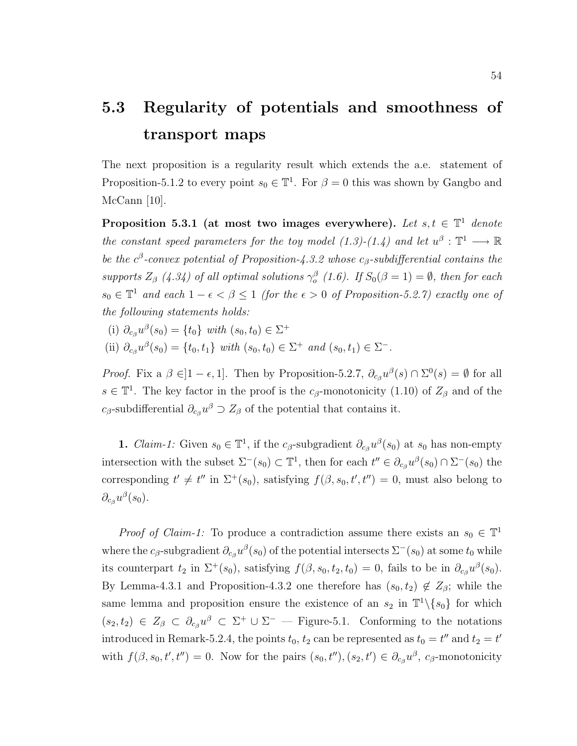### 5.3 Regularity of potentials and smoothness of transport maps

The next proposition is a regularity result which extends the a.e. statement of Proposition[-5.1.2](#page-52-2) to every point  $s_0 \in \mathbb{T}^1$ . For  $\beta = 0$  this was shown by Gangbo and McCann [\[10\]](#page-83-4).

<span id="page-63-0"></span>Proposition 5.3.1 (at most two images everywhere). Let  $s, t \in \mathbb{T}^1$  denote the constant speed parameters for the toy model [\(1.3\)](#page-13-0)-[\(1.4\)](#page-13-1) and let  $u^{\beta} : \mathbb{T}^1 \longrightarrow \mathbb{R}$ be the  $c^{\beta}$ -convex potential of Proposition[-4.3.2](#page-48-0) whose  $c_{\beta}$ -subdifferential contains the supports  $Z_{\beta}$  [\(4.34\)](#page-47-2) of all optimal solutions  $\gamma_o^{\beta}$  [\(1.6\)](#page-14-1). If  $S_0(\beta = 1) = \emptyset$ , then for each  $s_0 \in \mathbb{T}^1$  and each  $1 - \epsilon < \beta \leq 1$  (for the  $\epsilon > 0$  of Proposition[-5.2.7\)](#page-58-0) exactly one of the following statements holds:

(i)  $\partial_{c_{\beta}} u^{\beta}(s_0) = \{t_0\}$  with  $(s_0, t_0) \in \Sigma^+$ 

(ii)  $\partial_{c_{\beta}}u^{\beta}(s_0) = \{t_0, t_1\}$  with  $(s_0, t_0) \in \Sigma^+$  and  $(s_0, t_1) \in \Sigma^-$ .

*Proof.* Fix a  $\beta \in ]1 - \epsilon, 1]$ . Then by Proposition[-5.2.7,](#page-58-0)  $\partial_{c_{\beta}} u^{\beta}(s) \cap \Sigma^{0}(s) = \emptyset$  for all  $s \in \mathbb{T}^1$ . The key factor in the proof is the  $c_{\beta}$ -monotonicity [\(1.10\)](#page-16-0) of  $Z_{\beta}$  and of the  $c_{\beta}$ -subdifferential  $\partial_{c_{\beta}}u^{\beta} \supset Z_{\beta}$  of the potential that contains it.

**1.** *Claim-1:* Given  $s_0 \in \mathbb{T}^1$ , if the  $c_\beta$ -subgradient  $\partial_{c_\beta} u^\beta(s_0)$  at  $s_0$  has non-empty intersection with the subset  $\Sigma^-(s_0) \subset \mathbb{T}^1$ , then for each  $t'' \in \partial_{c_\beta} u^\beta(s_0) \cap \Sigma^-(s_0)$  the corresponding  $t' \neq t''$  in  $\Sigma^+(s_0)$ , satisfying  $f(\beta, s_0, t', t'') = 0$ , must also belong to  $\partial_{c_{\beta}}u^{\beta}(s_0).$ 

*Proof of Claim-1:* To produce a contradiction assume there exists an  $s_0 \in \mathbb{T}^1$ where the  $c_\beta$ -subgradient  $\partial_{c_\beta}u^\beta(s_0)$  of the potential intersects  $\Sigma^-(s_0)$  at some  $t_0$  while its counterpart  $t_2$  in  $\Sigma^+(s_0)$ , satisfying  $f(\beta, s_0, t_2, t_0) = 0$ , fails to be in  $\partial_{c_\beta} u^\beta(s_0)$ . By Lemma[-4.3.1](#page-47-1) and Proposition[-4.3.2](#page-48-0) one therefore has  $(s_0, t_2) \notin Z_\beta$ ; while the same lemma and proposition ensure the existence of an  $s_2$  in  $\mathbb{T}^1\setminus\{s_0\}$  for which  $(s_2, t_2) \in Z_\beta \subset \partial_{c_\beta} u^\beta \subset \Sigma^+ \cup \Sigma^-$  – Figure[-5.1.](#page-64-0) Conforming to the notations introduced in Remark[-5.2.4,](#page-56-2) the points  $t_0$ ,  $t_2$  can be represented as  $t_0 = t''$  and  $t_2 = t'$ with  $f(\beta, s_0, t', t'') = 0$ . Now for the pairs  $(s_0, t'')$ ,  $(s_2, t') \in \partial_{c_\beta} u^\beta$ ,  $c_\beta$ -monotonicity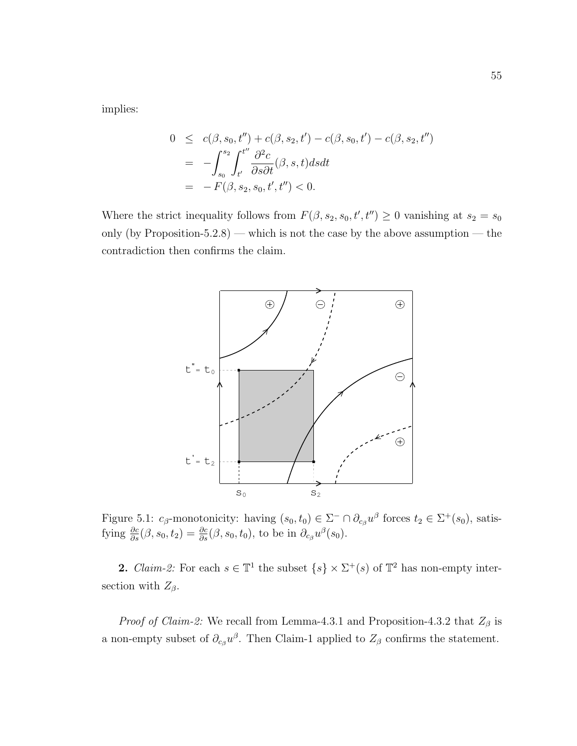implies:

$$
0 \leq c(\beta, s_0, t'') + c(\beta, s_2, t') - c(\beta, s_0, t') - c(\beta, s_2, t'')
$$
  
= 
$$
-\int_{s_0}^{s_2} \int_{t'}^{t''} \frac{\partial^2 c}{\partial s \partial t}(\beta, s, t) ds dt
$$
  
= 
$$
-F(\beta, s_2, s_0, t', t'') < 0.
$$

Where the strict inequality follows from  $F(\beta, s_2, s_0, t', t'') \geq 0$  vanishing at  $s_2 = s_0$ only (by Proposition[-5.2.8\)](#page-59-0) — which is not the case by the above assumption — the contradiction then confirms the claim.



<span id="page-64-0"></span>Figure 5.1:  $c_{\beta}$ -monotonicity: having  $(s_0, t_0) \in \Sigma^- \cap \partial_{c_{\beta}} u^{\beta}$  forces  $t_2 \in \Sigma^+(s_0)$ , satisfying  $\frac{\partial c}{\partial s}(\beta, s_0, t_2) = \frac{\partial c}{\partial s}(\beta, s_0, t_0)$ , to be in  $\partial_{c_\beta}u^\beta(s_0)$ .

**2.** *Claim-2:* For each  $s \in \mathbb{T}^1$  the subset  $\{s\} \times \Sigma^+(s)$  of  $\mathbb{T}^2$  has non-empty intersection with  $Z_{\beta}$ .

*Proof of Claim-2:* We recall from Lemma[-4.3.1](#page-47-1) and Proposition[-4.3.2](#page-48-0) that  $Z_{\beta}$  is a non-empty subset of  $\partial_{c\beta}u^{\beta}$ . Then Claim-1 applied to  $Z_{\beta}$  confirms the statement.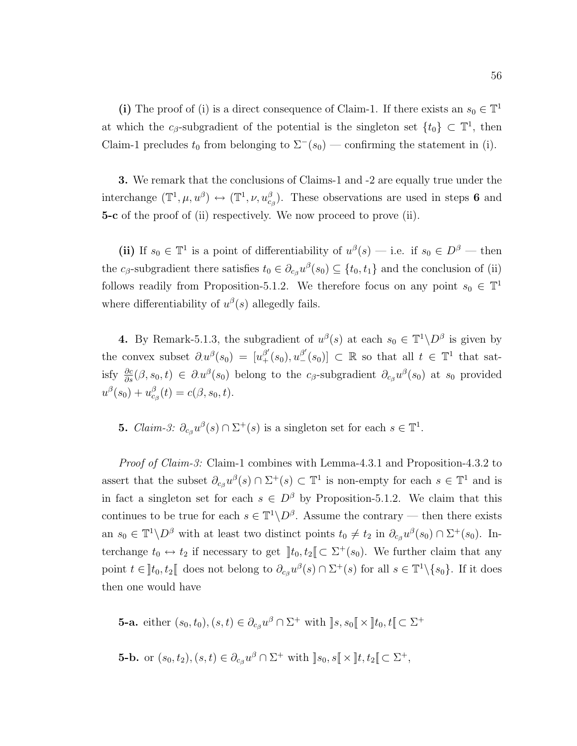(i) The proof of (i) is a direct consequence of Claim-1. If there exists an  $s_0 \in \mathbb{T}^1$ at which the c<sub>β</sub>-subgradient of the potential is the singleton set  $\{t_0\} \subset \mathbb{T}^1$ , then Claim-1 precludes  $t_0$  from belonging to  $\Sigma^-(s_0)$  — confirming the statement in (i).

3. We remark that the conclusions of Claims-1 and -2 are equally true under the interchange  $(\mathbb{T}^1, \mu, u^{\beta}) \leftrightarrow (\mathbb{T}^1, \nu, u_{c_{\beta}}^{\beta})$ . These observations are used in steps 6 and 5-c of the proof of (ii) respectively. We now proceed to prove (ii).

(ii) If  $s_0 \in \mathbb{T}^1$  is a point of differentiability of  $u^{\beta}(s)$  — i.e. if  $s_0 \in D^{\beta}$  — then the c<sub>β</sub>-subgradient there satisfies  $t_0 \in \partial_{c_\beta} u^\beta(s_0) \subseteq \{t_0, t_1\}$  and the conclusion of (ii) follows readily from Proposition[-5.1.2.](#page-52-2) We therefore focus on any point  $s_0 \in \mathbb{T}^1$ where differentiability of  $u^{\beta}(s)$  allegedly fails.

**4.** By Remark[-5.1.3,](#page-53-0) the subgradient of  $u^{\beta}(s)$  at each  $s_0 \in \mathbb{T}^1 \backslash D^{\beta}$  is given by the convex subset  $\partial u^{\beta}(s_0) = [u_+^{\beta'}(s_0), u_-^{\beta'}(s_0)] \subset \mathbb{R}$  so that all  $t \in \mathbb{T}^1$  that satisfy  $\frac{\partial c}{\partial s}(\beta, s_0, t) \in \partial_t u^{\beta}(s_0)$  belong to the c<sub>β</sub>-subgradient  $\partial_{c_{\beta}} u^{\beta}(s_0)$  at s<sub>0</sub> provided  $u^{\beta}(s_0) + u^{\beta}_{c_{\beta}}(t) = c(\beta, s_0, t).$ 

**5.** *Claim-3:*  $\partial_{c\beta}u^{\beta}(s) \cap \Sigma^{+}(s)$  is a singleton set for each  $s \in \mathbb{T}^{1}$ .

Proof of Claim-3: Claim-1 combines with Lemma[-4.3.1](#page-47-1) and Proposition[-4.3.2](#page-48-0) to assert that the subset  $\partial_{c_{\beta}}u^{\beta}(s) \cap \Sigma^+(s) \subset \mathbb{T}^1$  is non-empty for each  $s \in \mathbb{T}^1$  and is in fact a singleton set for each  $s \in D^{\beta}$  by Proposition[-5.1.2.](#page-52-2) We claim that this continues to be true for each  $s \in \mathbb{T}^1 \backslash D^{\beta}$ . Assume the contrary — then there exists an  $s_0 \in \mathbb{T}^1 \backslash D^{\beta}$  with at least two distinct points  $t_0 \neq t_2$  in  $\partial_{c_{\beta}} u^{\beta}(s_0) \cap \Sigma^+(s_0)$ . Interchange  $t_0 \leftrightarrow t_2$  if necessary to get  $\rrbracket t_0, t_2 \rrbracket \subset \Sigma^+(s_0)$ . We further claim that any point  $t \in \llbracket t_0, t_2 \rrbracket$  does not belong to  $\partial_{c_\beta} u^\beta(s) \cap \Sigma^+(s)$  for all  $s \in \mathbb{T}^1 \setminus \{s_0\}$ . If it does then one would have

**5-a.** either  $(s_0, t_0), (s, t) \in \partial_{c_\beta} u^\beta \cap \Sigma^+$  with  $\llbracket s, s_0 \llbracket \times \llbracket t_0, t \llbracket \subset \Sigma^+$ 

**5-b.** or  $(s_0, t_2), (s, t) \in \partial_{c_\beta} u^\beta \cap \Sigma^+$  with  $\]s_0, s[\![\times]\!]t, t_2[\![\subset \Sigma^+,$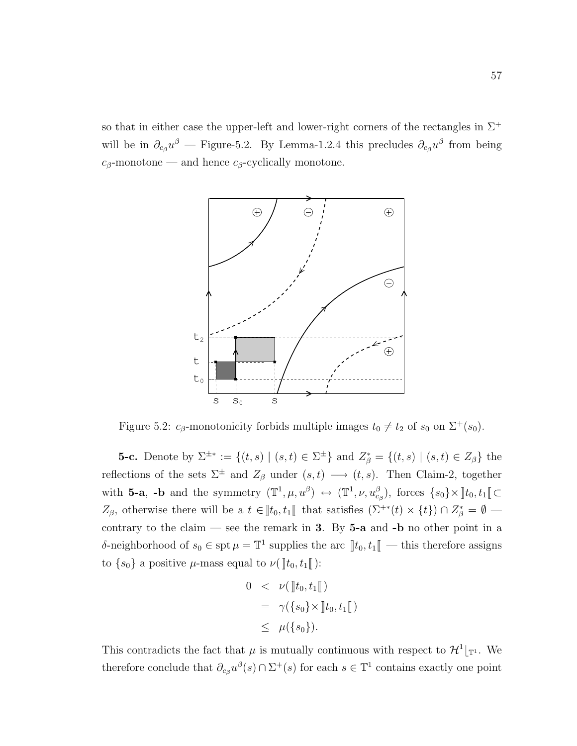so that in either case the upper-left and lower-right corners of the rectangles in  $\Sigma^+$ will be in  $\partial_{c_\beta}u^\beta$  — Figure[-5.2.](#page-66-0) By Lemma[-1.2.4](#page-16-2) this precludes  $\partial_{c_\beta}u^\beta$  from being  $c_{\beta}$ -monotone — and hence  $c_{\beta}$ -cyclically monotone.



<span id="page-66-0"></span>Figure 5.2:  $c_{\beta}$ -monotonicity forbids multiple images  $t_0 \neq t_2$  of  $s_0$  on  $\Sigma^+(s_0)$ .

**5-c.** Denote by  $\Sigma^{\pm *} := \{(t, s) | (s, t) \in \Sigma^{\pm}\}\$ and  $Z_{\beta}^{*} = \{(t, s) | (s, t) \in Z_{\beta}\}\$ the reflections of the sets  $\Sigma^{\pm}$  and  $Z_{\beta}$  under  $(s,t) \longrightarrow (t,s)$ . Then Claim-2, together with 5-a, -b and the symmetry  $(\mathbb{T}^1, \mu, u^{\beta}) \leftrightarrow (\mathbb{T}^1, \nu, u_{c_{\beta}}^{\beta}),$  forces  $\{s_0\} \times \llbracket t_0, t_1 \llbracket \subset$  $Z_{\beta}$ , otherwise there will be a  $t \in ]t_0, t_1[$  that satisfies  $(\Sigma^{+*}(t) \times \{t\}) \cap Z_{\beta}^* = \emptyset$ contrary to the claim — see the remark in  $3$ . By  $5-a$  and  $-b$  no other point in a δ-neighborhood of  $s_0 \in$  spt  $\mu = \mathbb{T}^1$  supplies the arc  $\Vert t_0, t_1 \Vert$  — this therefore assigns to  $\{s_0\}$  a positive  $\mu$ -mass equal to  $\nu(\, \llbracket t_0, t_1 \llbracket \, \rrbracket)$ :

$$
0 < \nu(\llbracket t_0, t_1 \rrbracket)
$$
  
=  $\gamma(\{s_0\} \times \llbracket t_0, t_1 \rrbracket)$   
 $\leq \mu(\{s_0\}).$ 

This contradicts the fact that  $\mu$  is mutually continuous with respect to  $\mathcal{H}^1|_{\mathbb{T}^1}$ . We therefore conclude that  $\partial_{c_{\beta}}u^{\beta}(s) \cap \Sigma^+(s)$  for each  $s \in \mathbb{T}^1$  contains exactly one point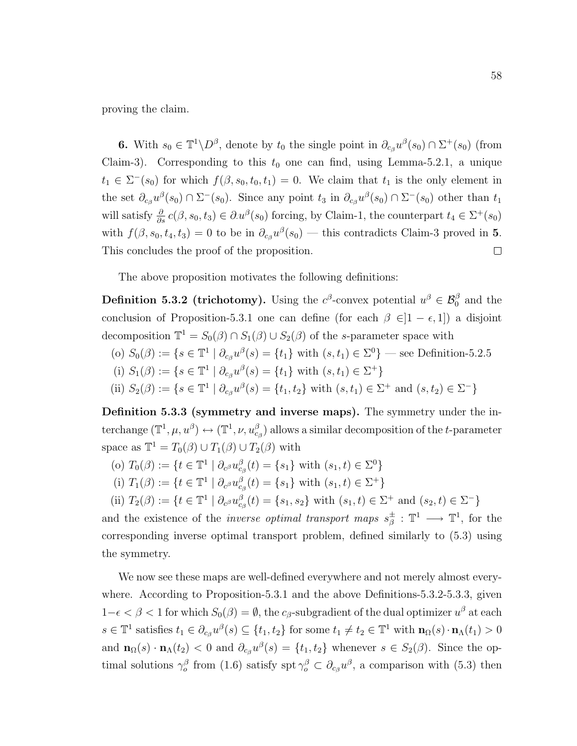proving the claim.

**6.** With  $s_0 \in \mathbb{T}^1 \backslash D^{\beta}$ , denote by  $t_0$  the single point in  $\partial_{c_{\beta}} u^{\beta}(s_0) \cap \Sigma^+(s_0)$  (from Claim-3). Corresponding to this  $t_0$  one can find, using Lemma[-5.2.1,](#page-54-2) a unique  $t_1 \in \Sigma^-(s_0)$  for which  $f(\beta, s_0, t_0, t_1) = 0$ . We claim that  $t_1$  is the only element in the set  $\partial_{c_{\beta}}u^{\beta}(s_0) \cap \Sigma^-(s_0)$ . Since any point  $t_3$  in  $\partial_{c_{\beta}}u^{\beta}(s_0) \cap \Sigma^-(s_0)$  other than  $t_1$ will satisfy  $\frac{\partial}{\partial s} c(\beta, s_0, t_3) \in \partial u^{\beta}(s_0)$  forcing, by Claim-1, the counterpart  $t_4 \in \Sigma^+(s_0)$ with  $f(\beta, s_0, t_4, t_3) = 0$  to be in  $\partial_{c_\beta} u^\beta(s_0)$  — this contradicts Claim-3 proved in 5. This concludes the proof of the proposition.  $\Box$ 

The above proposition motivates the following definitions:

<span id="page-67-0"></span>**Definition 5.3.2 (trichotomy).** Using the  $c^{\beta}$ -convex potential  $u^{\beta} \in \mathcal{B}_{0}^{\beta}$  and the conclusion of Proposition[-5.3.1](#page-63-0) one can define (for each  $\beta \in ]1 - \epsilon, 1]$ ) a disjoint decomposition  $\mathbb{T}^1 = S_0(\beta) \cap S_1(\beta) \cup S_2(\beta)$  of the s-parameter space with

- (o)  $S_0(\beta) := \{ s \in \mathbb{T}^1 \mid \partial_{c_{\beta}} u^{\beta}(s) = \{t_1\} \text{ with } (s, t_1) \in \Sigma^0 \}$  see Definition[-5.2.5](#page-56-3)
- (i)  $S_1(\beta) := \{ s \in \mathbb{T}^1 \mid \partial_{c_{\beta}} u^{\beta}(s) = \{ t_1 \} \text{ with } (s, t_1) \in \Sigma^+ \}$
- (ii)  $S_2(\beta) := \{ s \in \mathbb{T}^1 \mid \partial_{c_{\beta}} u^{\beta}(s) = \{t_1, t_2\} \text{ with } (s, t_1) \in \Sigma^+ \text{ and } (s, t_2) \in \Sigma^-\}$

<span id="page-67-1"></span>Definition 5.3.3 (symmetry and inverse maps). The symmetry under the interchange  $(\mathbb{T}^1, \mu, u^{\beta}) \leftrightarrow (\mathbb{T}^1, \nu, u_{c_{\beta}}^{\beta})$  allows a similar decomposition of the t-parameter space as  $\mathbb{T}^1 = T_0(\beta) \cup T_1(\beta) \cup T_2(\beta)$  with

- (o)  $T_0(\beta) := \{ t \in \mathbb{T}^1 \mid \partial_{c^{\beta}} u_{c_{\beta}}^{\beta}(t) = \{ s_1 \} \text{ with } (s_1, t) \in \Sigma^0 \}$
- (i)  $T_1(\beta) := \{ t \in \mathbb{T}^1 \mid \partial_{c^{\beta}} u_{c_{\beta}}^{\beta}(t) = \{ s_1 \} \text{ with } (s_1, t) \in \Sigma^+ \}$
- (ii)  $T_2(\beta) := \{ t \in \mathbb{T}^1 \mid \partial_{c^{\beta}} u_{c_{\beta}}^{\beta}(t) = \{s_1, s_2\} \text{ with } (s_1, t) \in \Sigma^+ \text{ and } (s_2, t) \in \Sigma^- \}$

and the existence of the *inverse optimal transport maps*  $s_{\beta}^{\pm}$  $\frac{1}{\beta}$ :  $\mathbb{T}^1 \longrightarrow \mathbb{T}^1$ , for the corresponding inverse optimal transport problem, defined similarly to [\(5.3\)](#page-54-3) using the symmetry.

We now see these maps are well-defined everywhere and not merely almost every-where. According to Proposition[-5.3.1](#page-63-0) and the above Definitions[-5.3.2](#page-67-0)[-5.3.3,](#page-67-1) given  $1-\epsilon < \beta < 1$  for which  $S_0(\beta) = \emptyset$ , the  $c_{\beta}$ -subgradient of the dual optimizer  $u^{\beta}$  at each  $s \in \mathbb{T}^1$  satisfies  $t_1 \in \partial_{c_\beta} u^\beta(s) \subseteq \{t_1, t_2\}$  for some  $t_1 \neq t_2 \in \mathbb{T}^1$  with  $\mathbf{n}_\Omega(s) \cdot \mathbf{n}_\Lambda(t_1) > 0$ and  $\mathbf{n}_{\Omega}(s) \cdot \mathbf{n}_{\Lambda}(t_2) < 0$  and  $\partial_{c_{\beta}}u^{\beta}(s) = \{t_1, t_2\}$  whenever  $s \in S_2(\beta)$ . Since the optimal solutions  $\gamma_o^{\beta}$  from [\(1.6\)](#page-14-1) satisfy spt  $\gamma_o^{\beta} \subset \partial_{c_{\beta}} u^{\beta}$ , a comparison with [\(5.3\)](#page-54-3) then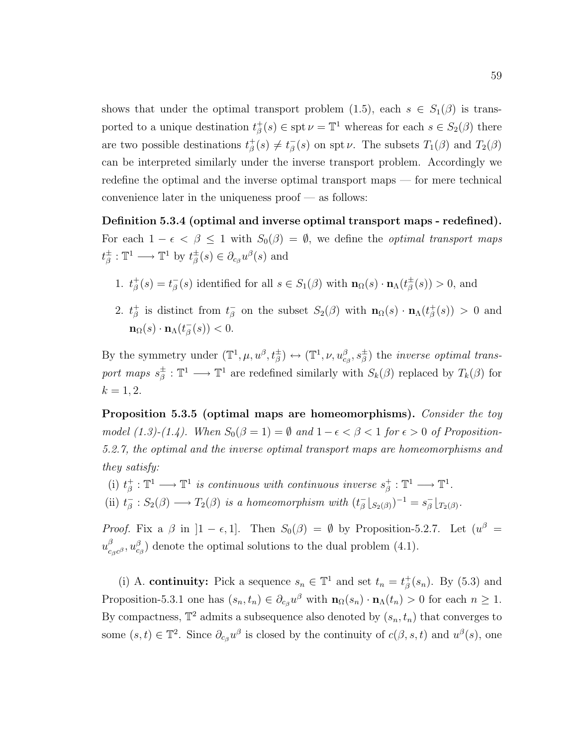shows that under the optimal transport problem [\(1.5\)](#page-14-0), each  $s \in S_1(\beta)$  is transported to a unique destination  $t^+_{\beta}$  $\phi_{\beta}^{+}(s) \in \text{spt } \nu = \mathbb{T}^1$  whereas for each  $s \in S_2(\beta)$  there are two possible destinations  $t^{\dagger}_{\beta}$  $_{\beta}^{+}(s) \neq t_{\beta}^{-}$  $\overline{B}_{\beta}(s)$  on spt  $\nu$ . The subsets  $T_1(\beta)$  and  $T_2(\beta)$ can be interpreted similarly under the inverse transport problem. Accordingly we redefine the optimal and the inverse optimal transport maps — for mere technical convenience later in the uniqueness proof — as follows:

Definition 5.3.4 (optimal and inverse optimal transport maps - redefined). For each  $1 - \epsilon < \beta \leq 1$  with  $S_0(\beta) = \emptyset$ , we define the *optimal transport maps*  $t^\pm_\beta$  $\frac{\pm}{\beta} : \mathbb{T}^1 \longrightarrow \mathbb{T}^1$  by  $t^{\pm}_{\beta}$  $_{\beta}^{\pm}(s) \in \partial_{c_{\beta}}u^{\beta}(s)$  and

- 1.  $t^+_{\beta}$  $^{+}_{\beta}(s) = t^{-}_{\beta}$  $\overline{\beta}(s)$  identified for all  $s \in S_1(\beta)$  with  $\mathbf{n}_\Omega(s) \cdot \mathbf{n}_\Lambda(t^{\pm}_{\beta})$  $_{\beta}^{\pm}(s))>0,$  and
- 2.  $t^+_{\beta}$  $\frac{1}{\beta}$  is distinct from  $t_{\beta}^ \bar{\beta}$  on the subset  $S_2(\beta)$  with  $\mathbf{n}_\Omega(s) \cdot \mathbf{n}_\Lambda(t_\beta^+)$  $\frac{1}{\beta}(s)$  > 0 and  $\mathbf{n}_{\Omega}(s) \cdot \mathbf{n}_{\Lambda}(t_{\beta}^{-})$  $_{\beta}^{-}(s)) < 0.$

By the symmetry under  $(\mathbb{T}^1, \mu, u^{\beta}, t^{\pm}_{\beta}) \leftrightarrow (\mathbb{T}^1, \nu, u^{\beta}_{c_{\beta}}, s^{\pm}_{\beta})$  the *inverse optimal trans*port maps  $s^{\pm}_{\beta}$  $\frac{1}{\beta}$ :  $\mathbb{T}^1 \longrightarrow \mathbb{T}^1$  are redefined similarly with  $S_k(\beta)$  replaced by  $T_k(\beta)$  for  $k = 1, 2.$ 

<span id="page-68-0"></span>Proposition 5.3.5 (optimal maps are homeomorphisms). Consider the toy model [\(1.3\)](#page-13-0)-[\(1.4\)](#page-13-1). When  $S_0(\beta = 1) = \emptyset$  and  $1 - \epsilon < \beta < 1$  for  $\epsilon > 0$  of Proposition-[5.2.7,](#page-58-0) the optimal and the inverse optimal transport maps are homeomorphisms and they satisfy:

- $(i)$   $t^+_{\beta}$  $\phi^+_{\beta} : \mathbb{T}^1 \longrightarrow \mathbb{T}^1$  is continuous with continuous inverse  $s^+_{\beta}$  $\frac{1}{\beta} : \mathbb{T}^1 \longrightarrow \mathbb{T}^1.$
- $(iii)$   $t_3^ \overline{\beta}: S_2(\beta) \longrightarrow T_2(\beta)$  is a homeomorphism with  $(t_{\beta}^-)$  $\frac{1}{\beta} \left[ S_2(\beta) \right)^{-1} = s_{\beta}^{-1}$  $\frac{1}{\beta}\Big\lfloor T_2(\beta) \cdot$

*Proof.* Fix a  $\beta$  in  $]1 - \epsilon, 1]$ . Then  $S_0(\beta) = \emptyset$  by Proposition[-5.2.7.](#page-58-0) Let  $(u^{\beta})$  $u^{\beta}_{c}$  $c_{\beta}^{\beta}$ ,  $u_{c_{\beta}}^{\beta}$  denote the optimal solutions to the dual problem [\(4.1\)](#page-37-0).

(i) A. continuity: Pick a sequence  $s_n \in \mathbb{T}^1$  and set  $t_n = t_\beta^+$  $_{\beta}^{+}(s_n)$ . By [\(5.3\)](#page-54-3) and Proposition[-5.3.1](#page-63-0) one has  $(s_n, t_n) \in \partial_{c_\beta} u^\beta$  with  $\mathbf{n}_\Omega(s_n) \cdot \mathbf{n}_\Lambda(t_n) > 0$  for each  $n \geq 1$ . By compactness,  $\mathbb{T}^2$  admits a subsequence also denoted by  $(s_n, t_n)$  that converges to some  $(s,t) \in \mathbb{T}^2$ . Since  $\partial_{c_\beta}u^\beta$  is closed by the continuity of  $c(\beta, s, t)$  and  $u^\beta(s)$ , one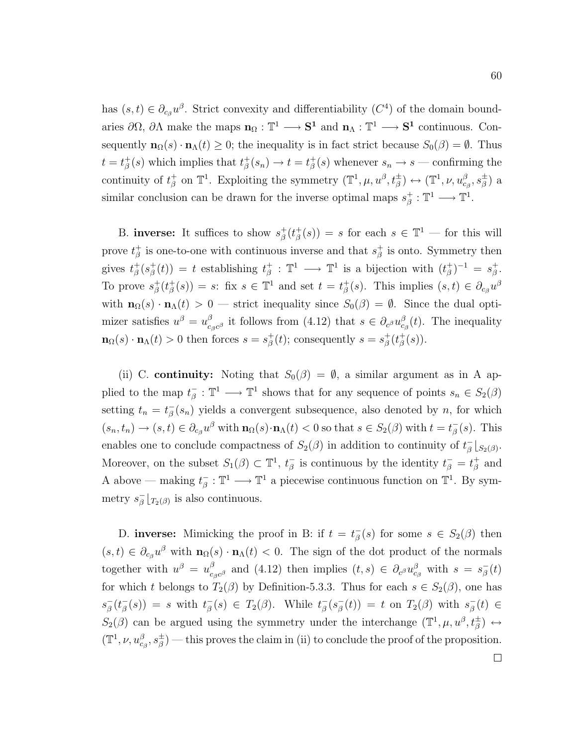has  $(s,t) \in \partial_{c_{\beta}} u^{\beta}$ . Strict convexity and differentiability  $(C^4)$  of the domain boundaries  $\partial\Omega$ ,  $\partial\Lambda$  make the maps  $\mathbf{n}_{\Omega}: \mathbb{T}^1 \longrightarrow \mathbf{S}^1$  and  $\mathbf{n}_{\Lambda}: \mathbb{T}^1 \longrightarrow \mathbf{S}^1$  continuous. Consequently  $\mathbf{n}_{\Omega}(s) \cdot \mathbf{n}_{\Lambda}(t) \geq 0$ ; the inequality is in fact strict because  $S_0(\beta) = \emptyset$ . Thus  $t = t_{\beta}^{+}$  $\frac{1}{\beta}(s)$  which implies that  $t_{\beta}^+$  $_{\beta}^{+}(s_n) \rightarrow t=t_{\beta}^{+}$  $\frac{1}{\beta}(s)$  whenever  $s_n \to s$  — confirming the continuity of  $t^+_{\beta}$ <sup>+</sup> on  $\mathbb{T}^1$ . Exploiting the symmetry  $(\mathbb{T}^1, \mu, u^\beta, t_\beta^\pm) \leftrightarrow (\mathbb{T}^1, \nu, u_{c_\beta}^\beta, s_\beta^\pm)$  a similar conclusion can be drawn for the inverse optimal maps  $s^+_{\beta}$  $\frac{1}{\beta} : \mathbb{T}^1 \longrightarrow \mathbb{T}^1.$ 

B. **inverse:** It suffices to show  $s^+_{\beta}$  $^+_\beta(t^+_\beta$  $\beta^+(s)$  = s for each  $s \in \mathbb{T}^1$  — for this will prove  $t^+_\beta$ <sup>+</sup> is one-to-one with continuous inverse and that  $s^+_\beta$  $\frac{1}{\beta}$  is onto. Symmetry then gives  $t^+_\beta$  $^+_\beta(s^+_\beta$  $\phi_{\beta}^{+}(t)$  = t establishing  $t_{\beta}^{+}$  $\frac{1}{\beta}$ :  $\mathbb{T}^1 \longrightarrow \mathbb{T}^1$  is a bijection with  $(t^+_{\beta})$  $(\frac{1}{\beta})^{-1} = s_{\beta}^{+}$  $_{\beta}^{+}.$ To prove  $s^+_{\beta}$  $^+_\beta(t^+_\beta$  $\phi_{\beta}^{+}(s)) = s$ : fix  $s \in \mathbb{T}^{1}$  and set  $t = t_{\beta}^{+}$ <sup>+</sup><sub>β</sub>(*s*). This implies  $(s,t) \in \partial_{c_{\beta}}u^{\beta}$ with  $\mathbf{n}_{\Omega}(s) \cdot \mathbf{n}_{\Lambda}(t) > 0$  — strict inequality since  $S_0(\beta) = \emptyset$ . Since the dual optimizer satisfies  $u^{\beta} = u^{\beta}$  $c_{\beta}^{\beta}$  it follows from [\(4.12\)](#page-39-5) that  $s \in \partial_{c^{\beta}} u_{c_{\beta}}^{\beta}(t)$ . The inequality  $\mathbf{n}_{\Omega}(s) \cdot \mathbf{n}_{\Lambda}(t) > 0$  then forces  $s = s_{\beta}^{+}$  $\phi^+_{\beta}(t)$ ; consequently  $s = s^+_{\beta}$  $^+_\beta(t^+_\beta$  $_{\beta}^{+}(s)).$ 

(ii) C. continuity: Noting that  $S_0(\beta) = \emptyset$ , a similar argument as in A applied to the map  $t_{\beta}^ \bar{\beta}: \mathbb{T}^1 \longrightarrow \mathbb{T}^1$  shows that for any sequence of points  $s_n \in S_2(\beta)$ setting  $t_n = t_\beta^ \bar{\beta}(s_n)$  yields a convergent subsequence, also denoted by n, for which  $(s_n, t_n) \to (s, t) \in \partial_{c_\beta} u^\beta$  with  $\mathbf{n}_\Omega(s) \cdot \mathbf{n}_\Lambda(t) < 0$  so that  $s \in S_2(\beta)$  with  $t = t_\beta^ \bar{\mathfrak{g}}(s)$ . This enables one to conclude compactness of  $S_2(\beta)$  in addition to continuity of  $t_{\beta}^ \bar{\beta}\left[ S_{2}(\beta)\right]$ Moreover, on the subset  $S_1(\beta) \subset \mathbb{T}^1$ ,  $t_\beta^ \frac{\overline{\phantom{a}}}{\beta}$  is continuous by the identity  $t_{\beta}^- = t_{\beta}^+$  $^+_{\beta}$  and A above — making  $t_{\beta}^ \bar{\beta}: \mathbb{T}^1 \longrightarrow \mathbb{T}^1$  a piecewise continuous function on  $\mathbb{T}^1$ . By symmetry  $s_{\beta}^ \bar{\beta}\vert_{T_2(\beta)}$  is also continuous.

D. **inverse:** Mimicking the proof in B: if  $t = t_{\beta}^ \bar{\mathfrak{g}}(s)$  for some  $s \in S_2(\beta)$  then  $(s, t) \in \partial_{c_{\beta}} u^{\beta}$  with  $\mathbf{n}_{\Omega}(s) \cdot \mathbf{n}_{\Lambda}(t) < 0$ . The sign of the dot product of the normals together with  $u^{\beta} = u^{\beta}$  $\frac{\beta}{c_{\beta}c^{\beta}}$  and [\(4.12\)](#page-39-5) then implies  $(t, s) \in \partial_{c^{\beta}} u_{c_{\beta}}^{\beta}$  with  $s = s_{\beta}^{-}$  $_\beta^-(t)$ for which t belongs to  $T_2(\beta)$  by Definition[-5.3.3.](#page-67-1) Thus for each  $s \in S_2(\beta)$ , one has  $s_{\beta}^ \frac{1}{\beta}(t_{\beta}^{-})$  $\bar{f}_{\beta}(s)$  = s with  $t_{\beta}^ \bar{f}_{\beta}(s) \in T_2(\beta)$ . While  $t_{\beta}^ \bar{\beta}(s_{\beta}^{-})$  $\bar{f}_{\beta}(t)$  = t on  $T_2(\beta)$  with  $s_{\beta}^{-}$  $\bar{\beta}(t) \in$  $S_2(\beta)$  can be argued using the symmetry under the interchange  $(\mathbb{T}^1, \mu, u^{\beta}, t^{\pm}_{\beta}) \leftrightarrow$  $(\mathbb{T}^1, \nu, u_{c_\beta}^\beta, s_\beta^\pm)$  — this proves the claim in (ii) to conclude the proof of the proposition.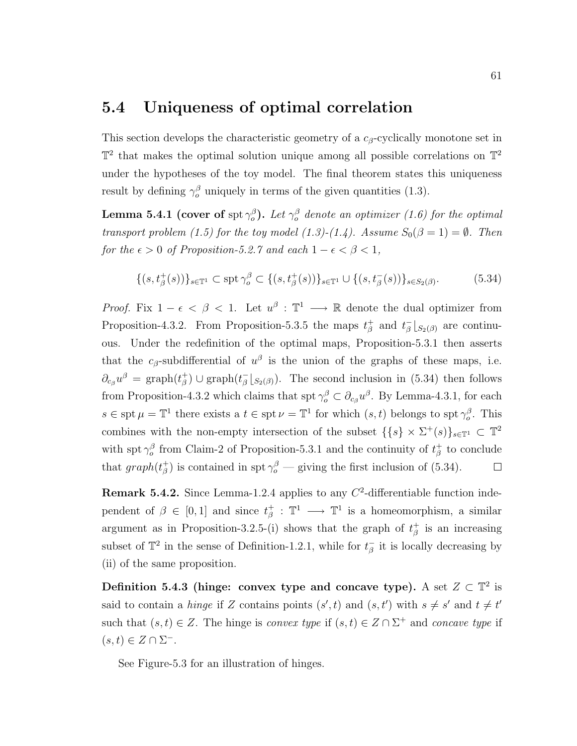#### 5.4 Uniqueness of optimal correlation

This section develops the characteristic geometry of a  $c_{\beta}$ -cyclically monotone set in  $\mathbb{T}^2$  that makes the optimal solution unique among all possible correlations on  $\mathbb{T}^2$ under the hypotheses of the toy model. The final theorem states this uniqueness result by defining  $\gamma_o^{\beta}$  uniquely in terms of the given quantities [\(1.3\)](#page-13-0).

<span id="page-70-1"></span>**Lemma 5.4.1 (cover of** spt  $\gamma_o^{\beta}$ ). Let  $\gamma_o^{\beta}$  denote an optimizer [\(1.6\)](#page-14-1) for the optimal transport problem [\(1.5\)](#page-14-0) for the toy model [\(1.3\)](#page-13-0)-[\(1.4\)](#page-13-1). Assume  $S_0(\beta = 1) = \emptyset$ . Then for the  $\epsilon > 0$  of Proposition[-5.2.7](#page-58-0) and each  $1 - \epsilon < \beta < 1$ ,

<span id="page-70-0"></span>
$$
\{(s, t_{\beta}^+(s))\}_{s \in \mathbb{T}^1} \subset \operatorname{spt} \gamma_o^{\beta} \subset \{(s, t_{\beta}^+(s))\}_{s \in \mathbb{T}^1} \cup \{(s, t_{\beta}^-(s))\}_{s \in S_2(\beta)}.\tag{5.34}
$$

*Proof.* Fix  $1 - \epsilon < \beta < 1$ . Let  $u^{\beta} : \mathbb{T}^1 \longrightarrow \mathbb{R}$  denote the dual optimizer from  $\frac{1}{\beta}$  and  $t_{\beta}^-$ Proposition[-4.3.2.](#page-48-0) From Proposition[-5.3.5](#page-68-0) the maps  $t^+_{\beta}$  $\bar{\beta}$ [ $S_2(\beta)$  are continuous. Under the redefinition of the optimal maps, Proposition[-5.3.1](#page-63-0) then asserts that the c<sub>β</sub>-subdifferential of  $u^{\beta}$  is the union of the graphs of these maps, i.e.  $\partial_{c_{\beta}}u^{\beta} = \text{graph}(t_{\beta}^+)$ <sup>+</sup><sub>β</sub></sub>)  $\cup$  graph $(t_{\beta}^-)$  $\bar{\beta}\left[s_2(\beta)\right)$ . The second inclusion in [\(5.34\)](#page-70-0) then follows from Proposition[-4.3.2](#page-48-0) which claims that spt  $\gamma_o^{\beta} \subset \partial_{c_{\beta}} u^{\beta}$ . By Lemma[-4.3.1,](#page-47-1) for each  $s \in \operatorname{spt} \mu = \mathbb{T}^1$  there exists a  $t \in \operatorname{spt} \nu = \mathbb{T}^1$  for which  $(s, t)$  belongs to  $\operatorname{spt} \gamma_o^{\beta}$ . This combines with the non-empty intersection of the subset  $\{\{s\} \times \Sigma^+(s)\}_{s \in \mathbb{T}^1} \subset \mathbb{T}^2$ with spt  $\gamma_o^{\beta}$  from Claim-2 of Proposition[-5.3.1](#page-63-0) and the continuity of  $t_{\beta}^+$  $\frac{1}{\beta}$  to conclude that  $graph(t^+_{\beta})$ <sup>+</sup><sub>β</sub>) is contained in spt  $\gamma_o^{\beta}$  — giving the first inclusion of [\(5.34\)](#page-70-0).  $\Box$ 

**Remark 5.4.2.** Since Lemma[-1.2.4](#page-16-2) applies to any  $C^2$ -differentiable function independent of  $\beta \in [0,1]$  and since  $t^+_{\beta}$  $\phi^{\dagger}_{\beta}$ :  $\mathbb{T}^1 \longrightarrow \mathbb{T}^1$  is a homeomorphism, a similar argument as in Proposition[-3.2.5-](#page-32-0)(i) shows that the graph of  $t^+_{\beta}$  $\frac{1}{\beta}$  is an increasing subset of  $\mathbb{T}^2$  in the sense of Definition[-1.2.1,](#page-15-1) while for  $t_{\beta}^ \bar{\beta}$  it is locally decreasing by (ii) of the same proposition.

Definition 5.4.3 (hinge: convex type and concave type). A set  $Z \subset \mathbb{T}^2$  is said to contain a *hinge* if Z contains points  $(s', t)$  and  $(s, t')$  with  $s \neq s'$  and  $t \neq t'$ such that  $(s, t) \in Z$ . The hinge is *convex type* if  $(s, t) \in Z \cap \Sigma^+$  and *concave type* if  $(s, t) \in Z \cap \Sigma^-$ .

<span id="page-70-2"></span>See Figure[-5.3](#page-72-0) for an illustration of hinges.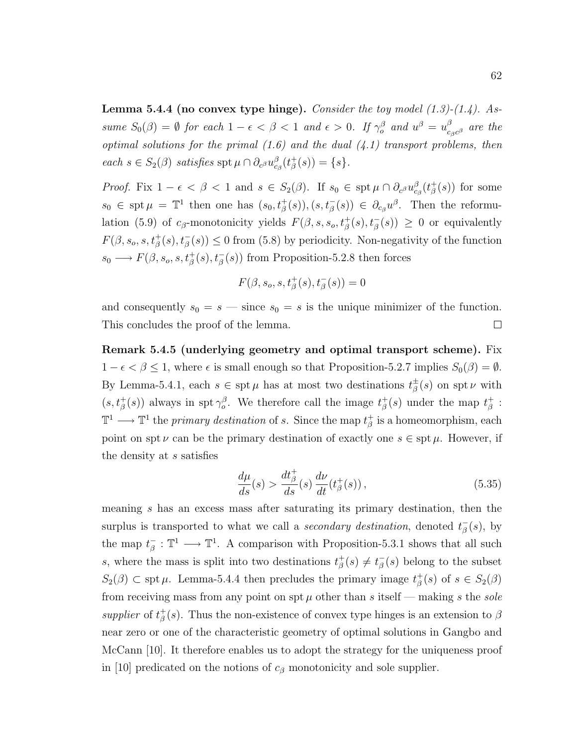**Lemma 5.4.4 (no convex type hinge).** Consider the toy model  $(1.3)-(1.4)$  $(1.3)-(1.4)$  $(1.3)-(1.4)$ . Assume  $S_0(\beta) = \emptyset$  for each  $1 - \epsilon < \beta < 1$  and  $\epsilon > 0$ . If  $\gamma_o^{\beta}$  and  $u^{\beta} = u_c^{\beta}$  $_{c_\beta c^\beta}^{\beta}$  are the optimal solutions for the primal  $(1.6)$  and the dual  $(4.1)$  transport problems, then each  $s \in S_2(\beta)$  satisfies  $\text{spt }\mu \cap \partial_{c\beta} u_{c\beta}^{\beta}(t_{\beta}^+)$  $_{\beta}^{+}(s)) = \{s\}.$ 

*Proof.* Fix  $1 - \epsilon < \beta < 1$  and  $s \in S_2(\beta)$ . If  $s_0 \in \text{spt } \mu \cap \partial_{c^{\beta}} u_{c_{\beta}}^{\beta}(t_{\beta}^+)$  $_{\beta}^{+}(s))$  for some  $s_0 \in \operatorname{spt} \mu = \mathbb{T}^1$  then one has  $(s_0, t^+_{\beta}(s)), (s, t^-_{\beta}(s)) \in \partial_{c_{\beta}} u^{\beta}$ . Then the reformu-lation [\(5.9\)](#page-55-2) of  $c_{\beta}$ -monotonicity yields  $F(\beta, s, s_o, t_{\beta}^+(s), t_{\beta}^-(s)) \geq 0$  or equivalently  $F(\beta, s_o, s, t^+_{\beta}(s), t^-_{\beta}(s)) \leq 0$  from [\(5.8\)](#page-55-1) by periodicity. Non-negativity of the function  $s_0 \longrightarrow F(\beta, s_o, s, t^+_{\beta}(s), t^-_{\beta}(s))$  from Proposition[-5.2.8](#page-59-0) then forces

$$
F(\beta,s_o,s,t^+_{\beta}(s),t^-_{\beta}(s))=0
$$

and consequently  $s_0 = s$  — since  $s_0 = s$  is the unique minimizer of the function. This concludes the proof of the lemma.  $\Box$ 

Remark 5.4.5 (underlying geometry and optimal transport scheme). Fix  $1 - \epsilon < \beta \leq 1$ , where  $\epsilon$  is small enough so that Proposition[-5.2.7](#page-58-0) implies  $S_0(\beta) = \emptyset$ . By Lemma[-5.4.1,](#page-70-1) each  $s \in \text{spt }\mu$  has at most two destinations  $t^{\pm}_{\beta}$  $\frac{1}{\beta}(s)$  on spt  $\nu$  with  $(s, t^{\dagger}_{\beta}(s))$  always in spt  $\gamma_o^{\beta}$ . We therefore call the image  $t^{\dagger}_{\beta}$  $\frac{1}{\beta}(s)$  under the map  $t_{\beta}^+$  $^+_{\beta}$  :  $\mathbb{T}^1 \longrightarrow \mathbb{T}^1$  the primary destination of s. Since the map  $t^+_{\beta}$  $\frac{1}{\beta}$  is a homeomorphism, each point on spt  $\nu$  can be the primary destination of exactly one  $s \in \text{spt } \mu$ . However, if the density at s satisfies

$$
\frac{d\mu}{ds}(s) > \frac{dt^+_{\beta}}{ds}(s)\frac{d\nu}{dt}(t^+_{\beta}(s)),\tag{5.35}
$$

meaning s has an excess mass after saturating its primary destination, then the surplus is transported to what we call a *secondary destination*, denoted  $t_{\beta}^ \bar{\beta}(s)$ , by the map  $t_{\beta}^ \bar{\beta}: \mathbb{T}^1 \longrightarrow \mathbb{T}^1$ . A comparison with Proposition[-5.3.1](#page-63-0) shows that all such s, where the mass is split into two destinations  $t^+_{\beta}$  $_{\beta}^{+}(s) \neq t_{\beta}^{-}$  $\bar{B}(s)$  belong to the subset  $S_2(\beta) \subset \operatorname{spt} \mu$ . Lemma[-5.4.4](#page-70-2) then precludes the primary image  $t^+_{\beta}$  $\frac{1}{\beta}(s)$  of  $s \in S_2(\beta)$ from receiving mass from any point on spt  $\mu$  other than s itself — making s the sole supplier of  $t^+_{\beta}$  $\frac{1}{\beta}(s)$ . Thus the non-existence of convex type hinges is an extension to  $\beta$ near zero or one of the characteristic geometry of optimal solutions in Gangbo and McCann [\[10\]](#page-83-4). It therefore enables us to adopt the strategy for the uniqueness proof in [\[10\]](#page-83-4) predicated on the notions of  $c_{\beta}$  monotonicity and sole supplier.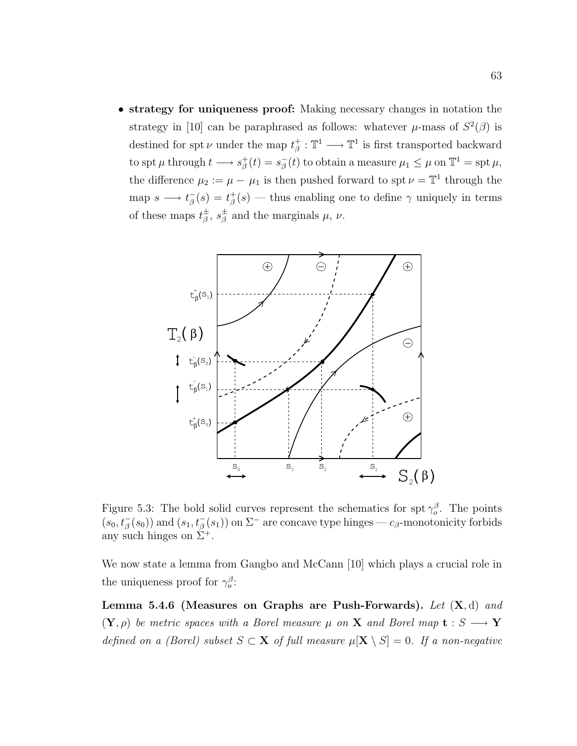• strategy for uniqueness proof: Making necessary changes in notation the strategy in [\[10\]](#page-83-0) can be paraphrased as follows: whatever  $\mu$ -mass of  $S^2(\beta)$  is destined for spt  $\nu$  under the map  $t^{\dagger}_{\beta}$  $\phi^+$ :  $\mathbb{T}^1 \longrightarrow \mathbb{T}^1$  is first transported backward to spt  $\mu$  through  $t \longrightarrow s_A^+$  $_{\beta}^{+}(t) = s_{\beta}^{-}$  $\bar{\beta}(t)$  to obtain a measure  $\mu_1 \leq \mu$  on  $\mathbb{T}^1 = \operatorname{spt} \mu$ , the difference  $\mu_2 := \mu - \mu_1$  is then pushed forward to spt  $\nu = \mathbb{T}^1$  through the map  $s \longrightarrow t_{\beta}^ \frac{1}{\beta}(s) = t_{\beta}^+$  $\beta^+_\beta(s)$  — thus enabling one to define  $\gamma$  uniquely in terms of these maps  $t^{\pm}_{\beta}$  $\frac{\pm}{\beta}$ ,  $s_{\beta}^{\pm}$  $\frac{\pm}{\beta}$  and the marginals  $\mu$ ,  $\nu$ .



Figure 5.3: The bold solid curves represent the schematics for spt  $\gamma_o^{\beta}$ . The points  $(s_0, t_\beta^-(s_0))$  and  $(s_1, t_\beta^-(s_1))$  on  $\Sigma^-$  are concave type hinges —  $c_\beta$ -monotonicity forbids any such hinges on  $\Sigma^+$ .

We now state a lemma from Gangbo and McCann [\[10\]](#page-83-0) which plays a crucial role in the uniqueness proof for  $\gamma_o^{\beta}$ :

<span id="page-72-0"></span>Lemma 5.4.6 (Measures on Graphs are Push-Forwards). Let  $(X, d)$  and  $(Y, \rho)$  be metric spaces with a Borel measure  $\mu$  on **X** and Borel map  $t : S \longrightarrow Y$ defined on a (Borel) subset  $S \subset \mathbf{X}$  of full measure  $\mu[\mathbf{X} \setminus S] = 0$ . If a non-negative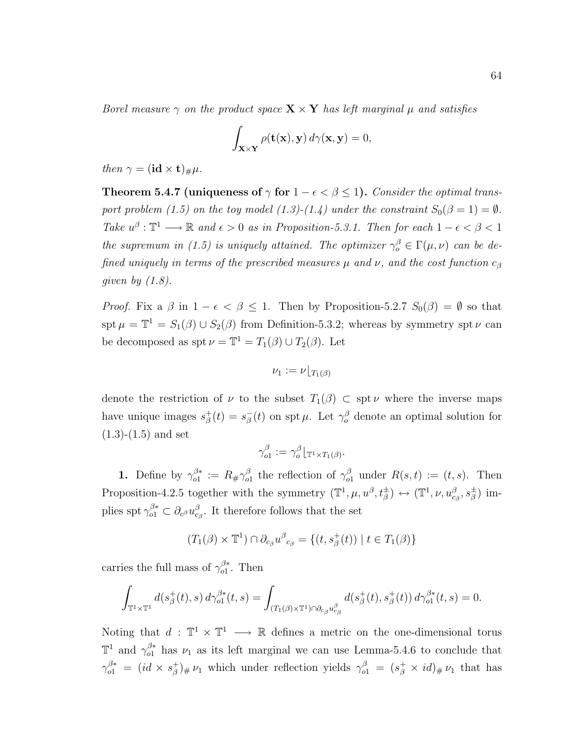Borel measure  $\gamma$  on the product space  $\mathbf{X} \times \mathbf{Y}$  has left marginal  $\mu$  and satisfies

$$
\int_{\mathbf{X}\times\mathbf{Y}} \rho(\mathbf{t}(\mathbf{x}), \mathbf{y}) d\gamma(\mathbf{x}, \mathbf{y}) = 0,
$$

then  $\gamma = (\mathbf{id} \times \mathbf{t})_{\#} \mu$ .

**Theorem 5.4.7 (uniqueness of**  $\gamma$  for  $1 - \epsilon < \beta \leq 1$ ). Consider the optimal trans-port problem [\(1.5\)](#page-14-0) on the toy model [\(1.3\)](#page-13-0)-[\(1.4\)](#page-13-1) under the constraint  $S_0(\beta = 1) = \emptyset$ . Take  $u^{\beta} : \mathbb{T}^1 \longrightarrow \mathbb{R}$  and  $\epsilon > 0$  as in Proposition[-5.3.1.](#page-63-0) Then for each  $1 - \epsilon < \beta < 1$ the supremum in [\(1.5\)](#page-14-0) is uniquely attained. The optimizer  $\gamma_o^{\beta} \in \Gamma(\mu, \nu)$  can be defined uniquely in terms of the prescribed measures  $\mu$  and  $\nu$ , and the cost function  $c_{\beta}$ given by  $(1.8)$ .

*Proof.* Fix a  $\beta$  in  $1 - \epsilon < \beta \leq 1$ . Then by Proposition[-5.2.7](#page-58-0)  $S_0(\beta) = \emptyset$  so that spt  $\mu = \mathbb{T}^1 = S_1(\beta) \cup S_2(\beta)$  from Definition[-5.3.2;](#page-67-0) whereas by symmetry spt  $\nu$  can be decomposed as  $\text{spt } \nu = \mathbb{T}^1 = T_1(\beta) \cup T_2(\beta)$ . Let

$$
\nu_1 := \nu\lfloor_{T_1(\beta)}
$$

denote the restriction of  $\nu$  to the subset  $T_1(\beta) \subset \text{spt } \nu$  where the inverse maps have unique images  $s^+_{\beta}$  $_{\beta}^{+}(t) = s_{\beta}^{-}$  $\bar{\beta}(t)$  on spt  $\mu$ . Let  $\gamma_o^{\beta}$  denote an optimal solution for  $(1.3)-(1.5)$  $(1.3)-(1.5)$  $(1.3)-(1.5)$  and set

$$
\gamma_{o1}^{\beta} := \gamma_o^{\beta} \lfloor_{\mathbb{T}^1 \times T_1(\beta)}.
$$

**1.** Define by  $\gamma_{o1}^{\beta*}$  $\frac{\beta *}{o1} := R_\# \gamma^\beta_{o1}$  $\int_{0}^{\beta}$  the reflection of  $\gamma_{01}^{\beta}$  under  $R(s,t) := (t, s)$ . Then Proposition[-4.2.5](#page-46-0) together with the symmetry  $(\mathbb{T}^1, \mu, u^{\beta}, t^{\pm}_{\beta}) \leftrightarrow (\mathbb{T}^1, \nu, u^{\beta}_{c_{\beta}}, s^{\pm}_{\beta})$  implies spt  $\gamma_{o1}^{\beta*} \subset \partial_{c^{\beta}} u_{c_{\beta}}^{\beta}$ . It therefore follows that the set

$$
(T_1(\beta) \times \mathbb{T}^1) \cap \partial_{c_{\beta}} u^{\beta}{}_{c_{\beta}} = \{(t, s^+_{\beta}(t)) \mid t \in T_1(\beta) \}
$$

carries the full mass of  $\gamma_{o1}^{\beta*}$  $_{o1}^{\beta*}$ . Then

$$
\int_{\mathbb{T}^1 \times \mathbb{T}^1} d(s_\beta^+(t),s) d\gamma_{o1}^{\beta*}(t,s) = \int_{(T_1(\beta) \times \mathbb{T}^1) \cap \partial_{c_\beta} u_{c_\beta}^\beta} d(s_\beta^+(t),s_\beta^+(t)) d\gamma_{o1}^{\beta*}(t,s) = 0.
$$

Noting that  $d : \mathbb{T}^1 \times \mathbb{T}^1 \longrightarrow \mathbb{R}$  defines a metric on the one-dimensional torus  $\mathbb{T}^1$  and  $\gamma_{o1}^{\beta*}$  has  $\nu_1$  as its left marginal we can use Lemma[-5.4.6](#page-72-0) to conclude that  $\gamma_{o1}^{\beta *} = (id \times s_\beta^+)$  $(\beta)_{\#}\nu_1$  which under reflection yields  $\gamma_{o1}^{\beta} = (s_{\beta}^{\dagger} \times id)_{\#}\nu_1$  that has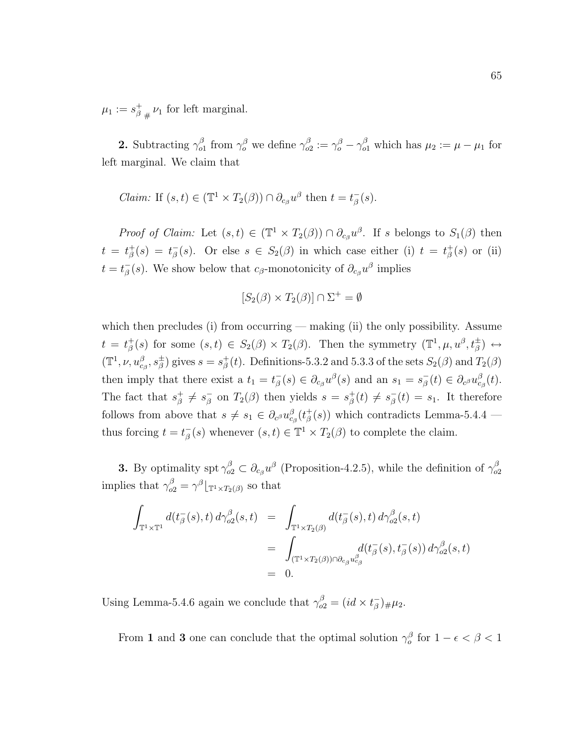$\mu_1 := s^+_{\beta}$  $\frac{1}{\beta}$  #  $\nu_1$  for left marginal.

**2.** Subtracting  $\gamma_o^{\beta}$  $\frac{\beta}{\rho 0}$  from  $\gamma_o^{\beta}$  we define  $\gamma_{o}^{\beta}$  $\chi^{\beta}_{o2} := \gamma^{\beta}_{o} - \gamma^{\beta}_{o1}$  which has  $\mu_2 := \mu - \mu_1$  for left marginal. We claim that

*Claim:* If 
$$
(s, t) \in (\mathbb{T}^1 \times T_2(\beta)) \cap \partial_{c_{\beta}} u^{\beta}
$$
 then  $t = t_{\beta}^-(s)$ .

*Proof of Claim:* Let  $(s,t) \in (\mathbb{T}^1 \times T_2(\beta)) \cap \partial_{c_\beta} u^\beta$ . If s belongs to  $S_1(\beta)$  then  $t = t_{\beta}^{+}$  $^{+}_{\beta}(s) = t^{-}_{\beta}$  $\bar{\beta}(s)$ . Or else  $s \in S_2(\beta)$  in which case either (i)  $t = t^+_{\beta}$  $_\beta^+(s)$  or (ii)  $t=t_{\beta}^ \bar{\beta}(s)$ . We show below that c<sub>β</sub>-monotonicity of  $\partial_{c_{\beta}}u^{\beta}$  implies

$$
[S_2(\beta) \times T_2(\beta)] \cap \Sigma^+ = \emptyset
$$

which then precludes (i) from occurring — making (ii) the only possibility. Assume  $t = t^+_{\beta}$  $\phi_{\beta}^{+}(s)$  for some  $(s,t) \in S_2(\beta) \times T_2(\beta)$ . Then the symmetry  $(\mathbb{T}^1, \mu, u^{\beta}, t^{\pm}_{\beta}) \leftrightarrow$  $(\mathbb{T}^1, \nu, u_{c_\beta}^\beta, s_\beta^\pm)$  gives  $s = s_\beta^+$  $\beta_{\beta}^{+}(t)$ . Definitions[-5.3.2](#page-67-0) and [5.3.3](#page-67-1) of the sets  $S_{2}(\beta)$  and  $T_{2}(\beta)$ then imply that there exist a  $t_1 = t_{\beta}^ \bar{\beta}(s) \in \partial_{c_{\beta}} u^{\beta}(s)$  and an  $s_1 = s_{\beta}^ \bar{\mathcal{L}}_{\beta}(t) \in \partial_{c^{\beta}} u_{c_{\beta}}^{\beta}(t).$ The fact that  $s^+_{\beta}$  $\frac{1}{\beta} \neq s_{\beta}^{-}$  $\bar{\beta}$  on  $T_2(\beta)$  then yields  $s = s^+_{\beta}$  $_{\beta}^{+}(t) \neq s_{\beta}^{-}$  $\bar{f}_{\beta}(t) = s_1$ . It therefore follows from above that  $s \neq s_1 \in \partial_{c^\beta} u_{c_\beta}^\beta(t_\beta^+)$  $\sigma_{\beta}^{+}(s)$ ) which contradicts Lemma[-5.4.4](#page-70-0) thus forcing  $t = t_a^ \overline{\beta}(s)$  whenever  $(s, t) \in \mathbb{T}^1 \times T_2(\beta)$  to complete the claim.

**3.** By optimality spt  $\gamma_{o2}^{\beta} \subset \partial_{c\beta}u^{\beta}$  (Proposition[-4.2.5\)](#page-46-0), while the definition of  $\gamma_{o2}^{\beta}$ o2 implies that  $\gamma_{o2}^{\beta} = \gamma^{\beta} \lfloor_{\mathbb{T}^1 \times T_2(\beta)}$  so that

$$
\int_{\mathbb{T}^1 \times \mathbb{T}^1} d(t_\beta^-(s), t) d\gamma_{o2}^\beta(s, t) = \int_{\mathbb{T}^1 \times T_2(\beta)} d(t_\beta^-(s), t) d\gamma_{o2}^\beta(s, t)
$$
  
\n
$$
= \int_{(\mathbb{T}^1 \times T_2(\beta)) \cap \partial_{c_\beta} u_{c_\beta}^\beta} d(t_\beta^-(s), t_\beta^-(s)) d\gamma_{o2}^\beta(s, t)
$$
  
\n
$$
= 0.
$$

Using Lemma[-5.4.6](#page-72-0) again we conclude that  $\gamma_{o2}^{\beta} = (id \times t_{\beta}^{-1})$  $(\frac{1}{\beta})_{\#}\mu_2.$ 

From 1 and 3 one can conclude that the optimal solution  $\gamma_o^{\beta}$  for  $1 - \epsilon < \beta < 1$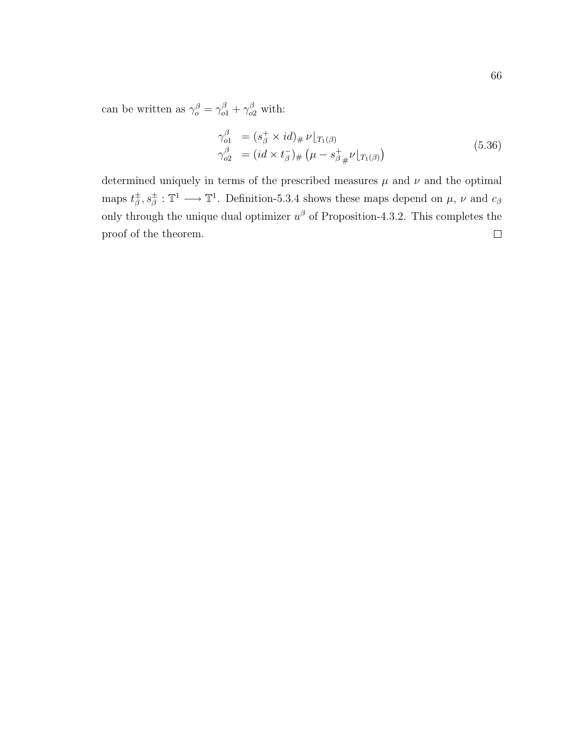can be written as  $\gamma_0^{\beta} = \gamma_{01}^{\beta} + \gamma_{02}^{\beta}$  with:

$$
\gamma_{o1}^{\beta} = (s_{\beta}^{+} \times id)_{\#} \nu|_{T_{1}(\beta)}
$$
  
\n
$$
\gamma_{o2}^{\beta} = (id \times t_{\beta}^{-})_{\#} \left(\mu - s_{\beta}^{+} \mu|_{T_{1}(\beta)}\right)
$$
\n(5.36)

determined uniquely in terms of the prescribed measures  $\mu$  and  $\nu$  and the optimal  $\frac{1}{\beta}$ ,  $s_{\beta}^{\pm}$ :  $\mathbb{T}^1 \longrightarrow \mathbb{T}^1$ . Definition[-5.3.4](#page-68-0) shows these maps depend on  $\mu$ ,  $\nu$  and  $c_{\beta}$ maps  $t^{\pm}_{\beta}$ only through the unique dual optimizer  $u^{\beta}$  of Proposition[-4.3.2.](#page-48-0) This completes the proof of the theorem. $\Box$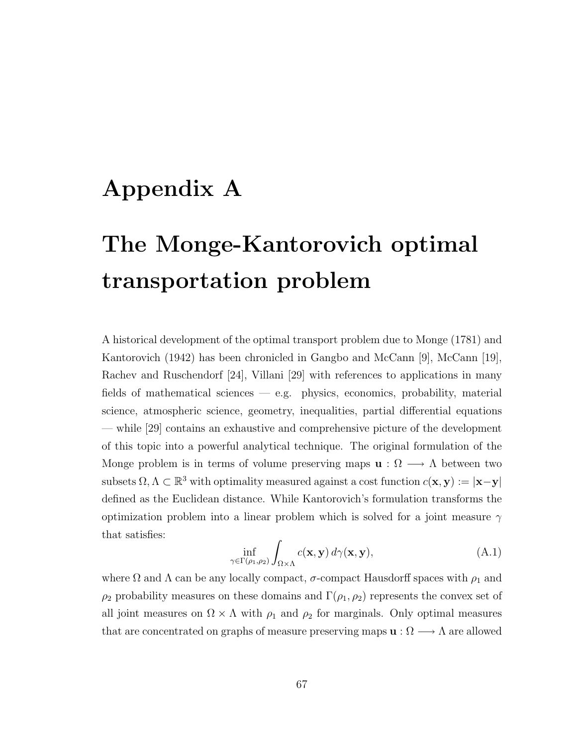# Appendix A The Monge-Kantorovich optimal transportation problem

A historical development of the optimal transport problem due to Monge (1781) and Kantorovich (1942) has been chronicled in Gangbo and McCann [\[9\]](#page-82-0), McCann [\[19\]](#page-83-1), Rachev and Ruschendorf [\[24\]](#page-84-0), Villani [\[29\]](#page-84-1) with references to applications in many fields of mathematical sciences — e.g. physics, economics, probability, material science, atmospheric science, geometry, inequalities, partial differential equations — while [\[29\]](#page-84-1) contains an exhaustive and comprehensive picture of the development of this topic into a powerful analytical technique. The original formulation of the Monge problem is in terms of volume preserving maps  $\mathbf{u} : \Omega \longrightarrow \Lambda$  between two subsets  $\Omega, \Lambda \subset \mathbb{R}^3$  with optimality measured against a cost function  $c(\mathbf{x}, \mathbf{y}) := |\mathbf{x} - \mathbf{y}|$ defined as the Euclidean distance. While Kantorovich's formulation transforms the optimization problem into a linear problem which is solved for a joint measure  $\gamma$ that satisfies:

<span id="page-76-0"></span>
$$
\inf_{\gamma \in \Gamma(\rho_1, \rho_2)} \int_{\Omega \times \Lambda} c(\mathbf{x}, \mathbf{y}) \, d\gamma(\mathbf{x}, \mathbf{y}), \tag{A.1}
$$

where  $\Omega$  and  $\Lambda$  can be any locally compact,  $\sigma$ -compact Hausdorff spaces with  $\rho_1$  and  $\rho_2$  probability measures on these domains and  $\Gamma(\rho_1, \rho_2)$  represents the convex set of all joint measures on  $\Omega \times \Lambda$  with  $\rho_1$  and  $\rho_2$  for marginals. Only optimal measures that are concentrated on graphs of measure preserving maps  $\mathbf{u} : \Omega \longrightarrow \Lambda$  are allowed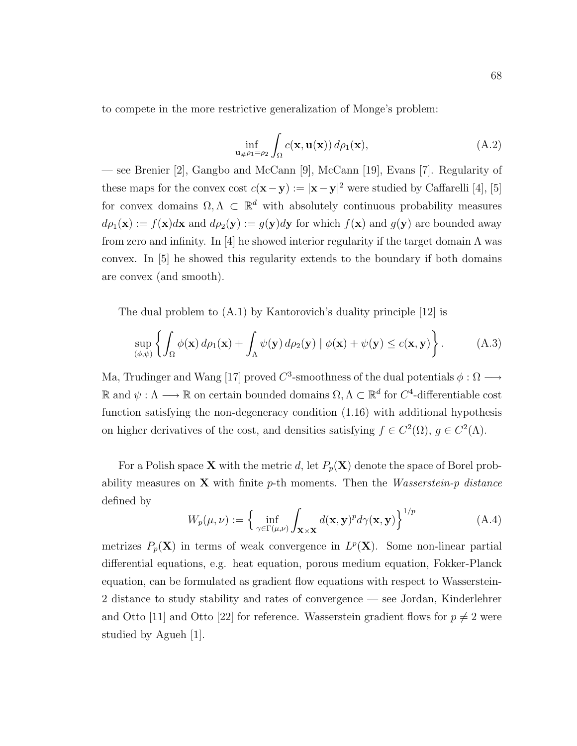to compete in the more restrictive generalization of Monge's problem:

$$
\inf_{\mathbf{u}_{\#}\rho_1=\rho_2} \int_{\Omega} c(\mathbf{x}, \mathbf{u}(\mathbf{x})) d\rho_1(\mathbf{x}), \tag{A.2}
$$

— see Brenier [\[2\]](#page-82-1), Gangbo and McCann [\[9\]](#page-82-0), McCann [\[19\]](#page-83-1), Evans [\[7\]](#page-82-2). Regularity of these maps for the convex cost  $c(\mathbf{x}-\mathbf{y}) := |\mathbf{x}-\mathbf{y}|^2$  were studied by Caffarelli [\[4\]](#page-82-3), [\[5\]](#page-82-4) for convex domains  $\Omega, \Lambda \subset \mathbb{R}^d$  with absolutely continuous probability measures  $d\rho_1(\mathbf{x}) := f(\mathbf{x})d\mathbf{x}$  and  $d\rho_2(\mathbf{y}) := g(\mathbf{y})d\mathbf{y}$  for which  $f(\mathbf{x})$  and  $g(\mathbf{y})$  are bounded away from zero and infinity. In [\[4\]](#page-82-3) he showed interior regularity if the target domain  $\Lambda$  was convex. In [\[5\]](#page-82-4) he showed this regularity extends to the boundary if both domains are convex (and smooth).

The dual problem to [\(A.1\)](#page-76-0) by Kantorovich's duality principle [\[12\]](#page-83-2) is

$$
\sup_{(\phi,\psi)} \left\{ \int_{\Omega} \phi(\mathbf{x}) \, d\rho_1(\mathbf{x}) + \int_{\Lambda} \psi(\mathbf{y}) \, d\rho_2(\mathbf{y}) \mid \phi(\mathbf{x}) + \psi(\mathbf{y}) \le c(\mathbf{x}, \mathbf{y}) \right\}.
$$
 (A.3)

Ma, Trudinger and Wang [\[17\]](#page-83-3) proved  $C^3$ -smoothness of the dual potentials  $\phi : \Omega \longrightarrow$  $\mathbb R$  and  $\psi : \Lambda \longrightarrow \mathbb R$  on certain bounded domains  $\Omega, \Lambda \subset \mathbb R^d$  for  $C^4$ -differentiable cost function satisfying the non-degeneracy condition [\(1.16\)](#page-20-0) with additional hypothesis on higher derivatives of the cost, and densities satisfying  $f \in C^2(\Omega)$ ,  $g \in C^2(\Lambda)$ .

For a Polish space **X** with the metric d, let  $P_p(\mathbf{X})$  denote the space of Borel probability measures on  $X$  with finite p-th moments. Then the *Wasserstein-p distance* defined by

$$
W_p(\mu, \nu) := \left\{ \inf_{\gamma \in \Gamma(\mu, \nu)} \int_{\mathbf{X} \times \mathbf{X}} d(\mathbf{x}, \mathbf{y})^p d\gamma(\mathbf{x}, \mathbf{y}) \right\}^{1/p}
$$
(A.4)

metrizes  $P_p(\mathbf{X})$  in terms of weak convergence in  $L^p(\mathbf{X})$ . Some non-linear partial differential equations, e.g. heat equation, porous medium equation, Fokker-Planck equation, can be formulated as gradient flow equations with respect to Wasserstein-2 distance to study stability and rates of convergence — see Jordan, Kinderlehrer and Otto [\[11\]](#page-83-4) and Otto [\[22\]](#page-83-5) for reference. Wasserstein gradient flows for  $p \neq 2$  were studied by Agueh [\[1\]](#page-82-5).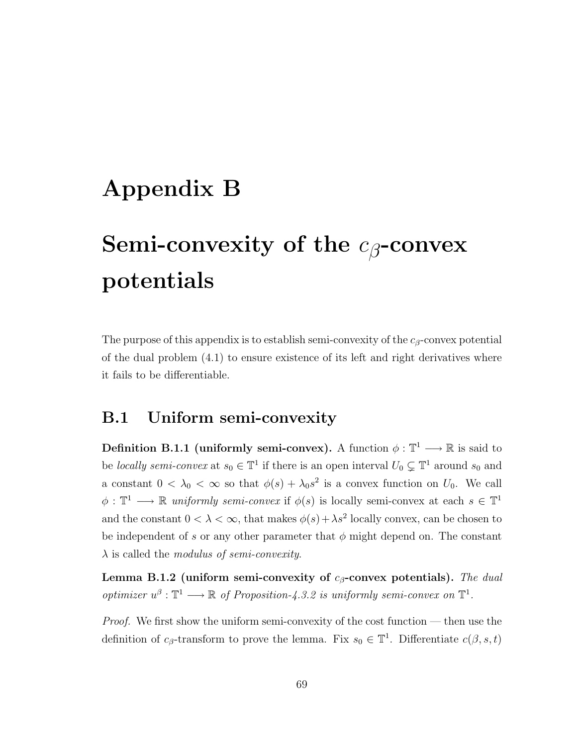## Appendix B

## Semi-convexity of the  $c_{\beta}$ -convex potentials

The purpose of this appendix is to establish semi-convexity of the  $c_\beta$ -convex potential of the dual problem [\(4.1\)](#page-37-0) to ensure existence of its left and right derivatives where it fails to be differentiable.

#### B.1 Uniform semi-convexity

Definition B.1.1 (uniformly semi-convex). A function  $\phi : \mathbb{T}^1 \longrightarrow \mathbb{R}$  is said to be *locally semi-convex* at  $s_0 \in \mathbb{T}^1$  if there is an open interval  $U_0 \subsetneq \mathbb{T}^1$  around  $s_0$  and a constant  $0 < \lambda_0 < \infty$  so that  $\phi(s) + \lambda_0 s^2$  is a convex function on  $U_0$ . We call  $\phi: \mathbb{T}^1 \longrightarrow \mathbb{R}$  uniformly semi-convex if  $\phi(s)$  is locally semi-convex at each  $s \in \mathbb{T}^1$ and the constant  $0 < \lambda < \infty$ , that makes  $\phi(s) + \lambda s^2$  locally convex, can be chosen to be independent of s or any other parameter that  $\phi$  might depend on. The constant  $\lambda$  is called the *modulus of semi-convexity*.

Lemma B.1.2 (uniform semi-convexity of  $c_{\beta}$ -convex potentials). The dual optimizer  $u^{\beta} : \mathbb{T}^1 \longrightarrow \mathbb{R}$  of Proposition[-4.3.2](#page-48-0) is uniformly semi-convex on  $\mathbb{T}^1$ .

Proof. We first show the uniform semi-convexity of the cost function — then use the definition of  $c_{\beta}$ -transform to prove the lemma. Fix  $s_0 \in \mathbb{T}^1$ . Differentiate  $c(\beta, s, t)$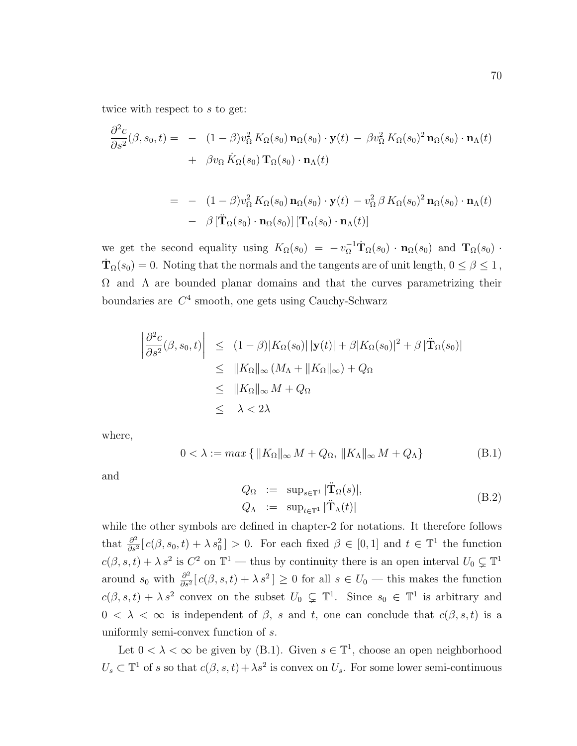twice with respect to s to get:

$$
\frac{\partial^2 c}{\partial s^2}(\beta, s_0, t) = - (1 - \beta)v_{\Omega}^2 K_{\Omega}(s_0) \mathbf{n}_{\Omega}(s_0) \cdot \mathbf{y}(t) - \beta v_{\Omega}^2 K_{\Omega}(s_0)^2 \mathbf{n}_{\Omega}(s_0) \cdot \mathbf{n}_{\Lambda}(t) \n+ \beta v_{\Omega} \dot{K}_{\Omega}(s_0) \mathbf{T}_{\Omega}(s_0) \cdot \mathbf{n}_{\Lambda}(t)
$$

$$
= - (1 - \beta) v_{\Omega}^2 K_{\Omega}(s_0) \mathbf{n}_{\Omega}(s_0) \cdot \mathbf{y}(t) - v_{\Omega}^2 \beta K_{\Omega}(s_0)^2 \mathbf{n}_{\Omega}(s_0) \cdot \mathbf{n}_{\Lambda}(t) - \beta [\ddot{\mathbf{T}}_{\Omega}(s_0) \cdot \mathbf{n}_{\Omega}(s_0)] [\mathbf{T}_{\Omega}(s_0) \cdot \mathbf{n}_{\Lambda}(t)]
$$

we get the second equality using  $K_{\Omega}(s_0) = -v_{\Omega}^{-1} \dot{\mathbf{T}}_{\Omega}(s_0) \cdot \mathbf{n}_{\Omega}(s_0)$  and  $\mathbf{T}_{\Omega}(s_0)$ .  $\dot{\mathbf{T}}_{\Omega}(s_0) = 0$ . Noting that the normals and the tangents are of unit length,  $0 \le \beta \le 1$ ,  $\Omega$  and  $\Lambda$  are bounded planar domains and that the curves parametrizing their boundaries are  $C<sup>4</sup>$  smooth, one gets using Cauchy-Schwarz

$$
\left| \frac{\partial^2 c}{\partial s^2} (\beta, s_0, t) \right| \le (1 - \beta) |K_{\Omega}(s_0)| |\mathbf{y}(t)| + \beta |K_{\Omega}(s_0)|^2 + \beta |\mathbf{T}_{\Omega}(s_0)|
$$
  
\n
$$
\le ||K_{\Omega}||_{\infty} (M_{\Lambda} + ||K_{\Omega}||_{\infty}) + Q_{\Omega}
$$
  
\n
$$
\le ||K_{\Omega}||_{\infty} M + Q_{\Omega}
$$
  
\n
$$
\le \lambda < 2\lambda
$$

<span id="page-79-0"></span>where,

$$
0 < \lambda := \max\left\{ \|K_{\Omega}\|_{\infty} M + Q_{\Omega}, \|K_{\Lambda}\|_{\infty} M + Q_{\Lambda} \right\} \tag{B.1}
$$

and

$$
Q_{\Omega} := \sup_{s \in \mathbb{T}^1} |\mathbf{T}_{\Omega}(s)|,
$$
  
\n
$$
Q_{\Lambda} := \sup_{t \in \mathbb{T}^1} |\mathbf{T}_{\Lambda}(t)|
$$
\n(B.2)

while the other symbols are defined in chapter[-2](#page-22-0) for notations. It therefore follows that  $\frac{\partial^2}{\partial s^2}$  $\frac{\partial^2}{\partial s^2} [c(\beta, s_0, t) + \lambda s_0^2] > 0$ . For each fixed  $\beta \in [0, 1]$  and  $t \in \mathbb{T}^1$  the function  $c(\beta, s, t) + \lambda s^2$  is  $C^2$  on  $\mathbb{T}^1$  — thus by continuity there is an open interval  $U_0 \subsetneq \mathbb{T}^1$ around  $s_0$  with  $\frac{\partial^2}{\partial s^2}$  $\frac{\partial^2}{\partial s^2} [c(\beta, s, t) + \lambda s^2] \ge 0$  for all  $s \in U_0$  — this makes the function  $c(\beta, s, t) + \lambda s^2$  convex on the subset  $U_0 \subsetneq \mathbb{T}^1$ . Since  $s_0 \in \mathbb{T}^1$  is arbitrary and  $0 < \lambda < \infty$  is independent of  $\beta$ , s and t, one can conclude that  $c(\beta, s, t)$  is a uniformly semi-convex function of s.

Let  $0 < \lambda < \infty$  be given by [\(B.1\)](#page-79-0). Given  $s \in \mathbb{T}^1$ , choose an open neighborhood  $U_s \subset \mathbb{T}^1$  of s so that  $c(\beta, s, t) + \lambda s^2$  is convex on  $U_s$ . For some lower semi-continuous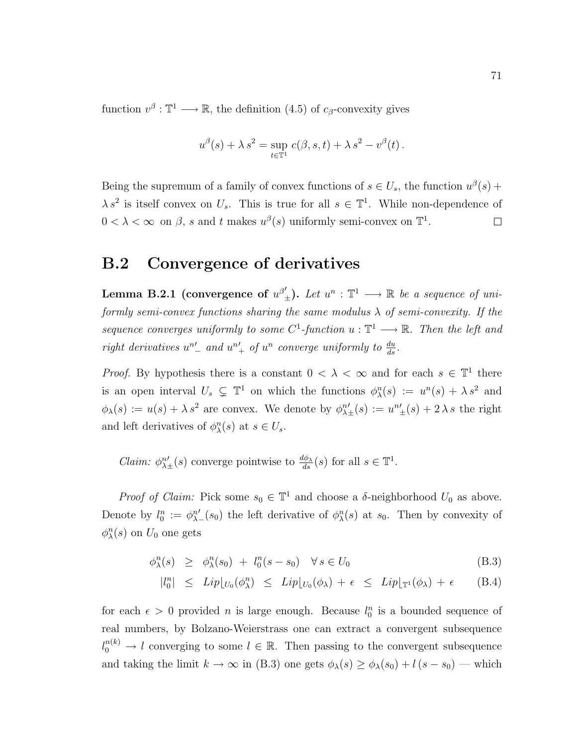function  $v^{\beta} : \mathbb{T}^1 \longrightarrow \mathbb{R}$ , the definition [\(4.5\)](#page-38-0) of  $c_{\beta}$ -convexity gives

$$
u^{\beta}(s) + \lambda s^2 = \sup_{t \in \mathbb{T}^1} c(\beta, s, t) + \lambda s^2 - v^{\beta}(t).
$$

Being the supremum of a family of convex functions of  $s \in U_s$ , the function  $u^{\beta}(s)$  +  $\lambda s^2$  is itself convex on  $U_s$ . This is true for all  $s \in \mathbb{T}^1$ . While non-dependence of  $0 < \lambda < \infty$  on  $\beta$ , s and t makes  $u^{\beta}(s)$  uniformly semi-convex on  $\mathbb{T}^1$ .  $\Box$ 

#### B.2 Convergence of derivatives

Lemma B.2.1 (convergence of  $u^{\beta'}_{\pm}$ ). Let  $u^n : \mathbb{T}^1 \longrightarrow \mathbb{R}$  be a sequence of uniformly semi-convex functions sharing the same modulus  $\lambda$  of semi-convexity. If the sequence converges uniformly to some  $C^1$ -function  $u : \mathbb{T}^1 \longrightarrow \mathbb{R}$ . Then the left and right derivatives  $u^n$  and  $u^n$  of  $u^n$  converge uniformly to  $\frac{du}{ds}$ .

*Proof.* By hypothesis there is a constant  $0 < \lambda < \infty$  and for each  $s \in \mathbb{T}^1$  there is an open interval  $U_s \subsetneq T^1$  on which the functions  $\phi_\lambda^n(s) := u^n(s) + \lambda s^2$  and  $\phi_{\lambda}(s) := u(s) + \lambda s^2$  are convex. We denote by  $\phi_{\lambda}^{n}$  $\prime$  $y'_{\pm}(s) := u^{n'}_{\pm}(s) + 2\lambda s$  the right and left derivatives of  $\phi_{\lambda}^{n}(s)$  at  $s \in U_s$ .

Claim:  $\phi_{\lambda}^{n}$  $\prime$  $y'_{\pm}(s)$  converge pointwise to  $\frac{d\phi_{\lambda}}{ds}(s)$  for all  $s \in \mathbb{T}^{1}$ .

Proof of Claim: Pick some  $s_0 \in \mathbb{T}^1$  and choose a  $\delta$ -neighborhood  $U_0$  as above. Denote by  $l_0^n := \phi_\lambda^n$  $\prime$  $\mathcal{L}(s_0)$  the left derivative of  $\phi_\lambda^n(s)$  at  $s_0$ . Then by convexity of  $\phi_\lambda^n(s)$  on  $U_0$  one gets

<span id="page-80-0"></span>
$$
\phi_{\lambda}^{n}(s) \geq \phi_{\lambda}^{n}(s_{0}) + l_{0}^{n}(s - s_{0}) \quad \forall s \in U_{0}
$$
\n(B.3)

$$
|l_0^n| \leq Lip\lfloor_{U_0}(\phi_\lambda^n) \leq Lip\lfloor_{U_0}(\phi_\lambda) + \epsilon \leq Lip\lfloor_{\mathbb{T}^1}(\phi_\lambda) + \epsilon \qquad (B.4)
$$

for each  $\epsilon > 0$  provided *n* is large enough. Because  $l_0^n$  is a bounded sequence of real numbers, by Bolzano-Weierstrass one can extract a convergent subsequence  $l_0^{n(k)} \to l$  converging to some  $l \in \mathbb{R}$ . Then passing to the convergent subsequence and taking the limit  $k \to \infty$  in [\(B.3\)](#page-80-0) one gets  $\phi_{\lambda}(s) \geq \phi_{\lambda}(s_0) + l(s - s_0)$  — which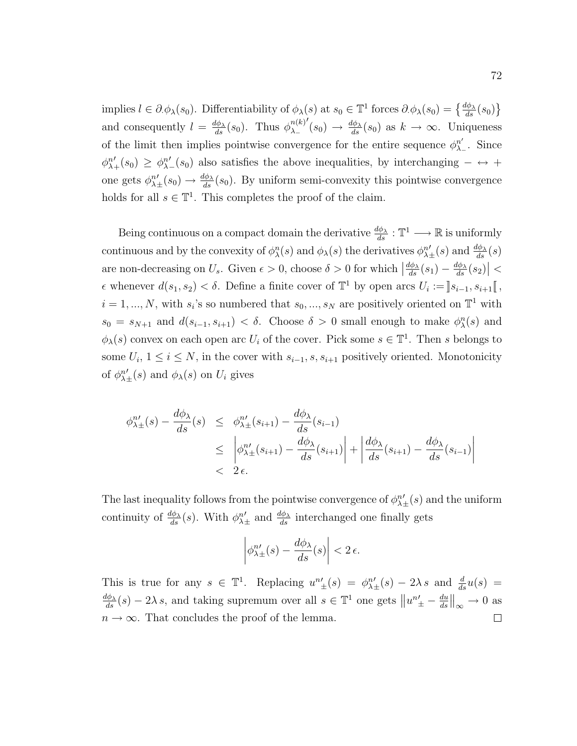implies  $l \in \partial \phi_{\lambda}(s_0)$ . Differentiability of  $\phi_{\lambda}(s)$  at  $s_0 \in \mathbb{T}^1$  forces  $\partial \phi_{\lambda}(s_0) = \left\{ \frac{d\phi_{\lambda}}{ds}(s_0) \right\}$ and consequently  $l = \frac{d\phi_{\lambda}}{ds}(s_0)$ . Thus  $\phi_{\lambda_{-}}^{n(k)}$  $\lambda_-\,$  $\mathcal{O}'(s_0) \to \frac{d\phi_\lambda}{ds}(s_0)$  as  $k \to \infty$ . Uniqueness of the limit then implies pointwise convergence for the entire sequence  $\phi_{\lambda}^{n'}$  $_{\lambda_{-}}^{n'}$ . Since  $\phi_\lambda^n$  $\overline{a}$  $'_{+}(s_0) \geq \phi_{\lambda}^n$  $\overline{a}$  $\frac{1}{2}(s_0)$  also satisfies the above inequalities, by interchanging  $-\leftrightarrow +$ one gets  $\phi_\lambda^n$  $\overline{a}$  $\psi'_{\pm}(s_0) \to \frac{d\phi_{\lambda}}{ds}(s_0)$ . By uniform semi-convexity this pointwise convergence holds for all  $s \in \mathbb{T}^1$ . This completes the proof of the claim.

Being continuous on a compact domain the derivative  $\frac{d\phi_{\lambda}}{ds}$ :  $\mathbb{T}^1 \longrightarrow \mathbb{R}$  is uniformly continuous and by the convexity of  $\phi_{\lambda}^{n}(s)$  and  $\phi_{\lambda}(s)$  the derivatives  $\phi_{\lambda}^{n}$  $\prime$  $y'_{\pm}(s)$  and  $\frac{d\phi_{\lambda}}{ds}(s)$ are non-decreasing on  $U_s$ . Given  $\epsilon > 0$ , choose  $\delta > 0$  for which  $\left| \frac{d\phi_\lambda}{ds}(s_1) - \frac{d\phi_\lambda}{ds}(s_2) \right| <$  $\epsilon$  whenever  $d(s_1, s_2) < \delta$ . Define a finite cover of  $\mathbb{T}^1$  by open arcs  $U_i := ] s_{i-1}, s_{i+1} [$ ,  $i = 1, ..., N$ , with  $s_i$ 's so numbered that  $s_0, ..., s_N$  are positively oriented on  $\mathbb{T}^1$  with  $s_0 = s_{N+1}$  and  $d(s_{i-1}, s_{i+1}) < \delta$ . Choose  $\delta > 0$  small enough to make  $\phi_{\lambda}^n(s)$  and  $\phi_{\lambda}(s)$  convex on each open arc  $U_i$  of the cover. Pick some  $s \in \mathbb{T}^1$ . Then s belongs to some  $U_i$ ,  $1 \leq i \leq N$ , in the cover with  $s_{i-1}, s, s_{i+1}$  positively oriented. Monotonicity of  $\phi_\lambda^n$  $\prime$  $U_{\pm}(s)$  and  $\phi_{\lambda}(s)$  on  $U_i$  gives

$$
\begin{aligned}\n\phi_{\lambda\pm}^{n'}(s) - \frac{d\phi_{\lambda}}{ds}(s) &\leq \phi_{\lambda\pm}^{n'}(s_{i+1}) - \frac{d\phi_{\lambda}}{ds}(s_{i-1}) \\
&\leq \left| \phi_{\lambda\pm}^{n'}(s_{i+1}) - \frac{d\phi_{\lambda}}{ds}(s_{i+1}) \right| + \left| \frac{d\phi_{\lambda}}{ds}(s_{i+1}) - \frac{d\phi_{\lambda}}{ds}(s_{i-1}) \right| \\
&< 2\epsilon.\n\end{aligned}
$$

The last inequality follows from the pointwise convergence of  $\phi_{\lambda}^{n}$  $\prime$  $y'_{\pm}(s)$  and the uniform continuity of  $\frac{d\phi_{\lambda}}{ds}(s)$ . With  $\phi_{\lambda}^{n}$  $\prime$  $\frac{d}{dx}$  and  $\frac{d\phi_{\lambda}}{ds}$  interchanged one finally gets

$$
\left| \phi_{\lambda \pm}^{n'}(s) - \frac{d\phi_{\lambda}}{ds}(s) \right| < 2\,\epsilon.
$$

This is true for any  $s \in \mathbb{T}^1$ . Replacing  $u^{n'}_{\pm}(s) = \phi^n_{\lambda}$  $\prime$  $y'_{\pm}(s) - 2\lambda s$  and  $\frac{d}{ds}u(s) =$  $\frac{d\phi_{\lambda}}{ds}(s) - 2\lambda s$ , and taking supremum over all  $s \in \mathbb{T}^1$  one gets  $||u^n_{\pm} - \frac{du}{ds}||$  $\frac{du}{ds}\Big\|_{\infty} \to 0$  as  $n \to \infty$ . That concludes the proof of the lemma.  $\Box$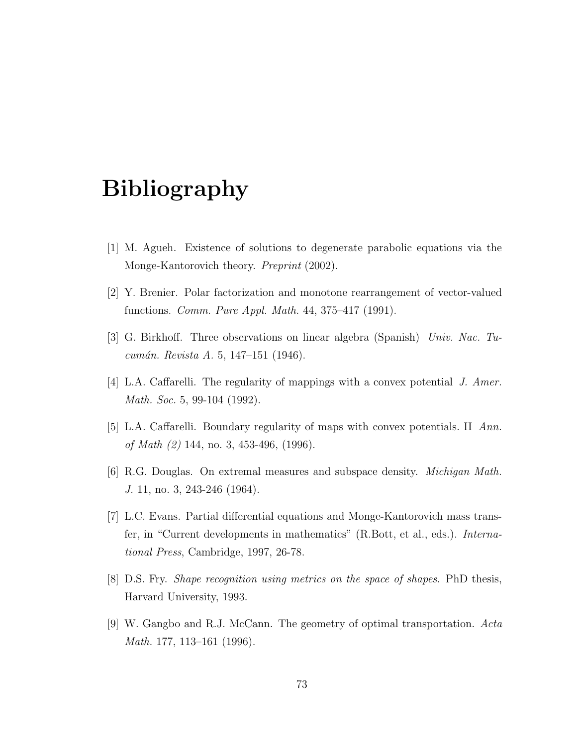## Bibliography

- <span id="page-82-5"></span>[1] M. Agueh. Existence of solutions to degenerate parabolic equations via the Monge-Kantorovich theory. Preprint (2002).
- <span id="page-82-1"></span>[2] Y. Brenier. Polar factorization and monotone rearrangement of vector-valued functions. Comm. Pure Appl. Math. 44, 375–417 (1991).
- [3] G. Birkhoff. Three observations on linear algebra (Spanish) Univ. Nac. Tucumán. Revista A. 5, 147–151 (1946).
- <span id="page-82-3"></span>[4] L.A. Caffarelli. The regularity of mappings with a convex potential J. Amer. Math. Soc. 5, 99-104 (1992).
- <span id="page-82-4"></span>[5] L.A. Caffarelli. Boundary regularity of maps with convex potentials. II Ann. of Math (2) 144, no. 3, 453-496, (1996).
- [6] R.G. Douglas. On extremal measures and subspace density. Michigan Math. J. 11, no. 3, 243-246 (1964).
- <span id="page-82-2"></span>[7] L.C. Evans. Partial differential equations and Monge-Kantorovich mass transfer, in "Current developments in mathematics" (R.Bott, et al., eds.). International Press, Cambridge, 1997, 26-78.
- [8] D.S. Fry. Shape recognition using metrics on the space of shapes. PhD thesis, Harvard University, 1993.
- <span id="page-82-0"></span>[9] W. Gangbo and R.J. McCann. The geometry of optimal transportation.  $Acta$ Math. 177, 113–161 (1996).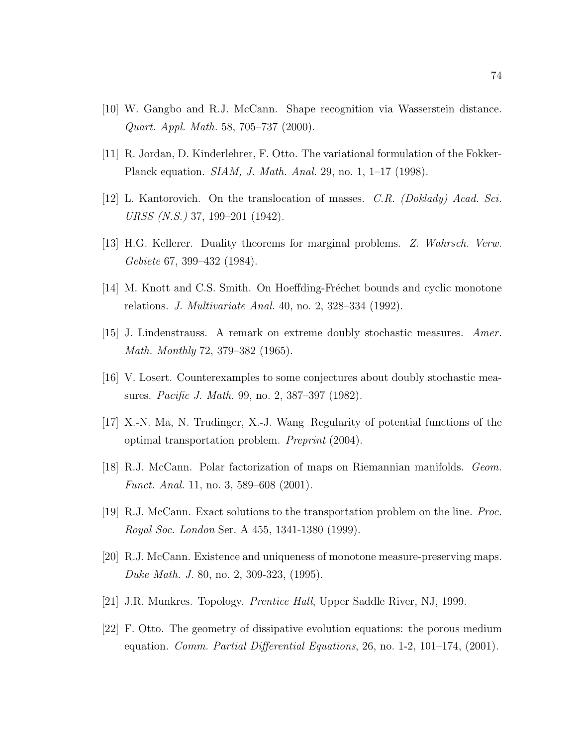- <span id="page-83-0"></span>[10] W. Gangbo and R.J. McCann. Shape recognition via Wasserstein distance. Quart. Appl. Math. 58, 705–737 (2000).
- <span id="page-83-4"></span>[11] R. Jordan, D. Kinderlehrer, F. Otto. The variational formulation of the Fokker-Planck equation. SIAM, J. Math. Anal. 29, no. 1, 1–17 (1998).
- <span id="page-83-2"></span>[12] L. Kantorovich. On the translocation of masses. C.R. (Doklady) Acad. Sci. URSS (N.S.) 37, 199–201 (1942).
- [13] H.G. Kellerer. Duality theorems for marginal problems. Z. Wahrsch. Verw. Gebiete 67, 399–432 (1984).
- [14] M. Knott and C.S. Smith. On Hoeffding-Fréchet bounds and cyclic monotone relations. J. Multivariate Anal. 40, no. 2, 328–334 (1992).
- [15] J. Lindenstrauss. A remark on extreme doubly stochastic measures. Amer. Math. Monthly 72, 379–382 (1965).
- [16] V. Losert. Counterexamples to some conjectures about doubly stochastic measures. Pacific J. Math. 99, no. 2, 387–397 (1982).
- <span id="page-83-3"></span>[17] X.-N. Ma, N. Trudinger, X.-J. Wang Regularity of potential functions of the optimal transportation problem. Preprint (2004).
- [18] R.J. McCann. Polar factorization of maps on Riemannian manifolds. Geom. Funct. Anal. 11, no. 3, 589–608 (2001).
- <span id="page-83-1"></span>[19] R.J. McCann. Exact solutions to the transportation problem on the line. Proc. Royal Soc. London Ser. A 455, 1341-1380 (1999).
- [20] R.J. McCann. Existence and uniqueness of monotone measure-preserving maps. Duke Math. J. 80, no. 2, 309-323, (1995).
- [21] J.R. Munkres. Topology. Prentice Hall, Upper Saddle River, NJ, 1999.
- <span id="page-83-5"></span>[22] F. Otto. The geometry of dissipative evolution equations: the porous medium equation. Comm. Partial Differential Equations, 26, no. 1-2, 101–174, (2001).